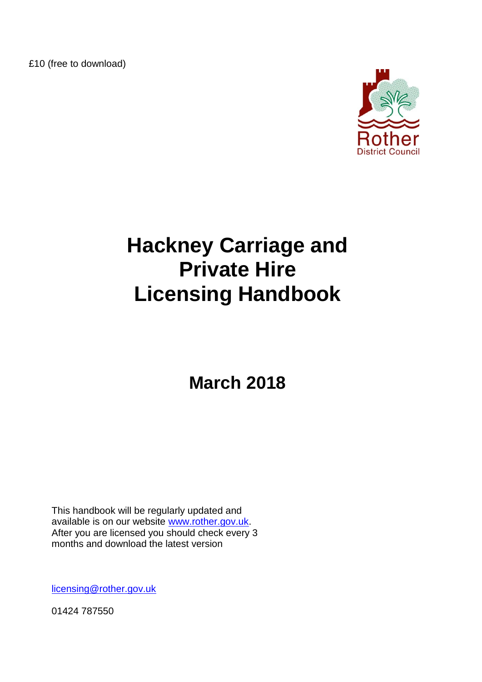£10 (free to download)



# **Hackney Carriage and Private Hire Licensing Handbook**

**March 2018**

This handbook will be regularly updated and available is on our website [www.rother.gov.uk.](http://www.rother.gov.uk/) After you are licensed you should check every 3 months and download the latest version

[licensing@rother.gov.uk](mailto:licensing@rother.gov.uk)

01424 787550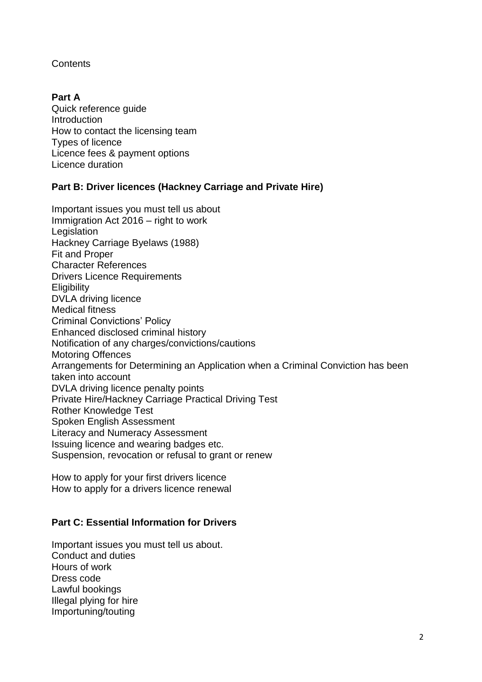### **Contents**

# **Part A**

Quick reference guide Introduction How to contact the licensing team Types of licence Licence fees & payment options Licence duration

# **Part B: Driver licences (Hackney Carriage and Private Hire)**

Important issues you must tell us about Immigration Act 2016 – right to work Legislation Hackney Carriage Byelaws (1988) Fit and Proper Character References Drivers Licence Requirements **Eligibility** DVLA driving licence Medical fitness Criminal Convictions" Policy Enhanced disclosed criminal history Notification of any charges/convictions/cautions Motoring Offences Arrangements for Determining an Application when a Criminal Conviction has been taken into account DVLA driving licence penalty points Private Hire/Hackney Carriage Practical Driving Test Rother Knowledge Test Spoken English Assessment Literacy and Numeracy Assessment Issuing licence and wearing badges etc. Suspension, revocation or refusal to grant or renew

How to apply for your first drivers licence How to apply for a drivers licence renewal

# **Part C: Essential Information for Drivers**

Important issues you must tell us about. Conduct and duties Hours of work Dress code Lawful bookings Illegal plying for hire Importuning/touting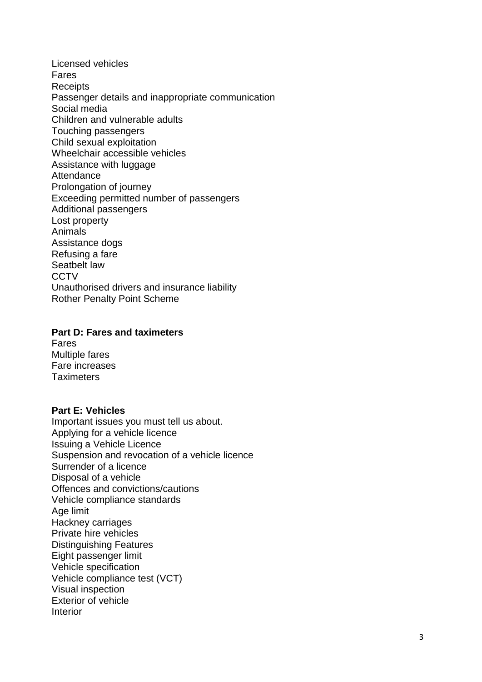Licensed vehicles Fares **Receipts** Passenger details and inappropriate communication Social media Children and vulnerable adults Touching passengers Child sexual exploitation Wheelchair accessible vehicles Assistance with luggage **Attendance** Prolongation of journey Exceeding permitted number of passengers Additional passengers Lost property Animals Assistance dogs Refusing a fare Seatbelt law **CCTV** Unauthorised drivers and insurance liability Rother Penalty Point Scheme

#### **Part D: Fares and taximeters**

Fares Multiple fares Fare increases **Taximeters** 

#### **Part E: Vehicles**

Important issues you must tell us about. Applying for a vehicle licence Issuing a Vehicle Licence Suspension and revocation of a vehicle licence Surrender of a licence Disposal of a vehicle Offences and convictions/cautions Vehicle compliance standards Age limit Hackney carriages Private hire vehicles Distinguishing Features Eight passenger limit Vehicle specification Vehicle compliance test (VCT) Visual inspection Exterior of vehicle Interior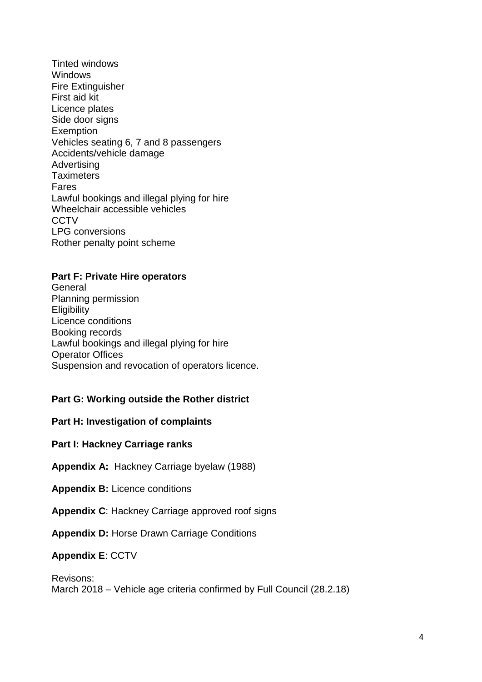Tinted windows **Windows** Fire Extinguisher First aid kit Licence plates Side door signs **Exemption** Vehicles seating 6, 7 and 8 passengers Accidents/vehicle damage **Advertising Taximeters** Fares Lawful bookings and illegal plying for hire Wheelchair accessible vehicles **CCTV** LPG conversions Rother penalty point scheme

#### **Part F: Private Hire operators**

**General** Planning permission **Eligibility** Licence conditions Booking records Lawful bookings and illegal plying for hire Operator Offices Suspension and revocation of operators licence.

#### **Part G: Working outside the Rother district**

### **Part H: Investigation of complaints**

#### **Part I: Hackney Carriage ranks**

**Appendix A:** Hackney Carriage byelaw (1988)

- **Appendix B:** Licence conditions
- **Appendix C**: Hackney Carriage approved roof signs

**Appendix D:** Horse Drawn Carriage Conditions

### **Appendix E**: CCTV

Revisons: March 2018 – Vehicle age criteria confirmed by Full Council (28.2.18)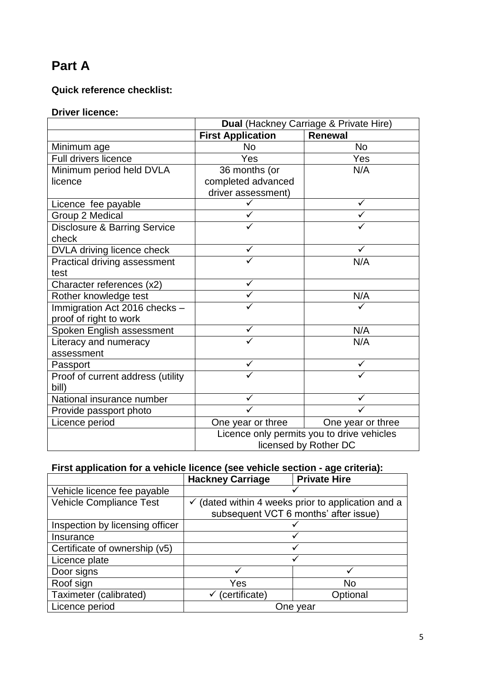# **Part A**

# **Quick reference checklist:**

# **Driver licence:**

|                                         | Dual (Hackney Carriage & Private Hire)     |                   |
|-----------------------------------------|--------------------------------------------|-------------------|
|                                         | <b>First Application</b>                   | <b>Renewal</b>    |
| Minimum age                             | <b>No</b>                                  | <b>No</b>         |
| <b>Full drivers licence</b>             | Yes                                        | Yes               |
| Minimum period held DVLA                | 36 months (or                              | N/A               |
| licence                                 | completed advanced                         |                   |
|                                         | driver assessment)                         |                   |
| Licence fee payable                     |                                            |                   |
| Group 2 Medical                         |                                            |                   |
| <b>Disclosure &amp; Barring Service</b> |                                            |                   |
| check                                   |                                            |                   |
| DVLA driving licence check              | ✓                                          |                   |
| Practical driving assessment            |                                            | N/A               |
| test                                    |                                            |                   |
| Character references (x2)               | ✓                                          |                   |
| Rother knowledge test                   |                                            | N/A               |
| Immigration Act 2016 checks -           |                                            |                   |
| proof of right to work                  |                                            |                   |
| Spoken English assessment               | ✓                                          | N/A               |
| Literacy and numeracy                   |                                            | N/A               |
| assessment                              |                                            |                   |
| Passport                                |                                            |                   |
| Proof of current address (utility       |                                            |                   |
| bill)                                   |                                            |                   |
| National insurance number               | ✓                                          |                   |
| Provide passport photo                  |                                            |                   |
| Licence period                          | One year or three                          | One year or three |
|                                         | Licence only permits you to drive vehicles |                   |
|                                         | licensed by Rother DC                      |                   |

# **First application for a vehicle licence (see vehicle section - age criteria):**

|                                 | <b>Hackney Carriage</b>                                                                                | <b>Private Hire</b> |
|---------------------------------|--------------------------------------------------------------------------------------------------------|---------------------|
| Vehicle licence fee payable     |                                                                                                        |                     |
| Vehicle Compliance Test         | $\checkmark$ (dated within 4 weeks prior to application and a<br>subsequent VCT 6 months' after issue) |                     |
| Inspection by licensing officer |                                                                                                        |                     |
| Insurance                       |                                                                                                        |                     |
| Certificate of ownership (v5)   |                                                                                                        |                     |
| Licence plate                   |                                                                                                        |                     |
| Door signs                      |                                                                                                        |                     |
| Roof sign                       | Yes                                                                                                    | <b>No</b>           |
| Taximeter (calibrated)          | (certificate)                                                                                          | Optional            |
| Licence period                  | One vear                                                                                               |                     |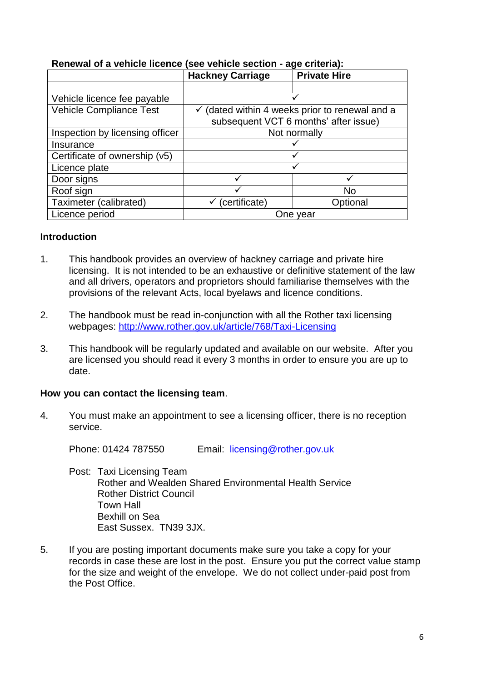|                                 | <b>Hackney Carriage</b>                                   | <b>Private Hire</b> |
|---------------------------------|-----------------------------------------------------------|---------------------|
|                                 |                                                           |                     |
| Vehicle licence fee payable     |                                                           |                     |
| <b>Vehicle Compliance Test</b>  | $\checkmark$ (dated within 4 weeks prior to renewal and a |                     |
|                                 | subsequent VCT 6 months' after issue)                     |                     |
| Inspection by licensing officer | Not normally                                              |                     |
| Insurance                       |                                                           |                     |
| Certificate of ownership (v5)   |                                                           |                     |
| Licence plate                   |                                                           |                     |
| Door signs                      |                                                           |                     |
| Roof sign                       |                                                           | <b>No</b>           |
| Taximeter (calibrated)          | (certificate)                                             | Optional            |
| Licence period                  | One year                                                  |                     |

# **Renewal of a vehicle licence (see vehicle section - age criteria):**

#### **Introduction**

- 1. This handbook provides an overview of hackney carriage and private hire licensing. It is not intended to be an exhaustive or definitive statement of the law and all drivers, operators and proprietors should familiarise themselves with the provisions of the relevant Acts, local byelaws and licence conditions.
- 2. The handbook must be read in-conjunction with all the Rother taxi licensing webpages: <http://www.rother.gov.uk/article/768/Taxi-Licensing>
- 3. This handbook will be regularly updated and available on our website. After you are licensed you should read it every 3 months in order to ensure you are up to date.

#### **How you can contact the licensing team**.

4. You must make an appointment to see a licensing officer, there is no reception service.

Phone: 01424 787550 Email: [licensing@rother.gov.uk](mailto:licensing@rother.gov.uk)

- Post: Taxi Licensing Team Rother and Wealden Shared Environmental Health Service Rother District Council Town Hall Bexhill on Sea East Sussex. TN39 3JX.
- 5. If you are posting important documents make sure you take a copy for your records in case these are lost in the post. Ensure you put the correct value stamp for the size and weight of the envelope. We do not collect under-paid post from the Post Office.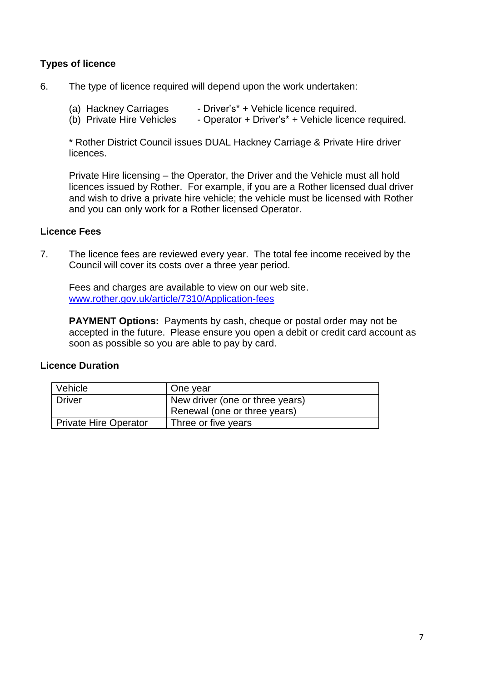# **Types of licence**

- 6. The type of licence required will depend upon the work undertaken:
	- (a) Hackney Carriages Driver's\* + Vehicle licence required.
	- (b) Private Hire Vehicles Operator + Driver's<sup>\*</sup> + Vehicle licence required.

\* Rother District Council issues DUAL Hackney Carriage & Private Hire driver licences.

Private Hire licensing – the Operator, the Driver and the Vehicle must all hold licences issued by Rother. For example, if you are a Rother licensed dual driver and wish to drive a private hire vehicle; the vehicle must be licensed with Rother and you can only work for a Rother licensed Operator.

#### **Licence Fees**

7. The licence fees are reviewed every year. The total fee income received by the Council will cover its costs over a three year period.

Fees and charges are available to view on our web site. www.rother.gov.uk/article/7310/Application-fees

**PAYMENT Options:** Payments by cash, cheque or postal order may not be accepted in the future. Please ensure you open a debit or credit card account as soon as possible so you are able to pay by card.

#### **Licence Duration**

| Vehicle               | One year                        |
|-----------------------|---------------------------------|
| Driver                | New driver (one or three years) |
|                       | Renewal (one or three years)    |
| Private Hire Operator | Three or five years             |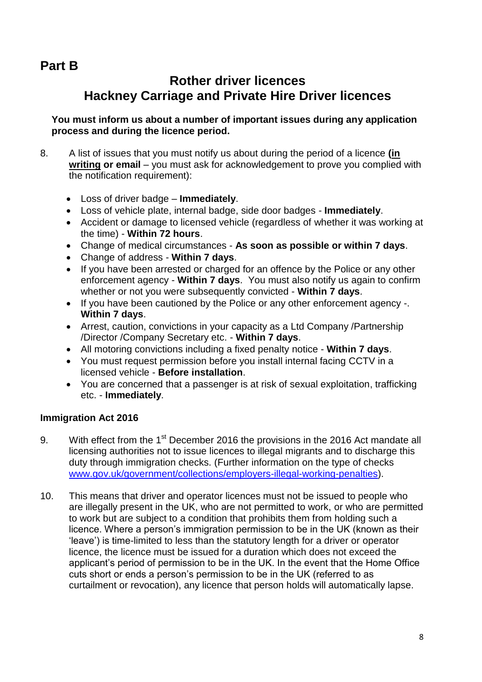# **Part B**

# **Rother driver licences Hackney Carriage and Private Hire Driver licences**

**You must inform us about a number of important issues during any application process and during the licence period.**

- 8. A list of issues that you must notify us about during the period of a licence **(in writing or email** – you must ask for acknowledgement to prove you complied with the notification requirement):
	- Loss of driver badge **Immediately**.
	- Loss of vehicle plate, internal badge, side door badges **Immediately**.
	- Accident or damage to licensed vehicle (regardless of whether it was working at the time) - **Within 72 hours**.
	- Change of medical circumstances **As soon as possible or within 7 days**.
	- Change of address **Within 7 days**.
	- If you have been arrested or charged for an offence by the Police or any other enforcement agency - **Within 7 days**. You must also notify us again to confirm whether or not you were subsequently convicted - **Within 7 days**.
	- If you have been cautioned by the Police or any other enforcement agency -. **Within 7 days**.
	- Arrest, caution, convictions in your capacity as a Ltd Company /Partnership /Director /Company Secretary etc. - **Within 7 days**.
	- All motoring convictions including a fixed penalty notice **Within 7 days**.
	- You must request permission before you install internal facing CCTV in a licensed vehicle - **Before installation**.
	- You are concerned that a passenger is at risk of sexual exploitation, trafficking etc. - **Immediately**.

# **Immigration Act 2016**

- 9. With effect from the 1<sup>st</sup> December 2016 the provisions in the 2016 Act mandate all licensing authorities not to issue licences to illegal migrants and to discharge this duty through immigration checks. (Further information on the type of checks [www.gov.uk/government/collections/employers-illegal-working-penalties\)](http://www.gov.uk/government/collections/employers-illegal-working-penalties).
- 10. This means that driver and operator licences must not be issued to people who are illegally present in the UK, who are not permitted to work, or who are permitted to work but are subject to a condition that prohibits them from holding such a licence. Where a person"s immigration permission to be in the UK (known as their "leave") is time-limited to less than the statutory length for a driver or operator licence, the licence must be issued for a duration which does not exceed the applicant"s period of permission to be in the UK. In the event that the Home Office cuts short or ends a person"s permission to be in the UK (referred to as curtailment or revocation), any licence that person holds will automatically lapse.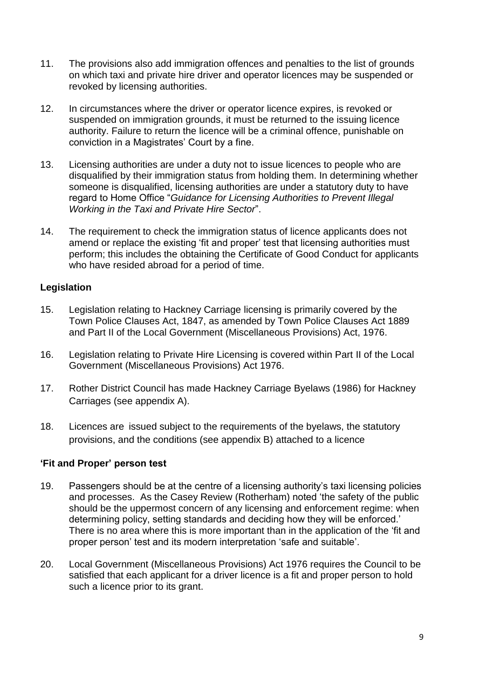- 11. The provisions also add immigration offences and penalties to the list of grounds on which taxi and private hire driver and operator licences may be suspended or revoked by licensing authorities.
- 12. In circumstances where the driver or operator licence expires, is revoked or suspended on immigration grounds, it must be returned to the issuing licence authority. Failure to return the licence will be a criminal offence, punishable on conviction in a Magistrates' Court by a fine.
- 13. Licensing authorities are under a duty not to issue licences to people who are disqualified by their immigration status from holding them. In determining whether someone is disqualified, licensing authorities are under a statutory duty to have regard to Home Office "*Guidance for Licensing Authorities to Prevent Illegal Working in the Taxi and Private Hire Sector*".
- 14. The requirement to check the immigration status of licence applicants does not amend or replace the existing "fit and proper" test that licensing authorities must perform; this includes the obtaining the Certificate of Good Conduct for applicants who have resided abroad for a period of time.

# **Legislation**

- 15. Legislation relating to Hackney Carriage licensing is primarily covered by the Town Police Clauses Act, 1847, as amended by Town Police Clauses Act 1889 and Part II of the Local Government (Miscellaneous Provisions) Act, 1976.
- 16. Legislation relating to Private Hire Licensing is covered within Part II of the Local Government (Miscellaneous Provisions) Act 1976.
- 17. Rother District Council has made Hackney Carriage Byelaws (1986) for Hackney Carriages (see appendix A).
- 18. Licences are issued subject to the requirements of the byelaws, the statutory provisions, and the conditions (see appendix B) attached to a licence

#### **'Fit and Proper' person test**

- 19. Passengers should be at the centre of a licensing authority"s taxi licensing policies and processes. As the Casey Review (Rotherham) noted "the safety of the public should be the uppermost concern of any licensing and enforcement regime: when determining policy, setting standards and deciding how they will be enforced." There is no area where this is more important than in the application of the "fit and proper person' test and its modern interpretation 'safe and suitable'.
- 20. Local Government (Miscellaneous Provisions) Act 1976 requires the Council to be satisfied that each applicant for a driver licence is a fit and proper person to hold such a licence prior to its grant.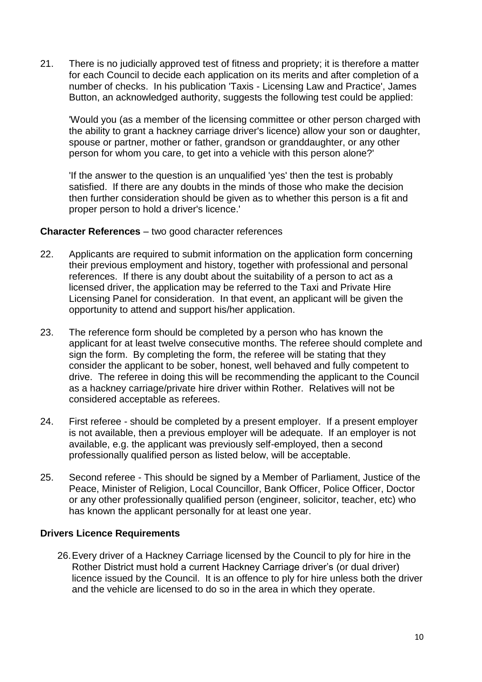21. There is no judicially approved test of fitness and propriety; it is therefore a matter for each Council to decide each application on its merits and after completion of a number of checks. In his publication 'Taxis - Licensing Law and Practice', James Button, an acknowledged authority, suggests the following test could be applied:

'Would you (as a member of the licensing committee or other person charged with the ability to grant a hackney carriage driver's licence) allow your son or daughter, spouse or partner, mother or father, grandson or granddaughter, or any other person for whom you care, to get into a vehicle with this person alone?'

'If the answer to the question is an unqualified 'yes' then the test is probably satisfied. If there are any doubts in the minds of those who make the decision then further consideration should be given as to whether this person is a fit and proper person to hold a driver's licence.'

#### **Character References** – two good character references

- 22. Applicants are required to submit information on the application form concerning their previous employment and history, together with professional and personal references. If there is any doubt about the suitability of a person to act as a licensed driver, the application may be referred to the Taxi and Private Hire Licensing Panel for consideration. In that event, an applicant will be given the opportunity to attend and support his/her application.
- 23. The reference form should be completed by a person who has known the applicant for at least twelve consecutive months. The referee should complete and sign the form. By completing the form, the referee will be stating that they consider the applicant to be sober, honest, well behaved and fully competent to drive. The referee in doing this will be recommending the applicant to the Council as a hackney carriage/private hire driver within Rother. Relatives will not be considered acceptable as referees.
- 24. First referee should be completed by a present employer. If a present employer is not available, then a previous employer will be adequate. If an employer is not available, e.g. the applicant was previously self-employed, then a second professionally qualified person as listed below, will be acceptable.
- 25. Second referee This should be signed by a Member of Parliament, Justice of the Peace, Minister of Religion, Local Councillor, Bank Officer, Police Officer, Doctor or any other professionally qualified person (engineer, solicitor, teacher, etc) who has known the applicant personally for at least one year.

# **Drivers Licence Requirements**

26.Every driver of a Hackney Carriage licensed by the Council to ply for hire in the Rother District must hold a current Hackney Carriage driver's (or dual driver) licence issued by the Council. It is an offence to ply for hire unless both the driver and the vehicle are licensed to do so in the area in which they operate.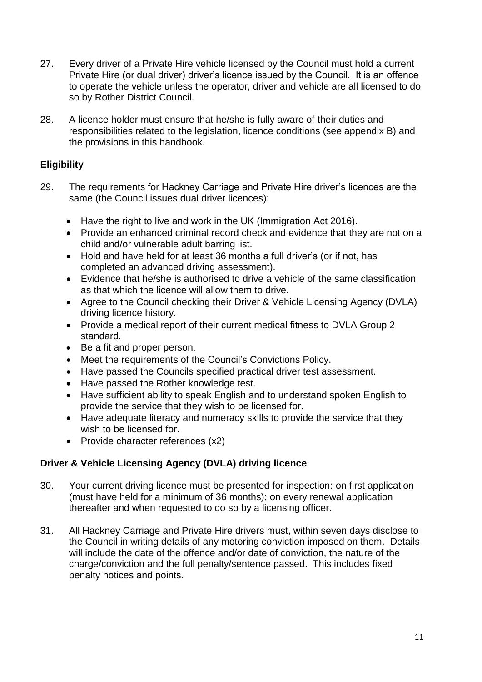- 27. Every driver of a Private Hire vehicle licensed by the Council must hold a current Private Hire (or dual driver) driver's licence issued by the Council. It is an offence to operate the vehicle unless the operator, driver and vehicle are all licensed to do so by Rother District Council.
- 28. A licence holder must ensure that he/she is fully aware of their duties and responsibilities related to the legislation, licence conditions (see appendix B) and the provisions in this handbook.

# **Eligibility**

- 29. The requirements for Hackney Carriage and Private Hire driver"s licences are the same (the Council issues dual driver licences):
	- Have the right to live and work in the UK (Immigration Act 2016).
	- Provide an enhanced criminal record check and evidence that they are not on a child and/or vulnerable adult barring list.
	- Hold and have held for at least 36 months a full driver's (or if not, has completed an advanced driving assessment).
	- Evidence that he/she is authorised to drive a vehicle of the same classification as that which the licence will allow them to drive.
	- Agree to the Council checking their Driver & Vehicle Licensing Agency (DVLA) driving licence history.
	- Provide a medical report of their current medical fitness to DVLA Group 2 standard.
	- Be a fit and proper person.
	- Meet the requirements of the Council"s Convictions Policy.
	- Have passed the Councils specified practical driver test assessment.
	- Have passed the Rother knowledge test.
	- Have sufficient ability to speak English and to understand spoken English to provide the service that they wish to be licensed for.
	- Have adequate literacy and numeracy skills to provide the service that they wish to be licensed for.
	- Provide character references (x2)

# **Driver & Vehicle Licensing Agency (DVLA) driving licence**

- 30. Your current driving licence must be presented for inspection: on first application (must have held for a minimum of 36 months); on every renewal application thereafter and when requested to do so by a licensing officer.
- 31. All Hackney Carriage and Private Hire drivers must, within seven days disclose to the Council in writing details of any motoring conviction imposed on them. Details will include the date of the offence and/or date of conviction, the nature of the charge/conviction and the full penalty/sentence passed. This includes fixed penalty notices and points.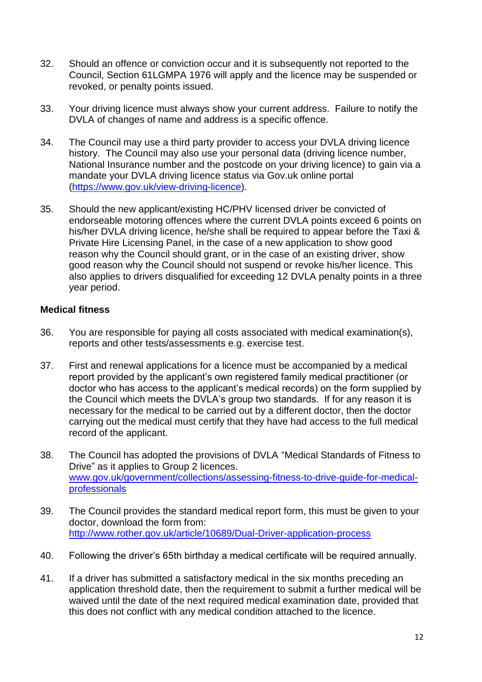- 32. Should an offence or conviction occur and it is subsequently not reported to the Council, Section 61LGMPA 1976 will apply and the licence may be suspended or revoked, or penalty points issued.
- 33. Your driving licence must always show your current address. Failure to notify the DVLA of changes of name and address is a specific offence.
- 34. The Council may use a third party provider to access your DVLA driving licence history. The Council may also use your personal data (driving licence number, National Insurance number and the postcode on your driving licence) to gain via a mandate your DVLA driving licence status via Gov.uk online portal [\(https://www.gov.uk/view-driving-licence\)](https://www.gov.uk/view-driving-licence).
- 35. Should the new applicant/existing HC/PHV licensed driver be convicted of endorseable motoring offences where the current DVLA points exceed 6 points on his/her DVLA driving licence, he/she shall be required to appear before the Taxi & Private Hire Licensing Panel, in the case of a new application to show good reason why the Council should grant, or in the case of an existing driver, show good reason why the Council should not suspend or revoke his/her licence. This also applies to drivers disqualified for exceeding 12 DVLA penalty points in a three year period.

#### **Medical fitness**

- 36. You are responsible for paying all costs associated with medical examination(s), reports and other tests/assessments e.g. exercise test.
- 37. First and renewal applications for a licence must be accompanied by a medical report provided by the applicant"s own registered family medical practitioner (or doctor who has access to the applicant"s medical records) on the form supplied by the Council which meets the DVLA"s group two standards. If for any reason it is necessary for the medical to be carried out by a different doctor, then the doctor carrying out the medical must certify that they have had access to the full medical record of the applicant.
- 38. The Council has adopted the provisions of DVLA "Medical Standards of Fitness to Drive" as it applies to Group 2 licences. [www.gov.uk/government/collections/assessing-fitness-to-drive-guide-for-medical](http://www.gov.uk/government/collections/assessing-fitness-to-drive-guide-for-medical-professionals)[professionals](http://www.gov.uk/government/collections/assessing-fitness-to-drive-guide-for-medical-professionals)
- 39. The Council provides the standard medical report form, this must be given to your doctor, download the form from: <http://www.rother.gov.uk/article/10689/Dual-Driver-application-process>
- 40. Following the driver"s 65th birthday a medical certificate will be required annually.
- 41. If a driver has submitted a satisfactory medical in the six months preceding an application threshold date, then the requirement to submit a further medical will be waived until the date of the next required medical examination date, provided that this does not conflict with any medical condition attached to the licence.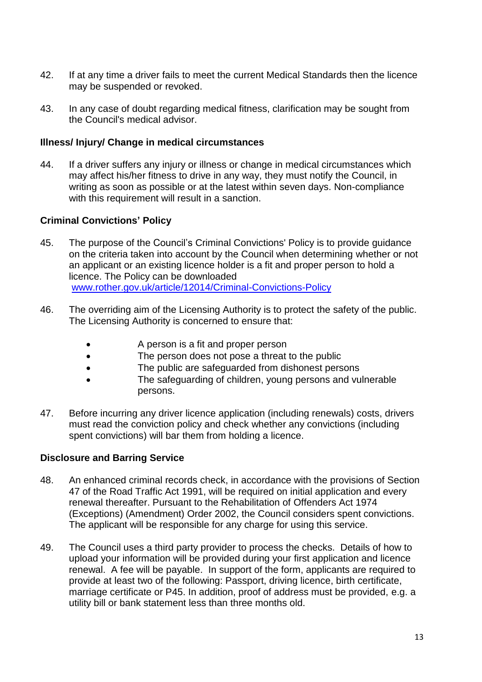- 42. If at any time a driver fails to meet the current Medical Standards then the licence may be suspended or revoked.
- 43. In any case of doubt regarding medical fitness, clarification may be sought from the Council's medical advisor.

#### **Illness/ Injury/ Change in medical circumstances**

44. If a driver suffers any injury or illness or change in medical circumstances which may affect his/her fitness to drive in any way, they must notify the Council, in writing as soon as possible or at the latest within seven days. Non-compliance with this requirement will result in a sanction.

# **Criminal Convictions' Policy**

- 45. The purpose of the Council"s Criminal Convictions' Policy is to provide guidance on the criteria taken into account by the Council when determining whether or not an applicant or an existing licence holder is a fit and proper person to hold a licence. The Policy can be downloaded www.rother.gov.uk/article/12014/Criminal-Convictions-Policy
- 46. The overriding aim of the Licensing Authority is to protect the safety of the public. The Licensing Authority is concerned to ensure that:
	- A person is a fit and proper person
	- The person does not pose a threat to the public
	- The public are safeguarded from dishonest persons
	- The safeguarding of children, young persons and vulnerable persons.
- 47. Before incurring any driver licence application (including renewals) costs, drivers must read the conviction policy and check whether any convictions (including spent convictions) will bar them from holding a licence.

#### **Disclosure and Barring Service**

- 48. An enhanced criminal records check, in accordance with the provisions of Section 47 of the Road Traffic Act 1991, will be required on initial application and every renewal thereafter. Pursuant to the Rehabilitation of Offenders Act 1974 (Exceptions) (Amendment) Order 2002, the Council considers spent convictions. The applicant will be responsible for any charge for using this service.
- 49. The Council uses a third party provider to process the checks. Details of how to upload your information will be provided during your first application and licence renewal. A fee will be payable. In support of the form, applicants are required to provide at least two of the following: Passport, driving licence, birth certificate, marriage certificate or P45. In addition, proof of address must be provided, e.g. a utility bill or bank statement less than three months old.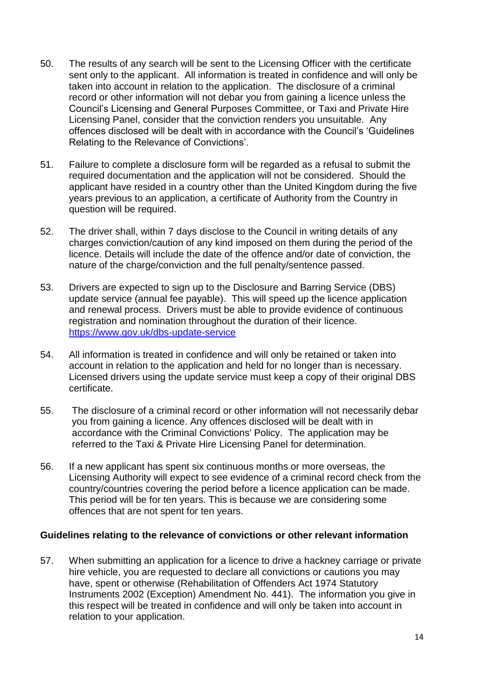- 50. The results of any search will be sent to the Licensing Officer with the certificate sent only to the applicant. All information is treated in confidence and will only be taken into account in relation to the application. The disclosure of a criminal record or other information will not debar you from gaining a licence unless the Council"s Licensing and General Purposes Committee, or Taxi and Private Hire Licensing Panel, consider that the conviction renders you unsuitable. Any offences disclosed will be dealt with in accordance with the Council"s "Guidelines Relating to the Relevance of Convictions".
- 51. Failure to complete a disclosure form will be regarded as a refusal to submit the required documentation and the application will not be considered. Should the applicant have resided in a country other than the United Kingdom during the five years previous to an application, a certificate of Authority from the Country in question will be required.
- 52. The driver shall, within 7 days disclose to the Council in writing details of any charges conviction/caution of any kind imposed on them during the period of the licence. Details will include the date of the offence and/or date of conviction, the nature of the charge/conviction and the full penalty/sentence passed.
- 53. Drivers are expected to sign up to the Disclosure and Barring Service (DBS) update service (annual fee payable). This will speed up the licence application and renewal process. Drivers must be able to provide evidence of continuous registration and nomination throughout the duration of their licence. <https://www.gov.uk/dbs-update-service>
- 54. All information is treated in confidence and will only be retained or taken into account in relation to the application and held for no longer than is necessary. Licensed drivers using the update service must keep a copy of their original DBS certificate.
- 55. The disclosure of a criminal record or other information will not necessarily debar you from gaining a licence. Any offences disclosed will be dealt with in accordance with the Criminal Convictions' Policy. The application may be referred to the Taxi & Private Hire Licensing Panel for determination.
- 56. If a new applicant has spent six continuous months or more overseas, the Licensing Authority will expect to see evidence of a criminal record check from the country/countries covering the period before a licence application can be made. This period will be for ten years. This is because we are considering some offences that are not spent for ten years.

#### **Guidelines relating to the relevance of convictions or other relevant information**

57. When submitting an application for a licence to drive a hackney carriage or private hire vehicle, you are requested to declare all convictions or cautions you may have, spent or otherwise (Rehabilitation of Offenders Act 1974 Statutory Instruments 2002 (Exception) Amendment No. 441). The information you give in this respect will be treated in confidence and will only be taken into account in relation to your application.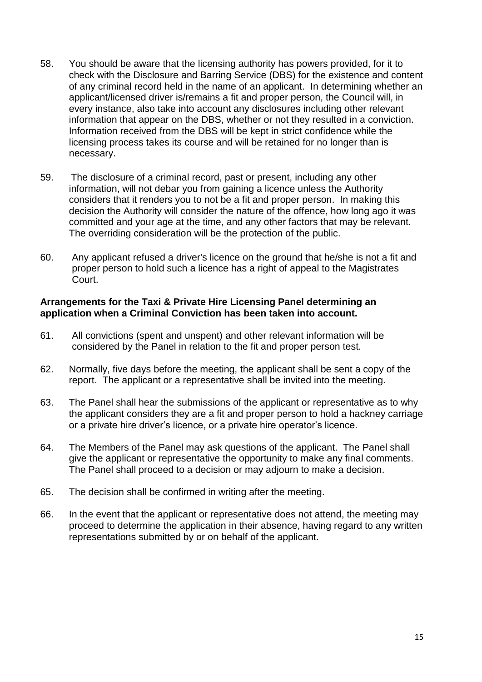- 58. You should be aware that the licensing authority has powers provided, for it to check with the Disclosure and Barring Service (DBS) for the existence and content of any criminal record held in the name of an applicant. In determining whether an applicant/licensed driver is/remains a fit and proper person, the Council will, in every instance, also take into account any disclosures including other relevant information that appear on the DBS, whether or not they resulted in a conviction. Information received from the DBS will be kept in strict confidence while the licensing process takes its course and will be retained for no longer than is necessary.
- 59. The disclosure of a criminal record, past or present, including any other information, will not debar you from gaining a licence unless the Authority considers that it renders you to not be a fit and proper person. In making this decision the Authority will consider the nature of the offence, how long ago it was committed and your age at the time, and any other factors that may be relevant. The overriding consideration will be the protection of the public.
- 60. Any applicant refused a driver's licence on the ground that he/she is not a fit and proper person to hold such a licence has a right of appeal to the Magistrates Court.

#### **Arrangements for the Taxi & Private Hire Licensing Panel determining an application when a Criminal Conviction has been taken into account.**

- 61. All convictions (spent and unspent) and other relevant information will be considered by the Panel in relation to the fit and proper person test.
- 62. Normally, five days before the meeting, the applicant shall be sent a copy of the report. The applicant or a representative shall be invited into the meeting.
- 63. The Panel shall hear the submissions of the applicant or representative as to why the applicant considers they are a fit and proper person to hold a hackney carriage or a private hire driver"s licence, or a private hire operator"s licence.
- 64. The Members of the Panel may ask questions of the applicant. The Panel shall give the applicant or representative the opportunity to make any final comments. The Panel shall proceed to a decision or may adjourn to make a decision.
- 65. The decision shall be confirmed in writing after the meeting.
- 66. In the event that the applicant or representative does not attend, the meeting may proceed to determine the application in their absence, having regard to any written representations submitted by or on behalf of the applicant.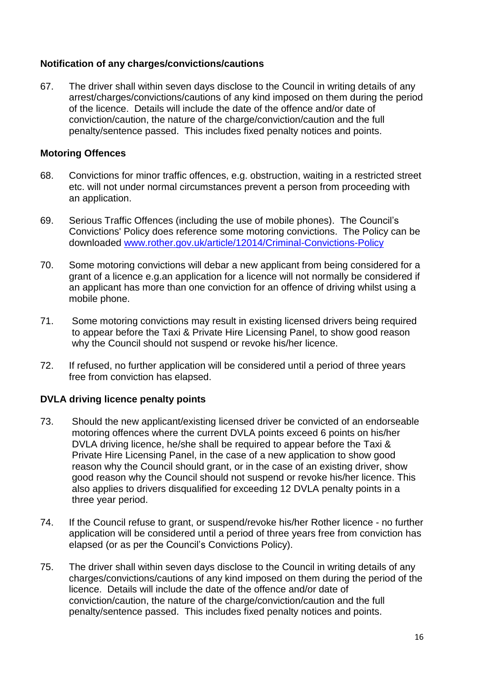# **Notification of any charges/convictions/cautions**

67. The driver shall within seven days disclose to the Council in writing details of any arrest/charges/convictions/cautions of any kind imposed on them during the period of the licence. Details will include the date of the offence and/or date of conviction/caution, the nature of the charge/conviction/caution and the full penalty/sentence passed. This includes fixed penalty notices and points.

#### **Motoring Offences**

- 68. Convictions for minor traffic offences, e.g. obstruction, waiting in a restricted street etc. will not under normal circumstances prevent a person from proceeding with an application.
- 69. Serious Traffic Offences (including the use of mobile phones). The Council"s Convictions' Policy does reference some motoring convictions. The Policy can be downloaded www.rother.gov.uk/article/12014/Criminal-Convictions-Policy
- 70. Some motoring convictions will debar a new applicant from being considered for a grant of a licence e.g.an application for a licence will not normally be considered if an applicant has more than one conviction for an offence of driving whilst using a mobile phone.
- 71. Some motoring convictions may result in existing licensed drivers being required to appear before the Taxi & Private Hire Licensing Panel, to show good reason why the Council should not suspend or revoke his/her licence.
- 72. If refused, no further application will be considered until a period of three years free from conviction has elapsed.

# **DVLA driving licence penalty points**

- 73. Should the new applicant/existing licensed driver be convicted of an endorseable motoring offences where the current DVLA points exceed 6 points on his/her DVLA driving licence, he/she shall be required to appear before the Taxi & Private Hire Licensing Panel, in the case of a new application to show good reason why the Council should grant, or in the case of an existing driver, show good reason why the Council should not suspend or revoke his/her licence. This also applies to drivers disqualified for exceeding 12 DVLA penalty points in a three year period.
- 74. If the Council refuse to grant, or suspend/revoke his/her Rother licence no further application will be considered until a period of three years free from conviction has elapsed (or as per the Council"s Convictions Policy).
- 75. The driver shall within seven days disclose to the Council in writing details of any charges/convictions/cautions of any kind imposed on them during the period of the licence. Details will include the date of the offence and/or date of conviction/caution, the nature of the charge/conviction/caution and the full penalty/sentence passed. This includes fixed penalty notices and points.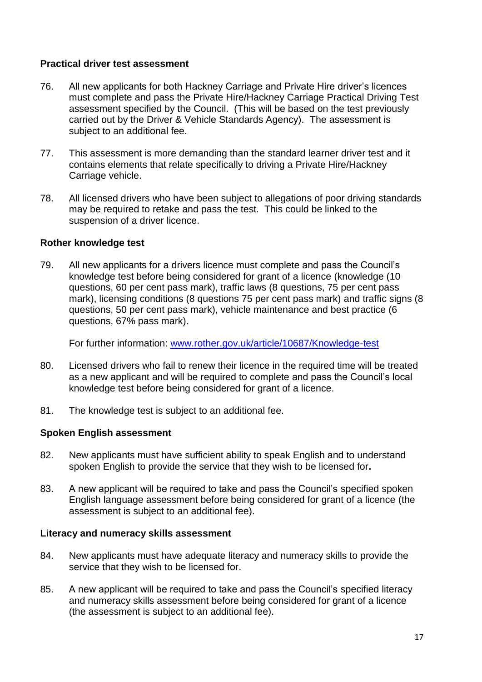#### **Practical driver test assessment**

- 76. All new applicants for both Hackney Carriage and Private Hire driver"s licences must complete and pass the Private Hire/Hackney Carriage Practical Driving Test assessment specified by the Council. (This will be based on the test previously carried out by the Driver & Vehicle Standards Agency). The assessment is subject to an additional fee.
- 77. This assessment is more demanding than the standard learner driver test and it contains elements that relate specifically to driving a Private Hire/Hackney Carriage vehicle.
- 78. All licensed drivers who have been subject to allegations of poor driving standards may be required to retake and pass the test. This could be linked to the suspension of a driver licence.

#### **Rother knowledge test**

79. All new applicants for a drivers licence must complete and pass the Council"s knowledge test before being considered for grant of a licence (knowledge (10 questions, 60 per cent pass mark), traffic laws (8 questions, 75 per cent pass mark), licensing conditions (8 questions 75 per cent pass mark) and traffic signs (8 questions, 50 per cent pass mark), vehicle maintenance and best practice (6 questions, 67% pass mark).

For further information: [www.rother.gov.uk/article/10687/Knowledge-test](http://www.rother.gov.uk/article/10687/Knowledge-test)

- 80. Licensed drivers who fail to renew their licence in the required time will be treated as a new applicant and will be required to complete and pass the Council"s local knowledge test before being considered for grant of a licence.
- 81. The knowledge test is subject to an additional fee.

#### **Spoken English assessment**

- 82. New applicants must have sufficient ability to speak English and to understand spoken English to provide the service that they wish to be licensed for**.**
- 83. A new applicant will be required to take and pass the Council"s specified spoken English language assessment before being considered for grant of a licence (the assessment is subject to an additional fee).

#### **Literacy and numeracy skills assessment**

- 84. New applicants must have adequate literacy and numeracy skills to provide the service that they wish to be licensed for.
- 85. A new applicant will be required to take and pass the Council"s specified literacy and numeracy skills assessment before being considered for grant of a licence (the assessment is subject to an additional fee).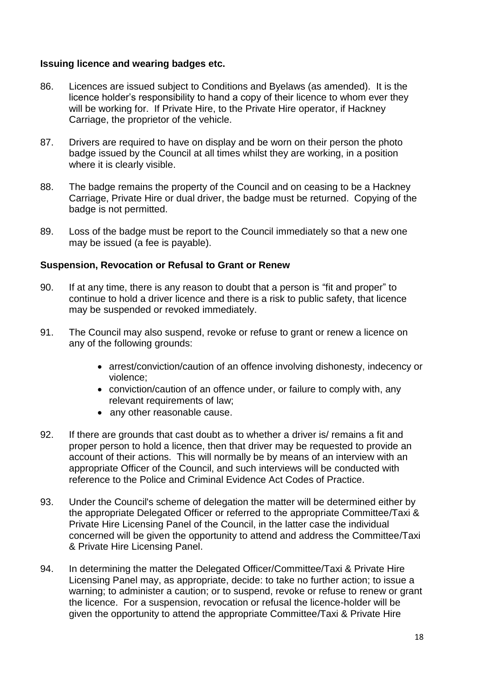### **Issuing licence and wearing badges etc.**

- 86. Licences are issued subject to Conditions and Byelaws (as amended). It is the licence holder"s responsibility to hand a copy of their licence to whom ever they will be working for. If Private Hire, to the Private Hire operator, if Hackney Carriage, the proprietor of the vehicle.
- 87. Drivers are required to have on display and be worn on their person the photo badge issued by the Council at all times whilst they are working, in a position where it is clearly visible.
- 88. The badge remains the property of the Council and on ceasing to be a Hackney Carriage, Private Hire or dual driver, the badge must be returned. Copying of the badge is not permitted.
- 89. Loss of the badge must be report to the Council immediately so that a new one may be issued (a fee is payable).

# **Suspension, Revocation or Refusal to Grant or Renew**

- 90. If at any time, there is any reason to doubt that a person is "fit and proper" to continue to hold a driver licence and there is a risk to public safety, that licence may be suspended or revoked immediately.
- 91. The Council may also suspend, revoke or refuse to grant or renew a licence on any of the following grounds:
	- arrest/conviction/caution of an offence involving dishonesty, indecency or violence;
	- conviction/caution of an offence under, or failure to comply with, any relevant requirements of law;
	- any other reasonable cause.
- 92. If there are grounds that cast doubt as to whether a driver is/ remains a fit and proper person to hold a licence, then that driver may be requested to provide an account of their actions. This will normally be by means of an interview with an appropriate Officer of the Council, and such interviews will be conducted with reference to the Police and Criminal Evidence Act Codes of Practice.
- 93. Under the Council's scheme of delegation the matter will be determined either by the appropriate Delegated Officer or referred to the appropriate Committee/Taxi & Private Hire Licensing Panel of the Council, in the latter case the individual concerned will be given the opportunity to attend and address the Committee/Taxi & Private Hire Licensing Panel.
- 94. In determining the matter the Delegated Officer/Committee/Taxi & Private Hire Licensing Panel may, as appropriate, decide: to take no further action; to issue a warning; to administer a caution; or to suspend, revoke or refuse to renew or grant the licence. For a suspension, revocation or refusal the licence-holder will be given the opportunity to attend the appropriate Committee/Taxi & Private Hire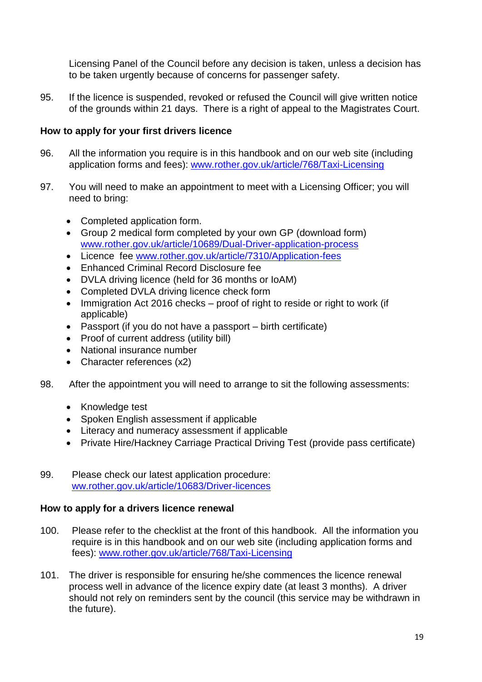Licensing Panel of the Council before any decision is taken, unless a decision has to be taken urgently because of concerns for passenger safety.

95. If the licence is suspended, revoked or refused the Council will give written notice of the grounds within 21 days. There is a right of appeal to the Magistrates Court.

# **How to apply for your first drivers licence**

- 96. All the information you require is in this handbook and on our web site (including application forms and fees): www.rother.gov.uk/article/768/Taxi-Licensing
- 97. You will need to make an appointment to meet with a Licensing Officer; you will need to bring:
	- Completed application form.
	- Group 2 medical form completed by your own GP (download form) [www.rother.gov.uk/article/10689/Dual-Driver-application-process](http://www.rother.gov.uk/article/10689/Dual-Driver-application-process)
	- Licence fee www.rother.gov.uk/article/7310/Application-fees
	- Enhanced Criminal Record Disclosure fee
	- DVLA driving licence (held for 36 months or IoAM)
	- Completed DVLA driving licence check form
	- Immigration Act 2016 checks proof of right to reside or right to work (if applicable)
	- Passport (if you do not have a passport birth certificate)
	- Proof of current address (utility bill)
	- National insurance number
	- Character references (x2)
- 98. After the appointment you will need to arrange to sit the following assessments:
	- Knowledge test
	- Spoken English assessment if applicable
	- Literacy and numeracy assessment if applicable
	- Private Hire/Hackney Carriage Practical Driving Test (provide pass certificate)
- 99. Please check our latest application procedure: ww.rother.gov.uk/article/10683/Driver-licences

#### **How to apply for a drivers licence renewal**

- 100. Please refer to the checklist at the front of this handbook. All the information you require is in this handbook and on our web site (including application forms and fees): www.rother.gov.uk/article/768/Taxi-Licensing
- 101. The driver is responsible for ensuring he/she commences the licence renewal process well in advance of the licence expiry date (at least 3 months). A driver should not rely on reminders sent by the council (this service may be withdrawn in the future).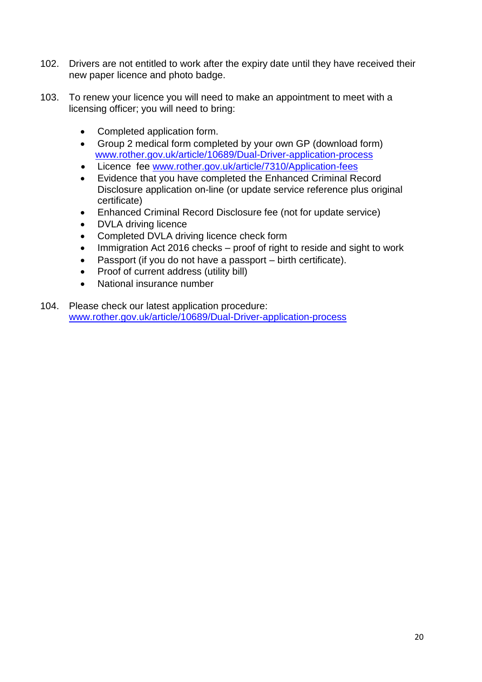- 102. Drivers are not entitled to work after the expiry date until they have received their new paper licence and photo badge.
- 103. To renew your licence you will need to make an appointment to meet with a licensing officer; you will need to bring:
	- Completed application form.
	- Group 2 medical form completed by your own GP (download form) www.rother.gov.uk/article/10689/Dual-Driver-application-process
	- Licence fee www.rother.gov.uk/article/7310/Application-fees
	- Evidence that you have completed the Enhanced Criminal Record Disclosure application on-line (or update service reference plus original certificate)
	- Enhanced Criminal Record Disclosure fee (not for update service)
	- DVLA driving licence
	- Completed DVLA driving licence check form
	- Immigration Act 2016 checks proof of right to reside and sight to work
	- Passport (if you do not have a passport birth certificate).
	- Proof of current address (utility bill)
	- National insurance number
- 104. Please check our latest application procedure: www.rother.gov.uk/article/10689/Dual-Driver-application-process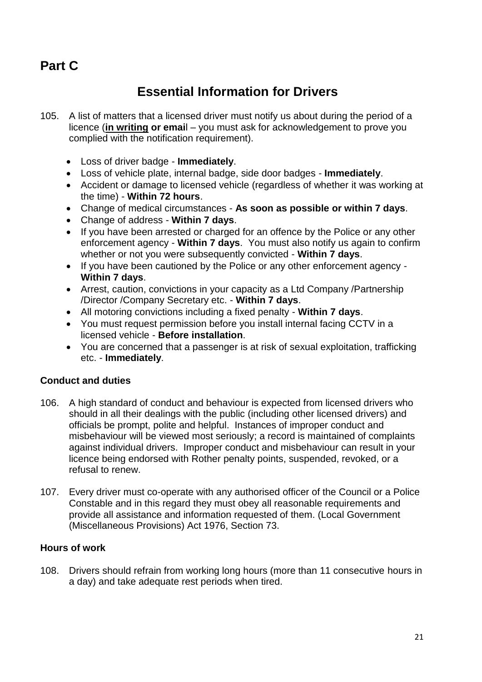# **Part C**

# **Essential Information for Drivers**

- 105. A list of matters that a licensed driver must notify us about during the period of a licence (**in writing or emai**l – you must ask for acknowledgement to prove you complied with the notification requirement).
	- Loss of driver badge **Immediately**.
	- Loss of vehicle plate, internal badge, side door badges **Immediately**.
	- Accident or damage to licensed vehicle (regardless of whether it was working at the time) - **Within 72 hours**.
	- Change of medical circumstances **As soon as possible or within 7 days**.
	- Change of address **Within 7 days**.
	- If you have been arrested or charged for an offence by the Police or any other enforcement agency - **Within 7 days**. You must also notify us again to confirm whether or not you were subsequently convicted - **Within 7 days**.
	- If you have been cautioned by the Police or any other enforcement agency -**Within 7 days**.
	- Arrest, caution, convictions in your capacity as a Ltd Company /Partnership /Director /Company Secretary etc. - **Within 7 days**.
	- All motoring convictions including a fixed penalty **Within 7 days**.
	- You must request permission before you install internal facing CCTV in a licensed vehicle - **Before installation**.
	- You are concerned that a passenger is at risk of sexual exploitation, trafficking etc. - **Immediately**.

# **Conduct and duties**

- 106. A high standard of conduct and behaviour is expected from licensed drivers who should in all their dealings with the public (including other licensed drivers) and officials be prompt, polite and helpful. Instances of improper conduct and misbehaviour will be viewed most seriously; a record is maintained of complaints against individual drivers. Improper conduct and misbehaviour can result in your licence being endorsed with Rother penalty points, suspended, revoked, or a refusal to renew.
- 107. Every driver must co-operate with any authorised officer of the Council or a Police Constable and in this regard they must obey all reasonable requirements and provide all assistance and information requested of them. (Local Government (Miscellaneous Provisions) Act 1976, Section 73.

#### **Hours of work**

108. Drivers should refrain from working long hours (more than 11 consecutive hours in a day) and take adequate rest periods when tired.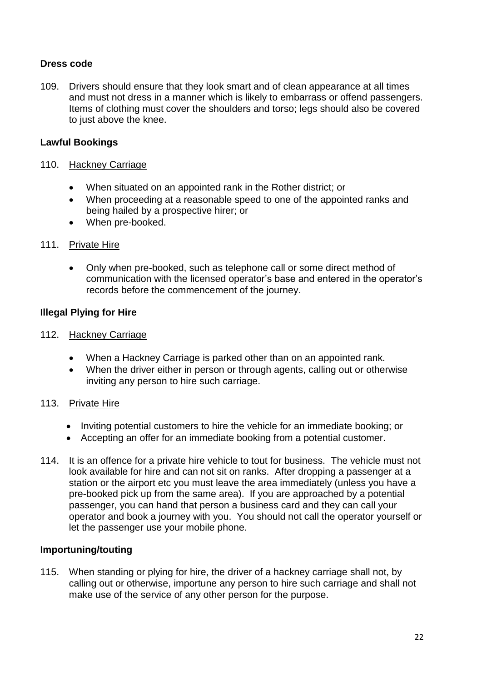# **Dress code**

109. Drivers should ensure that they look smart and of clean appearance at all times and must not dress in a manner which is likely to embarrass or offend passengers. Items of clothing must cover the shoulders and torso; legs should also be covered to just above the knee.

# **Lawful Bookings**

# 110. Hackney Carriage

- When situated on an appointed rank in the Rother district; or
- When proceeding at a reasonable speed to one of the appointed ranks and being hailed by a prospective hirer; or
- When pre-booked.

# 111. Private Hire

 Only when pre-booked, such as telephone call or some direct method of communication with the licensed operator"s base and entered in the operator"s records before the commencement of the journey.

# **Illegal Plying for Hire**

#### 112. Hackney Carriage

- When a Hackney Carriage is parked other than on an appointed rank.
- When the driver either in person or through agents, calling out or otherwise inviting any person to hire such carriage.

# 113. Private Hire

- Inviting potential customers to hire the vehicle for an immediate booking; or
- Accepting an offer for an immediate booking from a potential customer.
- 114. It is an offence for a private hire vehicle to tout for business. The vehicle must not look available for hire and can not sit on ranks. After dropping a passenger at a station or the airport etc you must leave the area immediately (unless you have a pre-booked pick up from the same area). If you are approached by a potential passenger, you can hand that person a business card and they can call your operator and book a journey with you. You should not call the operator yourself or let the passenger use your mobile phone.

#### **Importuning/touting**

115. When standing or plying for hire, the driver of a hackney carriage shall not, by calling out or otherwise, importune any person to hire such carriage and shall not make use of the service of any other person for the purpose.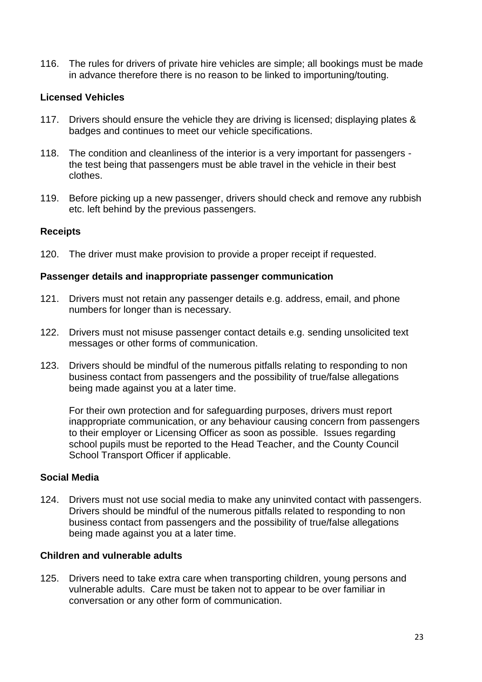116. The rules for drivers of private hire vehicles are simple; all bookings must be made in advance therefore there is no reason to be linked to importuning/touting.

# **Licensed Vehicles**

- 117. Drivers should ensure the vehicle they are driving is licensed; displaying plates & badges and continues to meet our vehicle specifications.
- 118. The condition and cleanliness of the interior is a very important for passengers the test being that passengers must be able travel in the vehicle in their best clothes.
- 119. Before picking up a new passenger, drivers should check and remove any rubbish etc. left behind by the previous passengers.

#### **Receipts**

120. The driver must make provision to provide a proper receipt if requested.

#### **Passenger details and inappropriate passenger communication**

- 121. Drivers must not retain any passenger details e.g. address, email, and phone numbers for longer than is necessary.
- 122. Drivers must not misuse passenger contact details e.g. sending unsolicited text messages or other forms of communication.
- 123. Drivers should be mindful of the numerous pitfalls relating to responding to non business contact from passengers and the possibility of true/false allegations being made against you at a later time.

For their own protection and for safeguarding purposes, drivers must report inappropriate communication, or any behaviour causing concern from passengers to their employer or Licensing Officer as soon as possible. Issues regarding school pupils must be reported to the Head Teacher, and the County Council School Transport Officer if applicable.

# **Social Media**

124. Drivers must not use social media to make any uninvited contact with passengers. Drivers should be mindful of the numerous pitfalls related to responding to non business contact from passengers and the possibility of true/false allegations being made against you at a later time.

### **Children and vulnerable adults**

125. Drivers need to take extra care when transporting children, young persons and vulnerable adults. Care must be taken not to appear to be over familiar in conversation or any other form of communication.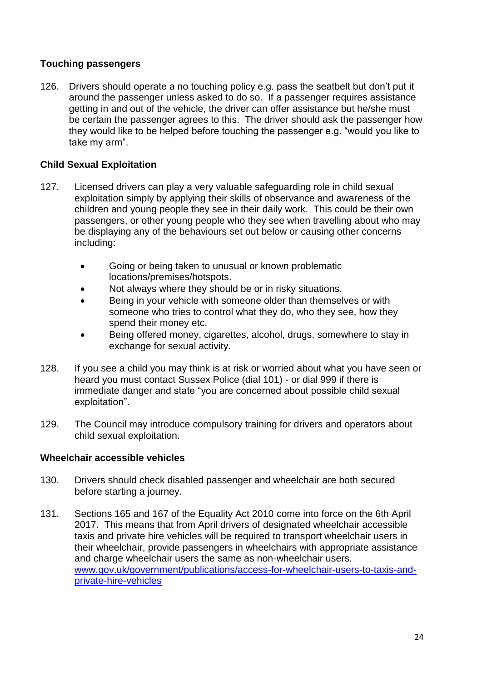# **Touching passengers**

126. Drivers should operate a no touching policy e.g. pass the seatbelt but don"t put it around the passenger unless asked to do so. If a passenger requires assistance getting in and out of the vehicle, the driver can offer assistance but he/she must be certain the passenger agrees to this. The driver should ask the passenger how they would like to be helped before touching the passenger e.g. "would you like to take my arm".

# **Child Sexual Exploitation**

- 127. Licensed drivers can play a very valuable safeguarding role in child sexual exploitation simply by applying their skills of observance and awareness of the children and young people they see in their daily work. This could be their own passengers, or other young people who they see when travelling about who may be displaying any of the behaviours set out below or causing other concerns including:
	- Going or being taken to unusual or known problematic locations/premises/hotspots.
	- Not always where they should be or in risky situations.
	- **Being in your vehicle with someone older than themselves or with** someone who tries to control what they do, who they see, how they spend their money etc.
	- Being offered money, cigarettes, alcohol, drugs, somewhere to stay in exchange for sexual activity.
- 128. If you see a child you may think is at risk or worried about what you have seen or heard you must contact Sussex Police (dial 101) - or dial 999 if there is immediate danger and state "you are concerned about possible child sexual exploitation".
- 129. The Council may introduce compulsory training for drivers and operators about child sexual exploitation.

# **Wheelchair accessible vehicles**

- 130. Drivers should check disabled passenger and wheelchair are both secured before starting a journey.
- 131. Sections 165 and 167 of the Equality Act 2010 come into force on the 6th April 2017. This means that from April drivers of designated wheelchair accessible taxis and private hire vehicles will be required to transport wheelchair users in their wheelchair, provide passengers in wheelchairs with appropriate assistance and charge wheelchair users the same as non-wheelchair users. [www.gov.uk/government/publications/access-for-wheelchair-users-to-taxis-and](http://www.gov.uk/government/publications/access-for-wheelchair-users-to-taxis-and-private-hire-vehicles)[private-hire-vehicles](http://www.gov.uk/government/publications/access-for-wheelchair-users-to-taxis-and-private-hire-vehicles)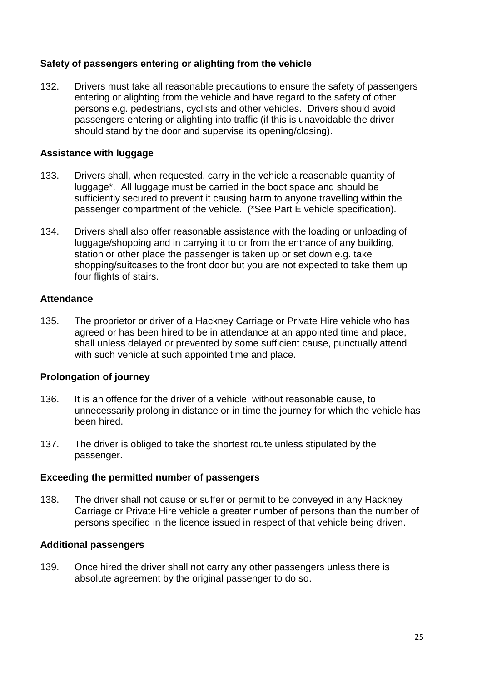# **Safety of passengers entering or alighting from the vehicle**

132. Drivers must take all reasonable precautions to ensure the safety of passengers entering or alighting from the vehicle and have regard to the safety of other persons e.g. pedestrians, cyclists and other vehicles. Drivers should avoid passengers entering or alighting into traffic (if this is unavoidable the driver should stand by the door and supervise its opening/closing).

#### **Assistance with luggage**

- 133. Drivers shall, when requested, carry in the vehicle a reasonable quantity of luggage\*. All luggage must be carried in the boot space and should be sufficiently secured to prevent it causing harm to anyone travelling within the passenger compartment of the vehicle. (\*See Part E vehicle specification).
- 134. Drivers shall also offer reasonable assistance with the loading or unloading of luggage/shopping and in carrying it to or from the entrance of any building, station or other place the passenger is taken up or set down e.g. take shopping/suitcases to the front door but you are not expected to take them up four flights of stairs.

#### **Attendance**

135. The proprietor or driver of a Hackney Carriage or Private Hire vehicle who has agreed or has been hired to be in attendance at an appointed time and place, shall unless delayed or prevented by some sufficient cause, punctually attend with such vehicle at such appointed time and place.

# **Prolongation of journey**

- 136. It is an offence for the driver of a vehicle, without reasonable cause, to unnecessarily prolong in distance or in time the journey for which the vehicle has been hired.
- 137. The driver is obliged to take the shortest route unless stipulated by the passenger.

#### **Exceeding the permitted number of passengers**

138. The driver shall not cause or suffer or permit to be conveyed in any Hackney Carriage or Private Hire vehicle a greater number of persons than the number of persons specified in the licence issued in respect of that vehicle being driven.

#### **Additional passengers**

139. Once hired the driver shall not carry any other passengers unless there is absolute agreement by the original passenger to do so.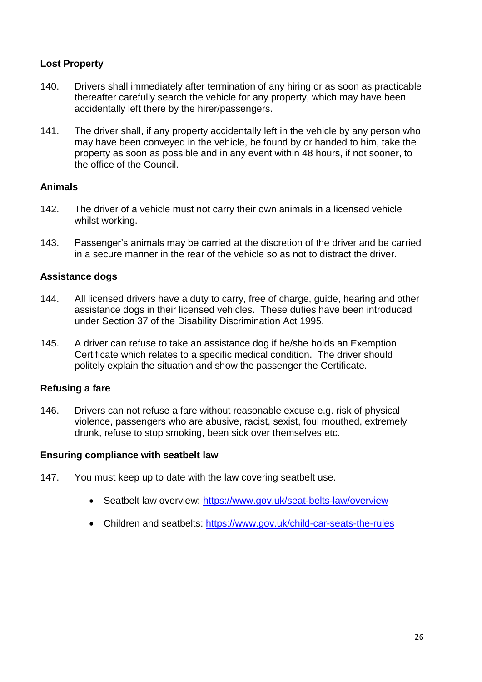# **Lost Property**

- 140. Drivers shall immediately after termination of any hiring or as soon as practicable thereafter carefully search the vehicle for any property, which may have been accidentally left there by the hirer/passengers.
- 141. The driver shall, if any property accidentally left in the vehicle by any person who may have been conveyed in the vehicle, be found by or handed to him, take the property as soon as possible and in any event within 48 hours, if not sooner, to the office of the Council.

#### **Animals**

- 142. The driver of a vehicle must not carry their own animals in a licensed vehicle whilst working.
- 143. Passenger"s animals may be carried at the discretion of the driver and be carried in a secure manner in the rear of the vehicle so as not to distract the driver.

# **Assistance dogs**

- 144. All licensed drivers have a duty to carry, free of charge, guide, hearing and other assistance dogs in their licensed vehicles. These duties have been introduced under Section 37 of the Disability Discrimination Act 1995.
- 145. A driver can refuse to take an assistance dog if he/she holds an Exemption Certificate which relates to a specific medical condition. The driver should politely explain the situation and show the passenger the Certificate.

#### **Refusing a fare**

146. Drivers can not refuse a fare without reasonable excuse e.g. risk of physical violence, passengers who are abusive, racist, sexist, foul mouthed, extremely drunk, refuse to stop smoking, been sick over themselves etc.

#### **Ensuring compliance with seatbelt law**

- 147. You must keep up to date with the law covering seatbelt use.
	- Seatbelt law overview:<https://www.gov.uk/seat-belts-law/overview>
	- Children and seatbelts:<https://www.gov.uk/child-car-seats-the-rules>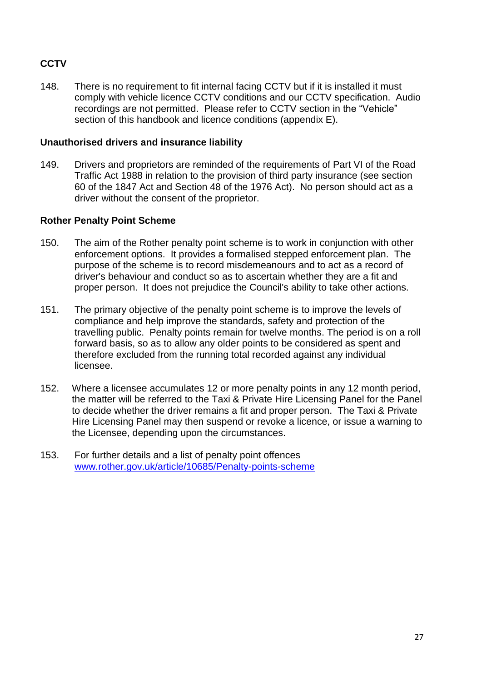# **CCTV**

148. There is no requirement to fit internal facing CCTV but if it is installed it must comply with vehicle licence CCTV conditions and our CCTV specification. Audio recordings are not permitted. Please refer to CCTV section in the "Vehicle" section of this handbook and licence conditions (appendix E).

#### **Unauthorised drivers and insurance liability**

149. Drivers and proprietors are reminded of the requirements of Part VI of the Road Traffic Act 1988 in relation to the provision of third party insurance (see section 60 of the 1847 Act and Section 48 of the 1976 Act). No person should act as a driver without the consent of the proprietor.

#### **Rother Penalty Point Scheme**

- 150. The aim of the Rother penalty point scheme is to work in conjunction with other enforcement options. It provides a formalised stepped enforcement plan. The purpose of the scheme is to record misdemeanours and to act as a record of driver's behaviour and conduct so as to ascertain whether they are a fit and proper person. It does not prejudice the Council's ability to take other actions.
- 151. The primary objective of the penalty point scheme is to improve the levels of compliance and help improve the standards, safety and protection of the travelling public. Penalty points remain for twelve months. The period is on a roll forward basis, so as to allow any older points to be considered as spent and therefore excluded from the running total recorded against any individual licensee.
- 152. Where a licensee accumulates 12 or more penalty points in any 12 month period, the matter will be referred to the Taxi & Private Hire Licensing Panel for the Panel to decide whether the driver remains a fit and proper person. The Taxi & Private Hire Licensing Panel may then suspend or revoke a licence, or issue a warning to the Licensee, depending upon the circumstances.
- 153. For further details and a list of penalty point offences [www.rother.gov.uk/article/10685/Penalty-points-scheme](http://www.rother.gov.uk/article/10685/Penalty-points-scheme)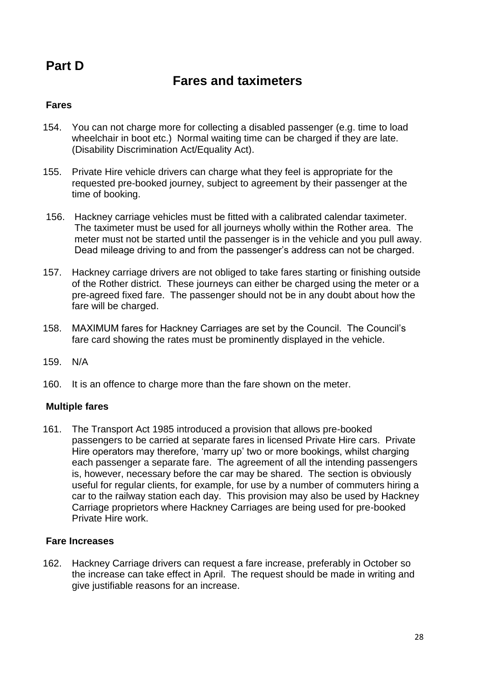# **Part D**

# **Fares and taximeters**

# **Fares**

- 154. You can not charge more for collecting a disabled passenger (e.g. time to load wheelchair in boot etc.) Normal waiting time can be charged if they are late. (Disability Discrimination Act/Equality Act).
- 155. Private Hire vehicle drivers can charge what they feel is appropriate for the requested pre-booked journey, subject to agreement by their passenger at the time of booking.
- 156. Hackney carriage vehicles must be fitted with a calibrated calendar taximeter. The taximeter must be used for all journeys wholly within the Rother area. The meter must not be started until the passenger is in the vehicle and you pull away. Dead mileage driving to and from the passenger's address can not be charged.
- 157. Hackney carriage drivers are not obliged to take fares starting or finishing outside of the Rother district. These journeys can either be charged using the meter or a pre-agreed fixed fare. The passenger should not be in any doubt about how the fare will be charged.
- 158. MAXIMUM fares for Hackney Carriages are set by the Council. The Council"s fare card showing the rates must be prominently displayed in the vehicle.
- 159. N/A
- 160. It is an offence to charge more than the fare shown on the meter.

#### **Multiple fares**

161. The Transport Act 1985 introduced a provision that allows pre-booked passengers to be carried at separate fares in licensed Private Hire cars. Private Hire operators may therefore, "marry up" two or more bookings, whilst charging each passenger a separate fare. The agreement of all the intending passengers is, however, necessary before the car may be shared. The section is obviously useful for regular clients, for example, for use by a number of commuters hiring a car to the railway station each day. This provision may also be used by Hackney Carriage proprietors where Hackney Carriages are being used for pre-booked Private Hire work.

#### **Fare Increases**

162. Hackney Carriage drivers can request a fare increase, preferably in October so the increase can take effect in April. The request should be made in writing and give justifiable reasons for an increase.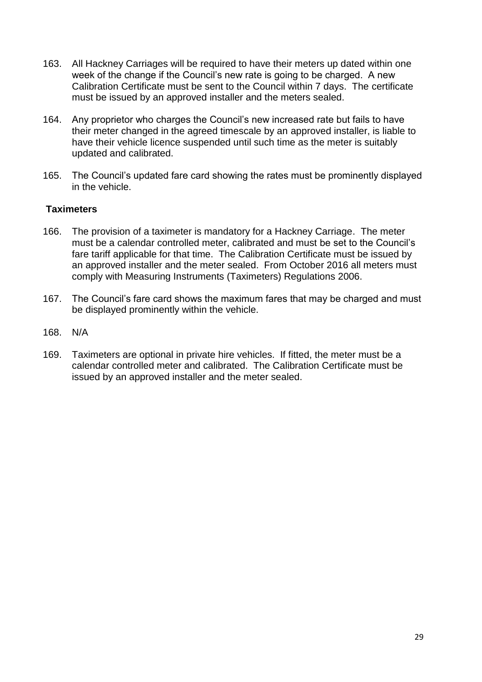- 163. All Hackney Carriages will be required to have their meters up dated within one week of the change if the Council's new rate is going to be charged. A new Calibration Certificate must be sent to the Council within 7 days. The certificate must be issued by an approved installer and the meters sealed.
- 164. Any proprietor who charges the Council"s new increased rate but fails to have their meter changed in the agreed timescale by an approved installer, is liable to have their vehicle licence suspended until such time as the meter is suitably updated and calibrated.
- 165. The Council"s updated fare card showing the rates must be prominently displayed in the vehicle.

# **Taximeters**

- 166. The provision of a taximeter is mandatory for a Hackney Carriage. The meter must be a calendar controlled meter, calibrated and must be set to the Council"s fare tariff applicable for that time. The Calibration Certificate must be issued by an approved installer and the meter sealed. From October 2016 all meters must comply with Measuring Instruments (Taximeters) Regulations 2006.
- 167. The Council"s fare card shows the maximum fares that may be charged and must be displayed prominently within the vehicle.
- 168. N/A
- 169. Taximeters are optional in private hire vehicles. If fitted, the meter must be a calendar controlled meter and calibrated. The Calibration Certificate must be issued by an approved installer and the meter sealed.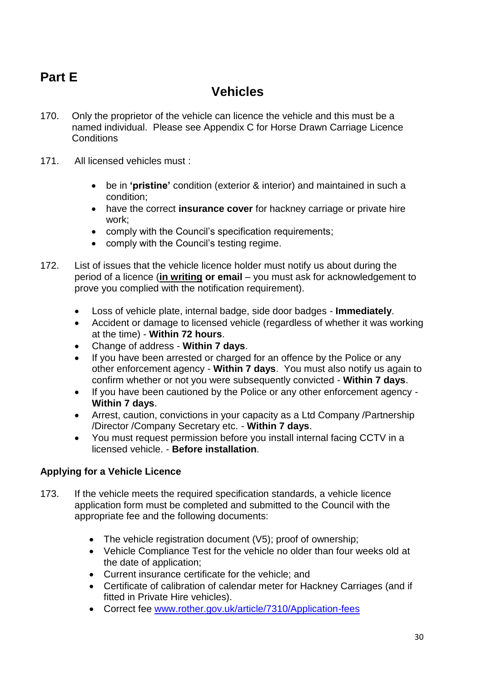# **Part E**

# **Vehicles**

- 170. Only the proprietor of the vehicle can licence the vehicle and this must be a named individual. Please see Appendix C for Horse Drawn Carriage Licence **Conditions**
- 171. All licensed vehicles must :
	- be in **'pristine'** condition (exterior & interior) and maintained in such a condition;
	- have the correct **insurance cover** for hackney carriage or private hire work;
	- comply with the Council's specification requirements;
	- comply with the Council's testing regime.
- 172. List of issues that the vehicle licence holder must notify us about during the period of a licence (**in writing or email** – you must ask for acknowledgement to prove you complied with the notification requirement).
	- Loss of vehicle plate, internal badge, side door badges **Immediately**.
	- Accident or damage to licensed vehicle (regardless of whether it was working at the time) - **Within 72 hours**.
	- Change of address **Within 7 days**.
	- If you have been arrested or charged for an offence by the Police or any other enforcement agency - **Within 7 days**. You must also notify us again to confirm whether or not you were subsequently convicted - **Within 7 days**.
	- If you have been cautioned by the Police or any other enforcement agency **Within 7 days**.
	- Arrest, caution, convictions in your capacity as a Ltd Company /Partnership /Director /Company Secretary etc. - **Within 7 days**.
	- You must request permission before you install internal facing CCTV in a licensed vehicle. - **Before installation**.

# **Applying for a Vehicle Licence**

- 173. If the vehicle meets the required specification standards, a vehicle licence application form must be completed and submitted to the Council with the appropriate fee and the following documents:
	- The vehicle registration document (V5); proof of ownership;
	- Vehicle Compliance Test for the vehicle no older than four weeks old at the date of application;
	- Current insurance certificate for the vehicle; and
	- Certificate of calibration of calendar meter for Hackney Carriages (and if fitted in Private Hire vehicles).
	- Correct fee www.rother.gov.uk/article/7310/Application-fees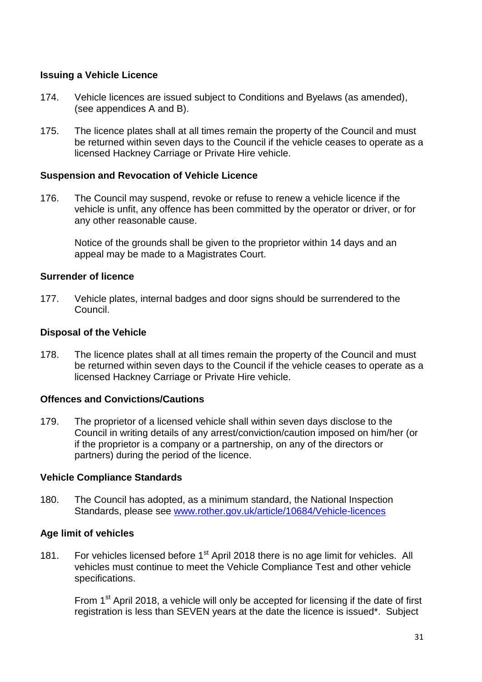#### **Issuing a Vehicle Licence**

- 174. Vehicle licences are issued subject to Conditions and Byelaws (as amended), (see appendices A and B).
- 175. The licence plates shall at all times remain the property of the Council and must be returned within seven days to the Council if the vehicle ceases to operate as a licensed Hackney Carriage or Private Hire vehicle.

#### **Suspension and Revocation of Vehicle Licence**

176. The Council may suspend, revoke or refuse to renew a vehicle licence if the vehicle is unfit, any offence has been committed by the operator or driver, or for any other reasonable cause.

Notice of the grounds shall be given to the proprietor within 14 days and an appeal may be made to a Magistrates Court.

#### **Surrender of licence**

177. Vehicle plates, internal badges and door signs should be surrendered to the Council.

# **Disposal of the Vehicle**

178. The licence plates shall at all times remain the property of the Council and must be returned within seven days to the Council if the vehicle ceases to operate as a licensed Hackney Carriage or Private Hire vehicle.

#### **Offences and Convictions/Cautions**

179. The proprietor of a licensed vehicle shall within seven days disclose to the Council in writing details of any arrest/conviction/caution imposed on him/her (or if the proprietor is a company or a partnership, on any of the directors or partners) during the period of the licence.

# **Vehicle Compliance Standards**

180. The Council has adopted, as a minimum standard, the National Inspection Standards, please see [www.rother.gov.uk/article/10684/Vehicle-licences](http://www.rother.gov.uk/article/10684/Vehicle-licences)

# **Age limit of vehicles**

181. For vehicles licensed before 1<sup>st</sup> April 2018 there is no age limit for vehicles. All vehicles must continue to meet the Vehicle Compliance Test and other vehicle specifications.

From  $1<sup>st</sup>$  April 2018, a vehicle will only be accepted for licensing if the date of first registration is less than SEVEN years at the date the licence is issued\*. Subject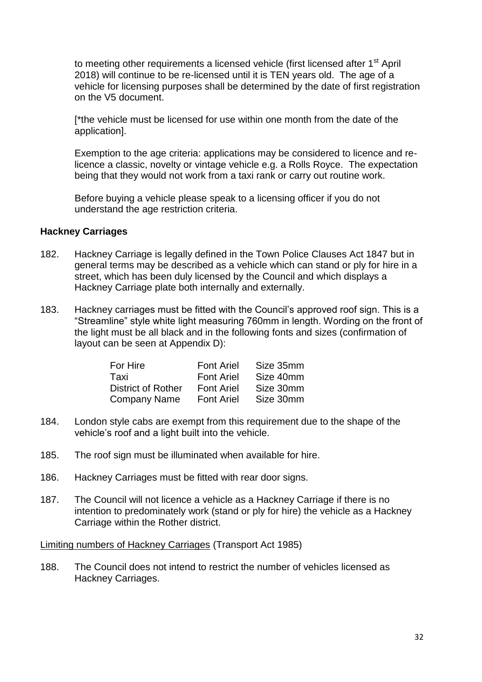to meeting other requirements a licensed vehicle (first licensed after 1<sup>st</sup> April 2018) will continue to be re-licensed until it is TEN years old. The age of a vehicle for licensing purposes shall be determined by the date of first registration on the V5 document.

[\*the vehicle must be licensed for use within one month from the date of the application].

Exemption to the age criteria: applications may be considered to licence and relicence a classic, novelty or vintage vehicle e.g. a Rolls Royce. The expectation being that they would not work from a taxi rank or carry out routine work.

Before buying a vehicle please speak to a licensing officer if you do not understand the age restriction criteria.

#### **Hackney Carriages**

- 182. Hackney Carriage is legally defined in the Town Police Clauses Act 1847 but in general terms may be described as a vehicle which can stand or ply for hire in a street, which has been duly licensed by the Council and which displays a Hackney Carriage plate both internally and externally.
- 183. Hackney carriages must be fitted with the Council"s approved roof sign. This is a "Streamline" style white light measuring 760mm in length. Wording on the front of the light must be all black and in the following fonts and sizes (confirmation of layout can be seen at Appendix D):

| For Hire                  | <b>Font Ariel</b> | Size 35mm |
|---------------------------|-------------------|-----------|
| Taxi                      | <b>Font Ariel</b> | Size 40mm |
| <b>District of Rother</b> | <b>Font Ariel</b> | Size 30mm |
| <b>Company Name</b>       | <b>Font Ariel</b> | Size 30mm |

- 184. London style cabs are exempt from this requirement due to the shape of the vehicle"s roof and a light built into the vehicle.
- 185. The roof sign must be illuminated when available for hire.
- 186. Hackney Carriages must be fitted with rear door signs.
- 187. The Council will not licence a vehicle as a Hackney Carriage if there is no intention to predominately work (stand or ply for hire) the vehicle as a Hackney Carriage within the Rother district.

Limiting numbers of Hackney Carriages (Transport Act 1985)

188. The Council does not intend to restrict the number of vehicles licensed as Hackney Carriages.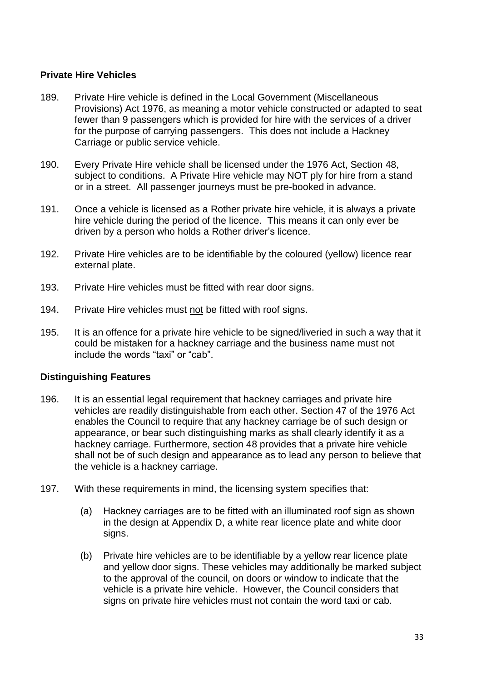# **Private Hire Vehicles**

- 189. Private Hire vehicle is defined in the Local Government (Miscellaneous Provisions) Act 1976, as meaning a motor vehicle constructed or adapted to seat fewer than 9 passengers which is provided for hire with the services of a driver for the purpose of carrying passengers. This does not include a Hackney Carriage or public service vehicle.
- 190. Every Private Hire vehicle shall be licensed under the 1976 Act, Section 48, subject to conditions. A Private Hire vehicle may NOT ply for hire from a stand or in a street. All passenger journeys must be pre-booked in advance.
- 191. Once a vehicle is licensed as a Rother private hire vehicle, it is always a private hire vehicle during the period of the licence. This means it can only ever be driven by a person who holds a Rother driver's licence.
- 192. Private Hire vehicles are to be identifiable by the coloured (yellow) licence rear external plate.
- 193. Private Hire vehicles must be fitted with rear door signs.
- 194. Private Hire vehicles must not be fitted with roof signs.
- 195. It is an offence for a private hire vehicle to be signed/liveried in such a way that it could be mistaken for a hackney carriage and the business name must not include the words "taxi" or "cab".

#### **Distinguishing Features**

- 196. It is an essential legal requirement that hackney carriages and private hire vehicles are readily distinguishable from each other. Section 47 of the 1976 Act enables the Council to require that any hackney carriage be of such design or appearance, or bear such distinguishing marks as shall clearly identify it as a hackney carriage. Furthermore, section 48 provides that a private hire vehicle shall not be of such design and appearance as to lead any person to believe that the vehicle is a hackney carriage.
- 197. With these requirements in mind, the licensing system specifies that:
	- (a) Hackney carriages are to be fitted with an illuminated roof sign as shown in the design at Appendix D, a white rear licence plate and white door signs.
	- (b) Private hire vehicles are to be identifiable by a yellow rear licence plate and yellow door signs. These vehicles may additionally be marked subject to the approval of the council, on doors or window to indicate that the vehicle is a private hire vehicle. However, the Council considers that signs on private hire vehicles must not contain the word taxi or cab.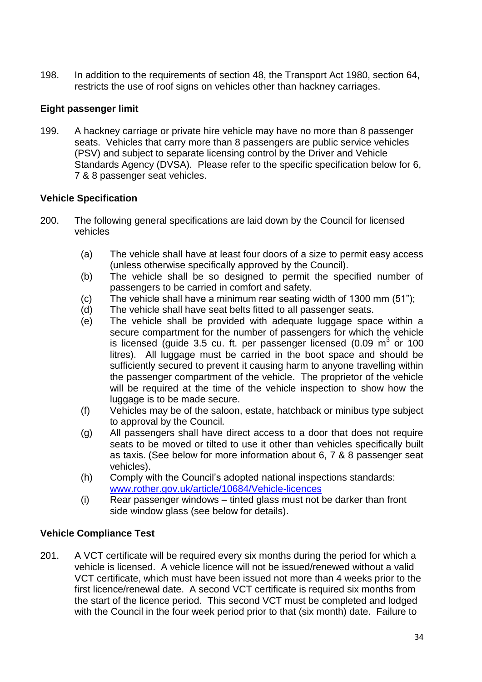198. In addition to the requirements of section 48, the Transport Act 1980, section 64, restricts the use of roof signs on vehicles other than hackney carriages.

# **Eight passenger limit**

199. A hackney carriage or private hire vehicle may have no more than 8 passenger seats. Vehicles that carry more than 8 passengers are public service vehicles (PSV) and subject to separate licensing control by the Driver and Vehicle Standards Agency (DVSA). Please refer to the specific specification below for 6, 7 & 8 passenger seat vehicles.

# **Vehicle Specification**

- 200. The following general specifications are laid down by the Council for licensed vehicles
	- (a) The vehicle shall have at least four doors of a size to permit easy access (unless otherwise specifically approved by the Council).
	- (b) The vehicle shall be so designed to permit the specified number of passengers to be carried in comfort and safety.
	- (c) The vehicle shall have a minimum rear seating width of 1300 mm (51");
	- (d) The vehicle shall have seat belts fitted to all passenger seats.
	- (e) The vehicle shall be provided with adequate luggage space within a secure compartment for the number of passengers for which the vehicle is licensed (guide 3.5 cu. ft. per passenger licensed  $(0.09 \text{ m}^3 \text{ or } 100 \text{ m}^3)$ litres). All luggage must be carried in the boot space and should be sufficiently secured to prevent it causing harm to anyone travelling within the passenger compartment of the vehicle. The proprietor of the vehicle will be required at the time of the vehicle inspection to show how the luggage is to be made secure.
	- (f) Vehicles may be of the saloon, estate, hatchback or minibus type subject to approval by the Council*.*
	- (g) All passengers shall have direct access to a door that does not require seats to be moved or tilted to use it other than vehicles specifically built as taxis. (See below for more information about 6, 7 & 8 passenger seat vehicles).
	- (h) Comply with the Council"s adopted national inspections standards: [www.rother.gov.uk/article/10684/Vehicle-licences](http://www.rother.gov.uk/article/10684/Vehicle-licences)
	- (i) Rear passenger windows tinted glass must not be darker than front side window glass (see below for details).

# **Vehicle Compliance Test**

201. A VCT certificate will be required every six months during the period for which a vehicle is licensed. A vehicle licence will not be issued/renewed without a valid VCT certificate, which must have been issued not more than 4 weeks prior to the first licence/renewal date. A second VCT certificate is required six months from the start of the licence period. This second VCT must be completed and lodged with the Council in the four week period prior to that (six month) date. Failure to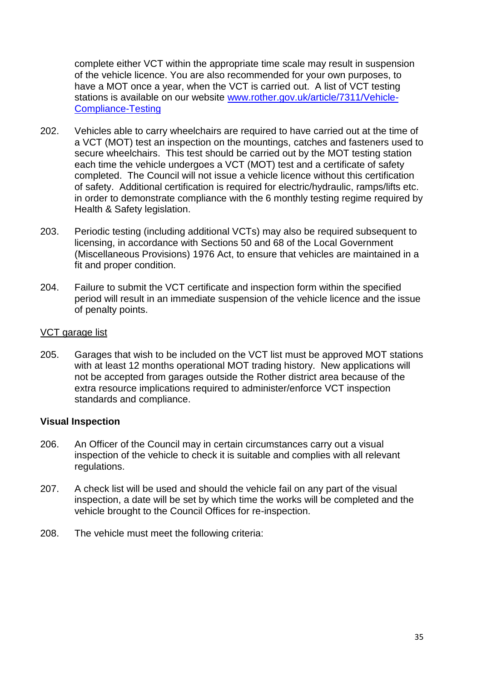complete either VCT within the appropriate time scale may result in suspension of the vehicle licence. You are also recommended for your own purposes, to have a MOT once a year, when the VCT is carried out. A list of VCT testing stations is available on our website www.rother.gov.uk/article/7311/Vehicle-Compliance-Testing

- 202. Vehicles able to carry wheelchairs are required to have carried out at the time of a VCT (MOT) test an inspection on the mountings, catches and fasteners used to secure wheelchairs. This test should be carried out by the MOT testing station each time the vehicle undergoes a VCT (MOT) test and a certificate of safety completed. The Council will not issue a vehicle licence without this certification of safety. Additional certification is required for electric/hydraulic, ramps/lifts etc. in order to demonstrate compliance with the 6 monthly testing regime required by Health & Safety legislation.
- 203. Periodic testing (including additional VCTs) may also be required subsequent to licensing, in accordance with Sections 50 and 68 of the Local Government (Miscellaneous Provisions) 1976 Act, to ensure that vehicles are maintained in a fit and proper condition.
- 204. Failure to submit the VCT certificate and inspection form within the specified period will result in an immediate suspension of the vehicle licence and the issue of penalty points.

#### VCT garage list

205. Garages that wish to be included on the VCT list must be approved MOT stations with at least 12 months operational MOT trading history. New applications will not be accepted from garages outside the Rother district area because of the extra resource implications required to administer/enforce VCT inspection standards and compliance.

#### **Visual Inspection**

- 206. An Officer of the Council may in certain circumstances carry out a visual inspection of the vehicle to check it is suitable and complies with all relevant regulations.
- 207. A check list will be used and should the vehicle fail on any part of the visual inspection, a date will be set by which time the works will be completed and the vehicle brought to the Council Offices for re-inspection.
- 208. The vehicle must meet the following criteria: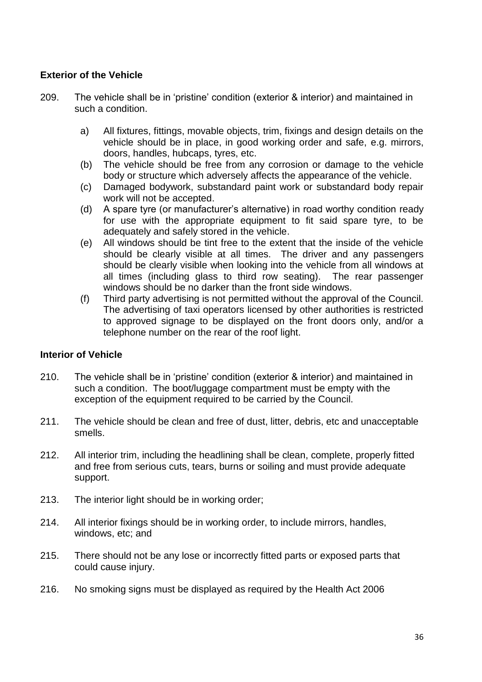# **Exterior of the Vehicle**

- 209. The vehicle shall be in "pristine" condition (exterior & interior) and maintained in such a condition.
	- a) All fixtures, fittings, movable objects, trim, fixings and design details on the vehicle should be in place, in good working order and safe, e.g. mirrors, doors, handles, hubcaps, tyres, etc.
	- (b) The vehicle should be free from any corrosion or damage to the vehicle body or structure which adversely affects the appearance of the vehicle.
	- (c) Damaged bodywork, substandard paint work or substandard body repair work will not be accepted.
	- (d) A spare tyre (or manufacturer"s alternative) in road worthy condition ready for use with the appropriate equipment to fit said spare tyre, to be adequately and safely stored in the vehicle.
	- (e) All windows should be tint free to the extent that the inside of the vehicle should be clearly visible at all times. The driver and any passengers should be clearly visible when looking into the vehicle from all windows at all times (including glass to third row seating). The rear passenger windows should be no darker than the front side windows.
	- (f) Third party advertising is not permitted without the approval of the Council. The advertising of taxi operators licensed by other authorities is restricted to approved signage to be displayed on the front doors only, and/or a telephone number on the rear of the roof light.

# **Interior of Vehicle**

- 210. The vehicle shall be in "pristine" condition (exterior & interior) and maintained in such a condition. The boot/luggage compartment must be empty with the exception of the equipment required to be carried by the Council.
- 211. The vehicle should be clean and free of dust, litter, debris, etc and unacceptable smells.
- 212. All interior trim, including the headlining shall be clean, complete, properly fitted and free from serious cuts, tears, burns or soiling and must provide adequate support.
- 213. The interior light should be in working order;
- 214. All interior fixings should be in working order, to include mirrors, handles, windows, etc; and
- 215. There should not be any lose or incorrectly fitted parts or exposed parts that could cause injury.
- 216. No smoking signs must be displayed as required by the Health Act 2006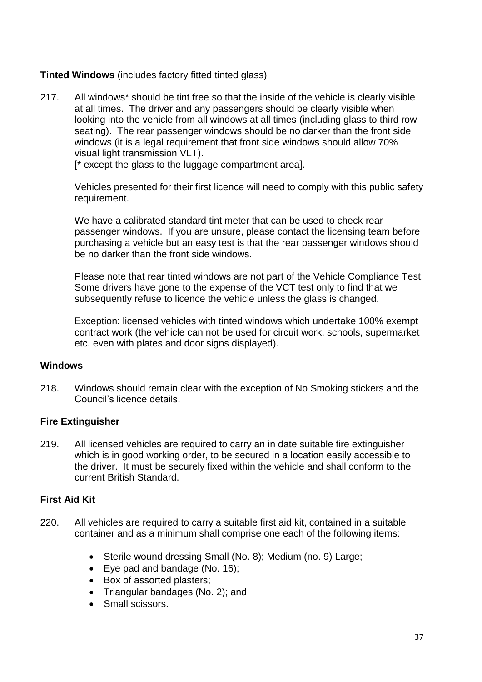## **Tinted Windows** (includes factory fitted tinted glass)

217. All windows\* should be tint free so that the inside of the vehicle is clearly visible at all times. The driver and any passengers should be clearly visible when looking into the vehicle from all windows at all times (including glass to third row seating). The rear passenger windows should be no darker than the front side windows (it is a legal requirement that front side windows should allow 70% visual light transmission VLT).

[\* except the glass to the luggage compartment area].

Vehicles presented for their first licence will need to comply with this public safety requirement.

We have a calibrated standard tint meter that can be used to check rear passenger windows. If you are unsure, please contact the licensing team before purchasing a vehicle but an easy test is that the rear passenger windows should be no darker than the front side windows.

Please note that rear tinted windows are not part of the Vehicle Compliance Test. Some drivers have gone to the expense of the VCT test only to find that we subsequently refuse to licence the vehicle unless the glass is changed.

Exception: licensed vehicles with tinted windows which undertake 100% exempt contract work (the vehicle can not be used for circuit work, schools, supermarket etc. even with plates and door signs displayed).

#### **Windows**

218. Windows should remain clear with the exception of No Smoking stickers and the Council"s licence details.

#### **Fire Extinguisher**

219. All licensed vehicles are required to carry an in date suitable fire extinguisher which is in good working order, to be secured in a location easily accessible to the driver. It must be securely fixed within the vehicle and shall conform to the current British Standard.

#### **First Aid Kit**

- 220. All vehicles are required to carry a suitable first aid kit, contained in a suitable container and as a minimum shall comprise one each of the following items:
	- Sterile wound dressing Small (No. 8); Medium (no. 9) Large;
	- Eye pad and bandage (No. 16);
	- Box of assorted plasters;
	- Triangular bandages (No. 2): and
	- Small scissors.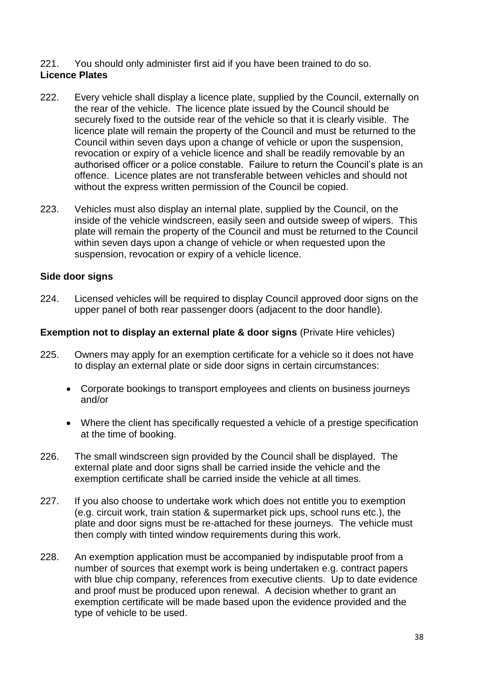#### 221. You should only administer first aid if you have been trained to do so. **Licence Plates**

- 222. Every vehicle shall display a licence plate, supplied by the Council, externally on the rear of the vehicle. The licence plate issued by the Council should be securely fixed to the outside rear of the vehicle so that it is clearly visible. The licence plate will remain the property of the Council and must be returned to the Council within seven days upon a change of vehicle or upon the suspension, revocation or expiry of a vehicle licence and shall be readily removable by an authorised officer or a police constable. Failure to return the Council"s plate is an offence. Licence plates are not transferable between vehicles and should not without the express written permission of the Council be copied.
- 223. Vehicles must also display an internal plate, supplied by the Council, on the inside of the vehicle windscreen, easily seen and outside sweep of wipers. This plate will remain the property of the Council and must be returned to the Council within seven days upon a change of vehicle or when requested upon the suspension, revocation or expiry of a vehicle licence.

### **Side door signs**

224. Licensed vehicles will be required to display Council approved door signs on the upper panel of both rear passenger doors (adjacent to the door handle).

#### **Exemption not to display an external plate & door signs** (Private Hire vehicles)

- 225. Owners may apply for an exemption certificate for a vehicle so it does not have to display an external plate or side door signs in certain circumstances:
	- Corporate bookings to transport employees and clients on business journeys and/or
	- Where the client has specifically requested a vehicle of a prestige specification at the time of booking.
- 226. The small windscreen sign provided by the Council shall be displayed. The external plate and door signs shall be carried inside the vehicle and the exemption certificate shall be carried inside the vehicle at all times.
- 227. If you also choose to undertake work which does not entitle you to exemption (e.g. circuit work, train station & supermarket pick ups, school runs etc.), the plate and door signs must be re-attached for these journeys. The vehicle must then comply with tinted window requirements during this work.
- 228. An exemption application must be accompanied by indisputable proof from a number of sources that exempt work is being undertaken e.g. contract papers with blue chip company, references from executive clients. Up to date evidence and proof must be produced upon renewal. A decision whether to grant an exemption certificate will be made based upon the evidence provided and the type of vehicle to be used.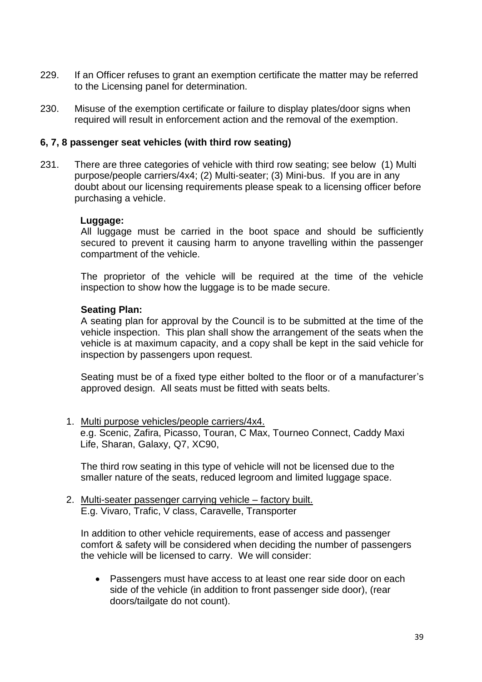- 229. If an Officer refuses to grant an exemption certificate the matter may be referred to the Licensing panel for determination.
- 230. Misuse of the exemption certificate or failure to display plates/door signs when required will result in enforcement action and the removal of the exemption.

#### **6, 7, 8 passenger seat vehicles (with third row seating)**

231. There are three categories of vehicle with third row seating; see below (1) Multi purpose/people carriers/4x4; (2) Multi-seater; (3) Mini-bus. If you are in any doubt about our licensing requirements please speak to a licensing officer before purchasing a vehicle.

#### **Luggage:**

All luggage must be carried in the boot space and should be sufficiently secured to prevent it causing harm to anyone travelling within the passenger compartment of the vehicle.

The proprietor of the vehicle will be required at the time of the vehicle inspection to show how the luggage is to be made secure.

#### **Seating Plan:**

A seating plan for approval by the Council is to be submitted at the time of the vehicle inspection. This plan shall show the arrangement of the seats when the vehicle is at maximum capacity, and a copy shall be kept in the said vehicle for inspection by passengers upon request.

Seating must be of a fixed type either bolted to the floor or of a manufacturer"s approved design. All seats must be fitted with seats belts.

1. Multi purpose vehicles/people carriers/4x4.

e.g. Scenic, Zafira, Picasso, Touran, C Max, Tourneo Connect, Caddy Maxi Life, Sharan, Galaxy, Q7, XC90,

The third row seating in this type of vehicle will not be licensed due to the smaller nature of the seats, reduced legroom and limited luggage space.

2. Multi-seater passenger carrying vehicle – factory built. E.g. Vivaro, Trafic, V class, Caravelle, Transporter

In addition to other vehicle requirements, ease of access and passenger comfort & safety will be considered when deciding the number of passengers the vehicle will be licensed to carry. We will consider:

 Passengers must have access to at least one rear side door on each side of the vehicle (in addition to front passenger side door), (rear doors/tailgate do not count).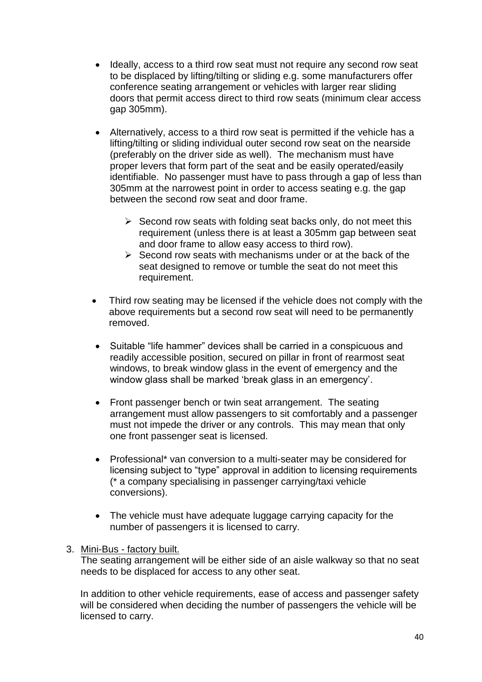- Ideally, access to a third row seat must not require any second row seat to be displaced by lifting/tilting or sliding e.g. some manufacturers offer conference seating arrangement or vehicles with larger rear sliding doors that permit access direct to third row seats (minimum clear access gap 305mm).
- Alternatively, access to a third row seat is permitted if the vehicle has a lifting/tilting or sliding individual outer second row seat on the nearside (preferably on the driver side as well). The mechanism must have proper levers that form part of the seat and be easily operated/easily identifiable. No passenger must have to pass through a gap of less than 305mm at the narrowest point in order to access seating e.g. the gap between the second row seat and door frame.
	- $\triangleright$  Second row seats with folding seat backs only, do not meet this requirement (unless there is at least a 305mm gap between seat and door frame to allow easy access to third row).
	- $\triangleright$  Second row seats with mechanisms under or at the back of the seat designed to remove or tumble the seat do not meet this requirement.
- Third row seating may be licensed if the vehicle does not comply with the above requirements but a second row seat will need to be permanently removed.
- Suitable "life hammer" devices shall be carried in a conspicuous and readily accessible position, secured on pillar in front of rearmost seat windows, to break window glass in the event of emergency and the window glass shall be marked 'break glass in an emergency'.
- Front passenger bench or twin seat arrangement. The seating arrangement must allow passengers to sit comfortably and a passenger must not impede the driver or any controls. This may mean that only one front passenger seat is licensed.
- Professional\* van conversion to a multi-seater may be considered for licensing subject to "type" approval in addition to licensing requirements (\* a company specialising in passenger carrying/taxi vehicle conversions).
- The vehicle must have adequate luggage carrying capacity for the number of passengers it is licensed to carry.
- 3. Mini-Bus factory built.

The seating arrangement will be either side of an aisle walkway so that no seat needs to be displaced for access to any other seat.

In addition to other vehicle requirements, ease of access and passenger safety will be considered when deciding the number of passengers the vehicle will be licensed to carry.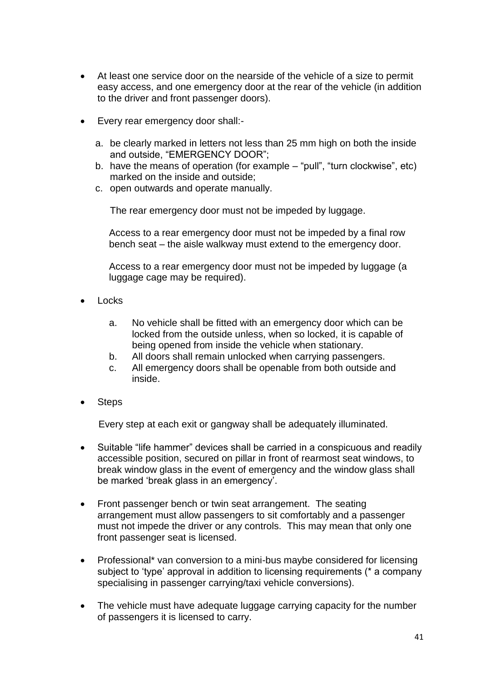- At least one service door on the nearside of the vehicle of a size to permit easy access, and one emergency door at the rear of the vehicle (in addition to the driver and front passenger doors).
- Every rear emergency door shall:
	- a. be clearly marked in letters not less than 25 mm high on both the inside and outside, "EMERGENCY DOOR";
	- b. have the means of operation (for example "pull", "turn clockwise", etc) marked on the inside and outside;
	- c. open outwards and operate manually.

The rear emergency door must not be impeded by luggage.

Access to a rear emergency door must not be impeded by a final row bench seat – the aisle walkway must extend to the emergency door.

Access to a rear emergency door must not be impeded by luggage (a luggage cage may be required).

- Locks
	- a. No vehicle shall be fitted with an emergency door which can be locked from the outside unless, when so locked, it is capable of being opened from inside the vehicle when stationary.
	- b. All doors shall remain unlocked when carrying passengers.
	- c. All emergency doors shall be openable from both outside and inside.
- **Steps**

Every step at each exit or gangway shall be adequately illuminated.

- Suitable "life hammer" devices shall be carried in a conspicuous and readily accessible position, secured on pillar in front of rearmost seat windows, to break window glass in the event of emergency and the window glass shall be marked "break glass in an emergency".
- Front passenger bench or twin seat arrangement. The seating arrangement must allow passengers to sit comfortably and a passenger must not impede the driver or any controls. This may mean that only one front passenger seat is licensed.
- Professional\* van conversion to a mini-bus maybe considered for licensing subject to 'type' approval in addition to licensing requirements (\* a company specialising in passenger carrying/taxi vehicle conversions).
- The vehicle must have adequate luggage carrying capacity for the number of passengers it is licensed to carry.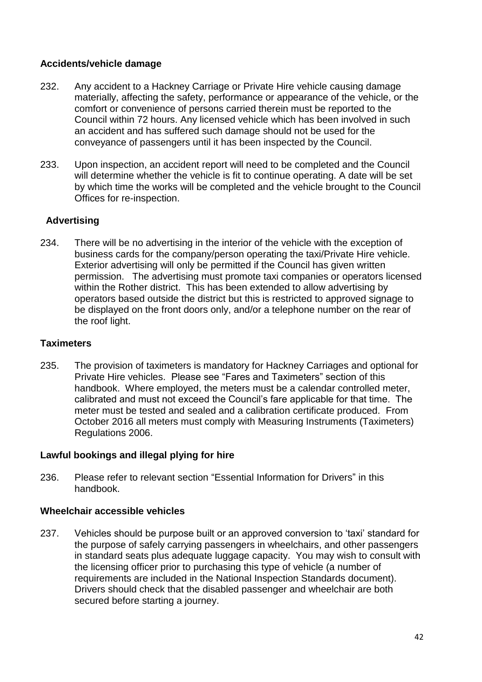## **Accidents/vehicle damage**

- 232. Any accident to a Hackney Carriage or Private Hire vehicle causing damage materially, affecting the safety, performance or appearance of the vehicle, or the comfort or convenience of persons carried therein must be reported to the Council within 72 hours. Any licensed vehicle which has been involved in such an accident and has suffered such damage should not be used for the conveyance of passengers until it has been inspected by the Council.
- 233. Upon inspection, an accident report will need to be completed and the Council will determine whether the vehicle is fit to continue operating. A date will be set by which time the works will be completed and the vehicle brought to the Council Offices for re-inspection.

### **Advertising**

234. There will be no advertising in the interior of the vehicle with the exception of business cards for the company/person operating the taxi/Private Hire vehicle. Exterior advertising will only be permitted if the Council has given written permission. The advertising must promote taxi companies or operators licensed within the Rother district. This has been extended to allow advertising by operators based outside the district but this is restricted to approved signage to be displayed on the front doors only, and/or a telephone number on the rear of the roof light.

#### **Taximeters**

235. The provision of taximeters is mandatory for Hackney Carriages and optional for Private Hire vehicles. Please see "Fares and Taximeters" section of this handbook. Where employed, the meters must be a calendar controlled meter, calibrated and must not exceed the Council"s fare applicable for that time. The meter must be tested and sealed and a calibration certificate produced. From October 2016 all meters must comply with Measuring Instruments (Taximeters) Regulations 2006.

#### **Lawful bookings and illegal plying for hire**

236. Please refer to relevant section "Essential Information for Drivers" in this handbook.

#### **Wheelchair accessible vehicles**

237. Vehicles should be purpose built or an approved conversion to "taxi" standard for the purpose of safely carrying passengers in wheelchairs, and other passengers in standard seats plus adequate luggage capacity. You may wish to consult with the licensing officer prior to purchasing this type of vehicle (a number of requirements are included in the National Inspection Standards document). Drivers should check that the disabled passenger and wheelchair are both secured before starting a journey.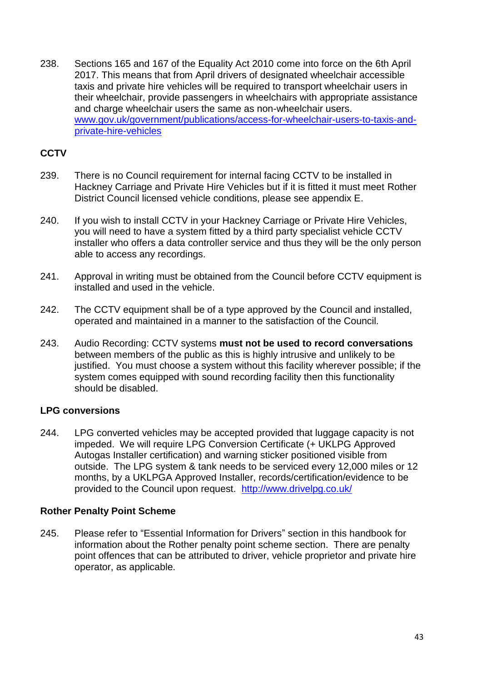238. Sections 165 and 167 of the Equality Act 2010 come into force on the 6th April 2017. This means that from April drivers of designated wheelchair accessible taxis and private hire vehicles will be required to transport wheelchair users in their wheelchair, provide passengers in wheelchairs with appropriate assistance and charge wheelchair users the same as non-wheelchair users. [www.gov.uk/government/publications/access-for-wheelchair-users-to-taxis-and](http://www.gov.uk/government/publications/access-for-wheelchair-users-to-taxis-and-private-hire-vehicles)[private-hire-vehicles](http://www.gov.uk/government/publications/access-for-wheelchair-users-to-taxis-and-private-hire-vehicles)

# **CCTV**

- 239. There is no Council requirement for internal facing CCTV to be installed in Hackney Carriage and Private Hire Vehicles but if it is fitted it must meet Rother District Council licensed vehicle conditions, please see appendix E.
- 240. If you wish to install CCTV in your Hackney Carriage or Private Hire Vehicles, you will need to have a system fitted by a third party specialist vehicle CCTV installer who offers a data controller service and thus they will be the only person able to access any recordings.
- 241. Approval in writing must be obtained from the Council before CCTV equipment is installed and used in the vehicle.
- 242. The CCTV equipment shall be of a type approved by the Council and installed, operated and maintained in a manner to the satisfaction of the Council.
- 243. Audio Recording: CCTV systems **must not be used to record conversations** between members of the public as this is highly intrusive and unlikely to be justified. You must choose a system without this facility wherever possible; if the system comes equipped with sound recording facility then this functionality should be disabled.

## **LPG conversions**

244. LPG converted vehicles may be accepted provided that luggage capacity is not impeded. We will require LPG Conversion Certificate (+ UKLPG Approved Autogas Installer certification) and warning sticker positioned visible from outside. The LPG system & tank needs to be serviced every 12,000 miles or 12 months, by a UKLPGA Approved Installer, records/certification/evidence to be provided to the Council upon request. <http://www.drivelpg.co.uk/>

#### **Rother Penalty Point Scheme**

245. Please refer to "Essential Information for Drivers" section in this handbook for information about the Rother penalty point scheme section. There are penalty point offences that can be attributed to driver, vehicle proprietor and private hire operator, as applicable.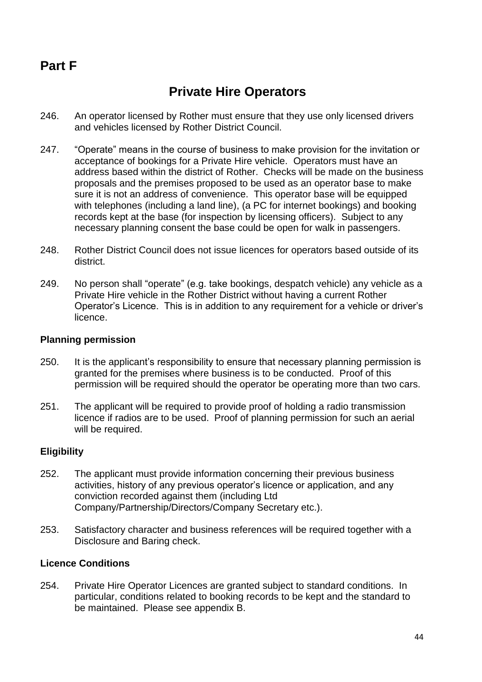# **Part F**

# **Private Hire Operators**

- 246. An operator licensed by Rother must ensure that they use only licensed drivers and vehicles licensed by Rother District Council.
- 247. "Operate" means in the course of business to make provision for the invitation or acceptance of bookings for a Private Hire vehicle. Operators must have an address based within the district of Rother. Checks will be made on the business proposals and the premises proposed to be used as an operator base to make sure it is not an address of convenience. This operator base will be equipped with telephones (including a land line), (a PC for internet bookings) and booking records kept at the base (for inspection by licensing officers). Subject to any necessary planning consent the base could be open for walk in passengers.
- 248. Rother District Council does not issue licences for operators based outside of its district.
- 249. No person shall "operate" (e.g. take bookings, despatch vehicle) any vehicle as a Private Hire vehicle in the Rother District without having a current Rother Operator"s Licence. This is in addition to any requirement for a vehicle or driver"s licence.

#### **Planning permission**

- 250. It is the applicant"s responsibility to ensure that necessary planning permission is granted for the premises where business is to be conducted. Proof of this permission will be required should the operator be operating more than two cars.
- 251. The applicant will be required to provide proof of holding a radio transmission licence if radios are to be used. Proof of planning permission for such an aerial will be required.

## **Eligibility**

- 252. The applicant must provide information concerning their previous business activities, history of any previous operator's licence or application, and any conviction recorded against them (including Ltd Company/Partnership/Directors/Company Secretary etc.).
- 253. Satisfactory character and business references will be required together with a Disclosure and Baring check.

### **Licence Conditions**

254. Private Hire Operator Licences are granted subject to standard conditions. In particular, conditions related to booking records to be kept and the standard to be maintained. Please see appendix B.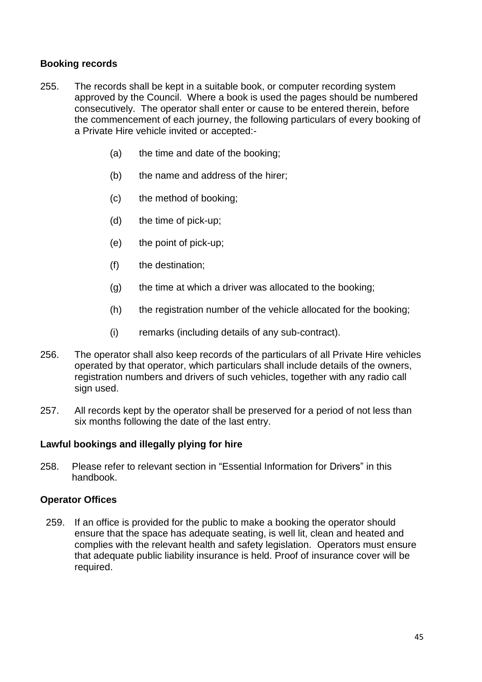## **Booking records**

- 255. The records shall be kept in a suitable book, or computer recording system approved by the Council. Where a book is used the pages should be numbered consecutively. The operator shall enter or cause to be entered therein, before the commencement of each journey, the following particulars of every booking of a Private Hire vehicle invited or accepted:-
	- (a) the time and date of the booking;
	- (b) the name and address of the hirer;
	- (c) the method of booking;
	- (d) the time of pick-up;
	- (e) the point of pick-up;
	- (f) the destination;
	- (g) the time at which a driver was allocated to the booking;
	- (h) the registration number of the vehicle allocated for the booking;
	- (i) remarks (including details of any sub-contract).
- 256. The operator shall also keep records of the particulars of all Private Hire vehicles operated by that operator, which particulars shall include details of the owners, registration numbers and drivers of such vehicles, together with any radio call sign used.
- 257. All records kept by the operator shall be preserved for a period of not less than six months following the date of the last entry.

#### **Lawful bookings and illegally plying for hire**

258. Please refer to relevant section in "Essential Information for Drivers" in this handbook.

#### **Operator Offices**

259. If an office is provided for the public to make a booking the operator should ensure that the space has adequate seating, is well lit, clean and heated and complies with the relevant health and safety legislation. Operators must ensure that adequate public liability insurance is held. Proof of insurance cover will be required.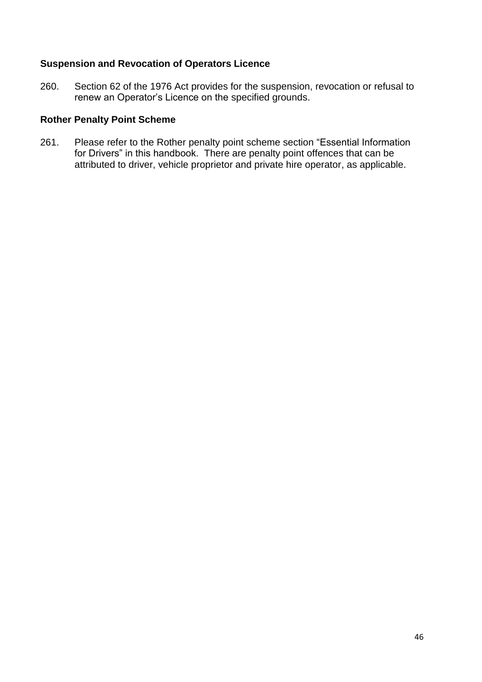### **Suspension and Revocation of Operators Licence**

260. Section 62 of the 1976 Act provides for the suspension, revocation or refusal to renew an Operator"s Licence on the specified grounds.

## **Rother Penalty Point Scheme**

261. Please refer to the Rother penalty point scheme section "Essential Information for Drivers" in this handbook. There are penalty point offences that can be attributed to driver, vehicle proprietor and private hire operator, as applicable.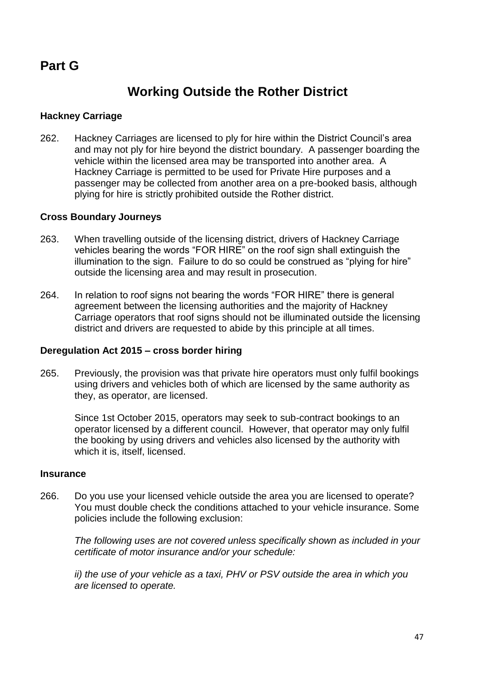# **Part G**

# **Working Outside the Rother District**

### **Hackney Carriage**

262. Hackney Carriages are licensed to ply for hire within the District Council"s area and may not ply for hire beyond the district boundary. A passenger boarding the vehicle within the licensed area may be transported into another area. A Hackney Carriage is permitted to be used for Private Hire purposes and a passenger may be collected from another area on a pre-booked basis, although plying for hire is strictly prohibited outside the Rother district.

#### **Cross Boundary Journeys**

- 263. When travelling outside of the licensing district, drivers of Hackney Carriage vehicles bearing the words "FOR HIRE" on the roof sign shall extinguish the illumination to the sign. Failure to do so could be construed as "plying for hire" outside the licensing area and may result in prosecution.
- 264. In relation to roof signs not bearing the words "FOR HIRE" there is general agreement between the licensing authorities and the majority of Hackney Carriage operators that roof signs should not be illuminated outside the licensing district and drivers are requested to abide by this principle at all times.

#### **Deregulation Act 2015 – cross border hiring**

265. Previously, the provision was that private hire operators must only fulfil bookings using drivers and vehicles both of which are licensed by the same authority as they, as operator, are licensed.

Since 1st October 2015, operators may seek to sub-contract bookings to an operator licensed by a different council. However, that operator may only fulfil the booking by using drivers and vehicles also licensed by the authority with which it is, itself, licensed.

#### **Insurance**

266. Do you use your licensed vehicle outside the area you are licensed to operate? You must double check the conditions attached to your vehicle insurance. Some policies include the following exclusion:

*The following uses are not covered unless specifically shown as included in your certificate of motor insurance and/or your schedule:*

*ii) the use of your vehicle as a taxi, PHV or PSV outside the area in which you are licensed to operate.*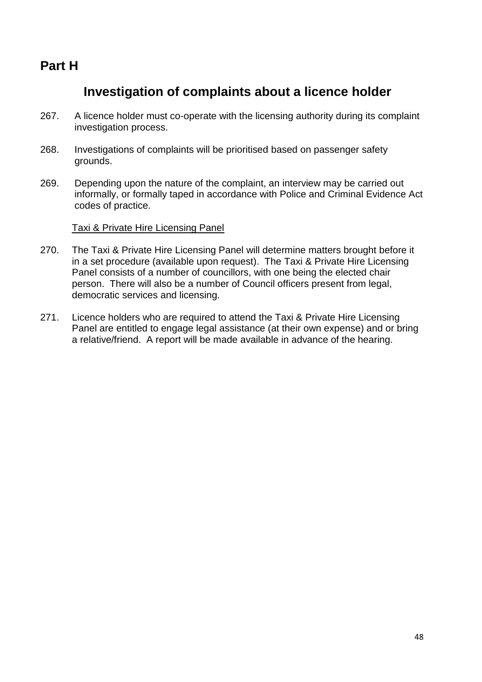# **Part H**

# **Investigation of complaints about a licence holder**

- 267. A licence holder must co-operate with the licensing authority during its complaint investigation process.
- 268. Investigations of complaints will be prioritised based on passenger safety grounds.
- 269. Depending upon the nature of the complaint, an interview may be carried out informally, or formally taped in accordance with Police and Criminal Evidence Act codes of practice.

#### Taxi & Private Hire Licensing Panel

- 270. The Taxi & Private Hire Licensing Panel will determine matters brought before it in a set procedure (available upon request). The Taxi & Private Hire Licensing Panel consists of a number of councillors, with one being the elected chair person. There will also be a number of Council officers present from legal, democratic services and licensing.
- 271. Licence holders who are required to attend the Taxi & Private Hire Licensing Panel are entitled to engage legal assistance (at their own expense) and or bring a relative/friend. A report will be made available in advance of the hearing.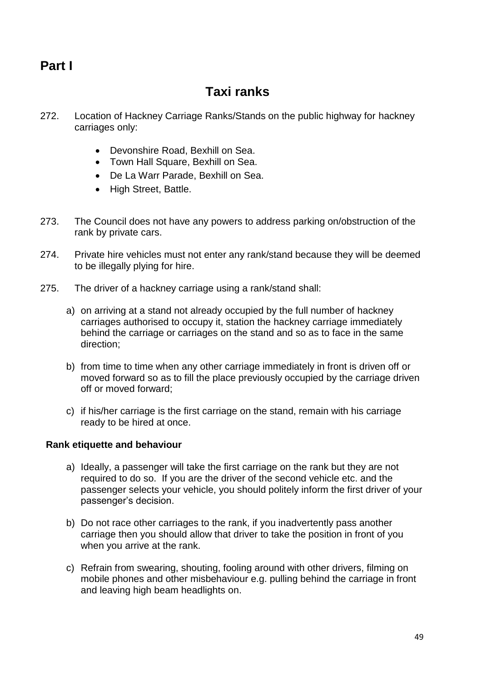# **Part I**

# **Taxi ranks**

- 272. Location of Hackney Carriage Ranks/Stands on the public highway for hackney carriages only:
	- Devonshire Road, Bexhill on Sea.
	- Town Hall Square, Bexhill on Sea.
	- De La Warr Parade, Bexhill on Sea.
	- High Street, Battle.
- 273. The Council does not have any powers to address parking on/obstruction of the rank by private cars.
- 274. Private hire vehicles must not enter any rank/stand because they will be deemed to be illegally plying for hire.
- 275. The driver of a hackney carriage using a rank/stand shall:
	- a) on arriving at a stand not already occupied by the full number of hackney carriages authorised to occupy it, station the hackney carriage immediately behind the carriage or carriages on the stand and so as to face in the same direction;
	- b) from time to time when any other carriage immediately in front is driven off or moved forward so as to fill the place previously occupied by the carriage driven off or moved forward;
	- c) if his/her carriage is the first carriage on the stand, remain with his carriage ready to be hired at once.

#### **Rank etiquette and behaviour**

- a) Ideally, a passenger will take the first carriage on the rank but they are not required to do so. If you are the driver of the second vehicle etc. and the passenger selects your vehicle, you should politely inform the first driver of your passenger"s decision.
- b) Do not race other carriages to the rank, if you inadvertently pass another carriage then you should allow that driver to take the position in front of you when you arrive at the rank.
- c) Refrain from swearing, shouting, fooling around with other drivers, filming on mobile phones and other misbehaviour e.g. pulling behind the carriage in front and leaving high beam headlights on.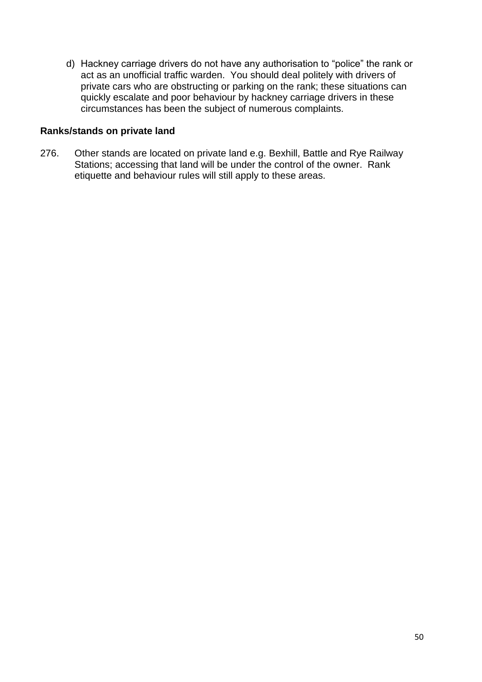d) Hackney carriage drivers do not have any authorisation to "police" the rank or act as an unofficial traffic warden. You should deal politely with drivers of private cars who are obstructing or parking on the rank; these situations can quickly escalate and poor behaviour by hackney carriage drivers in these circumstances has been the subject of numerous complaints.

#### **Ranks/stands on private land**

276. Other stands are located on private land e.g. Bexhill, Battle and Rye Railway Stations; accessing that land will be under the control of the owner. Rank etiquette and behaviour rules will still apply to these areas.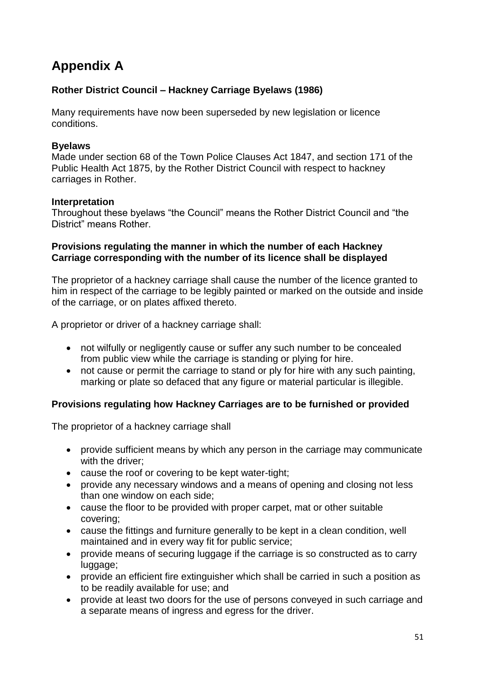# **Appendix A**

# **Rother District Council – Hackney Carriage Byelaws (1986)**

Many requirements have now been superseded by new legislation or licence conditions.

### **Byelaws**

Made under section 68 of the Town Police Clauses Act 1847, and section 171 of the Public Health Act 1875, by the Rother District Council with respect to hackney carriages in Rother.

#### **Interpretation**

Throughout these byelaws "the Council" means the Rother District Council and "the District" means Rother.

### **Provisions regulating the manner in which the number of each Hackney Carriage corresponding with the number of its licence shall be displayed**

The proprietor of a hackney carriage shall cause the number of the licence granted to him in respect of the carriage to be legibly painted or marked on the outside and inside of the carriage, or on plates affixed thereto.

A proprietor or driver of a hackney carriage shall:

- not wilfully or negligently cause or suffer any such number to be concealed from public view while the carriage is standing or plying for hire.
- not cause or permit the carriage to stand or ply for hire with any such painting, marking or plate so defaced that any figure or material particular is illegible.

## **Provisions regulating how Hackney Carriages are to be furnished or provided**

The proprietor of a hackney carriage shall

- provide sufficient means by which any person in the carriage may communicate with the driver:
- cause the roof or covering to be kept water-tight;
- provide any necessary windows and a means of opening and closing not less than one window on each side;
- cause the floor to be provided with proper carpet, mat or other suitable covering;
- cause the fittings and furniture generally to be kept in a clean condition, well maintained and in every way fit for public service;
- provide means of securing luggage if the carriage is so constructed as to carry luggage;
- provide an efficient fire extinguisher which shall be carried in such a position as to be readily available for use; and
- provide at least two doors for the use of persons conveyed in such carriage and a separate means of ingress and egress for the driver.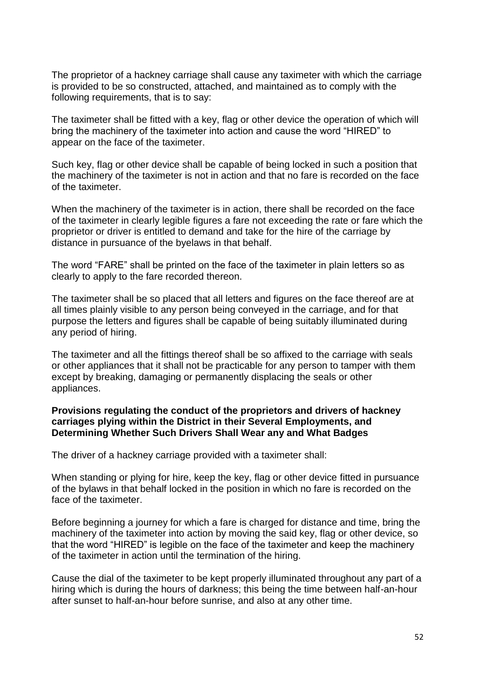The proprietor of a hackney carriage shall cause any taximeter with which the carriage is provided to be so constructed, attached, and maintained as to comply with the following requirements, that is to say:

The taximeter shall be fitted with a key, flag or other device the operation of which will bring the machinery of the taximeter into action and cause the word "HIRED" to appear on the face of the taximeter.

Such key, flag or other device shall be capable of being locked in such a position that the machinery of the taximeter is not in action and that no fare is recorded on the face of the taximeter.

When the machinery of the taximeter is in action, there shall be recorded on the face of the taximeter in clearly legible figures a fare not exceeding the rate or fare which the proprietor or driver is entitled to demand and take for the hire of the carriage by distance in pursuance of the byelaws in that behalf.

The word "FARE" shall be printed on the face of the taximeter in plain letters so as clearly to apply to the fare recorded thereon.

The taximeter shall be so placed that all letters and figures on the face thereof are at all times plainly visible to any person being conveyed in the carriage, and for that purpose the letters and figures shall be capable of being suitably illuminated during any period of hiring.

The taximeter and all the fittings thereof shall be so affixed to the carriage with seals or other appliances that it shall not be practicable for any person to tamper with them except by breaking, damaging or permanently displacing the seals or other appliances.

#### **Provisions regulating the conduct of the proprietors and drivers of hackney carriages plying within the District in their Several Employments, and Determining Whether Such Drivers Shall Wear any and What Badges**

The driver of a hackney carriage provided with a taximeter shall:

When standing or plying for hire, keep the key, flag or other device fitted in pursuance of the bylaws in that behalf locked in the position in which no fare is recorded on the face of the taximeter.

Before beginning a journey for which a fare is charged for distance and time, bring the machinery of the taximeter into action by moving the said key, flag or other device, so that the word "HIRED" is legible on the face of the taximeter and keep the machinery of the taximeter in action until the termination of the hiring.

Cause the dial of the taximeter to be kept properly illuminated throughout any part of a hiring which is during the hours of darkness; this being the time between half-an-hour after sunset to half-an-hour before sunrise, and also at any other time.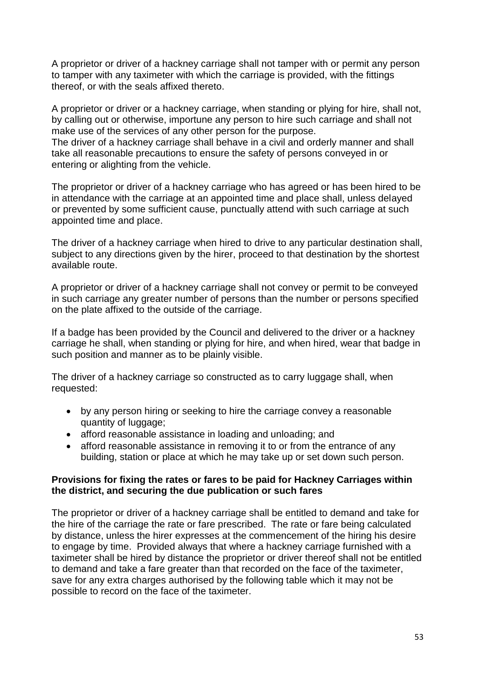A proprietor or driver of a hackney carriage shall not tamper with or permit any person to tamper with any taximeter with which the carriage is provided, with the fittings thereof, or with the seals affixed thereto.

A proprietor or driver or a hackney carriage, when standing or plying for hire, shall not, by calling out or otherwise, importune any person to hire such carriage and shall not make use of the services of any other person for the purpose.

The driver of a hackney carriage shall behave in a civil and orderly manner and shall take all reasonable precautions to ensure the safety of persons conveyed in or entering or alighting from the vehicle.

The proprietor or driver of a hackney carriage who has agreed or has been hired to be in attendance with the carriage at an appointed time and place shall, unless delayed or prevented by some sufficient cause, punctually attend with such carriage at such appointed time and place.

The driver of a hackney carriage when hired to drive to any particular destination shall, subject to any directions given by the hirer, proceed to that destination by the shortest available route.

A proprietor or driver of a hackney carriage shall not convey or permit to be conveyed in such carriage any greater number of persons than the number or persons specified on the plate affixed to the outside of the carriage.

If a badge has been provided by the Council and delivered to the driver or a hackney carriage he shall, when standing or plying for hire, and when hired, wear that badge in such position and manner as to be plainly visible.

The driver of a hackney carriage so constructed as to carry luggage shall, when requested:

- by any person hiring or seeking to hire the carriage convey a reasonable quantity of luggage;
- afford reasonable assistance in loading and unloading; and
- afford reasonable assistance in removing it to or from the entrance of any building, station or place at which he may take up or set down such person.

#### **Provisions for fixing the rates or fares to be paid for Hackney Carriages within the district, and securing the due publication or such fares**

The proprietor or driver of a hackney carriage shall be entitled to demand and take for the hire of the carriage the rate or fare prescribed. The rate or fare being calculated by distance, unless the hirer expresses at the commencement of the hiring his desire to engage by time. Provided always that where a hackney carriage furnished with a taximeter shall be hired by distance the proprietor or driver thereof shall not be entitled to demand and take a fare greater than that recorded on the face of the taximeter, save for any extra charges authorised by the following table which it may not be possible to record on the face of the taximeter.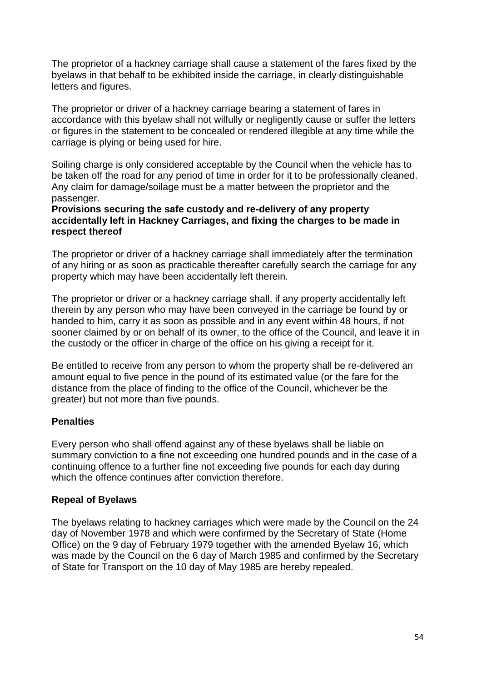The proprietor of a hackney carriage shall cause a statement of the fares fixed by the byelaws in that behalf to be exhibited inside the carriage, in clearly distinguishable letters and figures.

The proprietor or driver of a hackney carriage bearing a statement of fares in accordance with this byelaw shall not wilfully or negligently cause or suffer the letters or figures in the statement to be concealed or rendered illegible at any time while the carriage is plying or being used for hire.

Soiling charge is only considered acceptable by the Council when the vehicle has to be taken off the road for any period of time in order for it to be professionally cleaned. Any claim for damage/soilage must be a matter between the proprietor and the passenger.

#### **Provisions securing the safe custody and re-delivery of any property accidentally left in Hackney Carriages, and fixing the charges to be made in respect thereof**

The proprietor or driver of a hackney carriage shall immediately after the termination of any hiring or as soon as practicable thereafter carefully search the carriage for any property which may have been accidentally left therein.

The proprietor or driver or a hackney carriage shall, if any property accidentally left therein by any person who may have been conveyed in the carriage be found by or handed to him, carry it as soon as possible and in any event within 48 hours, if not sooner claimed by or on behalf of its owner, to the office of the Council, and leave it in the custody or the officer in charge of the office on his giving a receipt for it.

Be entitled to receive from any person to whom the property shall be re-delivered an amount equal to five pence in the pound of its estimated value (or the fare for the distance from the place of finding to the office of the Council, whichever be the greater) but not more than five pounds.

## **Penalties**

Every person who shall offend against any of these byelaws shall be liable on summary conviction to a fine not exceeding one hundred pounds and in the case of a continuing offence to a further fine not exceeding five pounds for each day during which the offence continues after conviction therefore.

## **Repeal of Byelaws**

The byelaws relating to hackney carriages which were made by the Council on the 24 day of November 1978 and which were confirmed by the Secretary of State (Home Office) on the 9 day of February 1979 together with the amended Byelaw 16, which was made by the Council on the 6 day of March 1985 and confirmed by the Secretary of State for Transport on the 10 day of May 1985 are hereby repealed.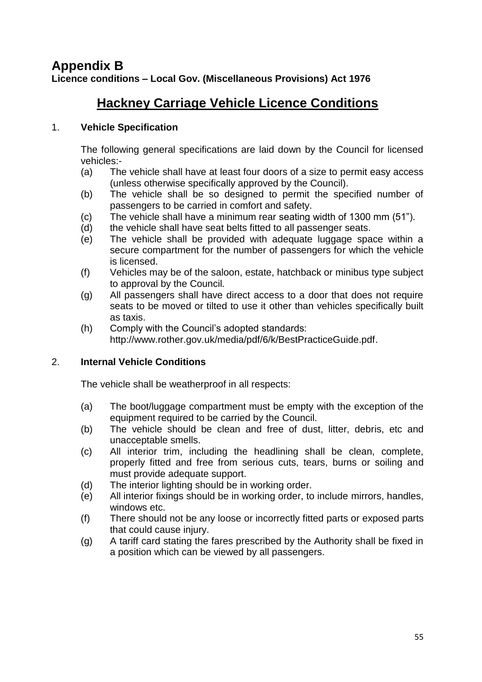# **Appendix B Licence conditions – Local Gov. (Miscellaneous Provisions) Act 1976**

# **Hackney Carriage Vehicle Licence Conditions**

## 1. **Vehicle Specification**

The following general specifications are laid down by the Council for licensed vehicles:-

- (a) The vehicle shall have at least four doors of a size to permit easy access (unless otherwise specifically approved by the Council).
- (b) The vehicle shall be so designed to permit the specified number of passengers to be carried in comfort and safety.
- (c) The vehicle shall have a minimum rear seating width of 1300 mm (51").
- (d) the vehicle shall have seat belts fitted to all passenger seats.
- (e) The vehicle shall be provided with adequate luggage space within a secure compartment for the number of passengers for which the vehicle is licensed.
- (f) Vehicles may be of the saloon, estate, hatchback or minibus type subject to approval by the Council*.*
- (g) All passengers shall have direct access to a door that does not require seats to be moved or tilted to use it other than vehicles specifically built as taxis.
- (h) Comply with the Council"s adopted standards: http://www.rother.gov.uk/media/pdf/6/k/BestPracticeGuide.pdf.

# 2. **Internal Vehicle Conditions**

The vehicle shall be weatherproof in all respects:

- (a) The boot/luggage compartment must be empty with the exception of the equipment required to be carried by the Council.
- (b) The vehicle should be clean and free of dust, litter, debris, etc and unacceptable smells.
- (c) All interior trim, including the headlining shall be clean, complete, properly fitted and free from serious cuts, tears, burns or soiling and must provide adequate support.
- (d) The interior lighting should be in working order.
- (e) All interior fixings should be in working order, to include mirrors, handles, windows etc.
- (f) There should not be any loose or incorrectly fitted parts or exposed parts that could cause injury.
- (g) A tariff card stating the fares prescribed by the Authority shall be fixed in a position which can be viewed by all passengers.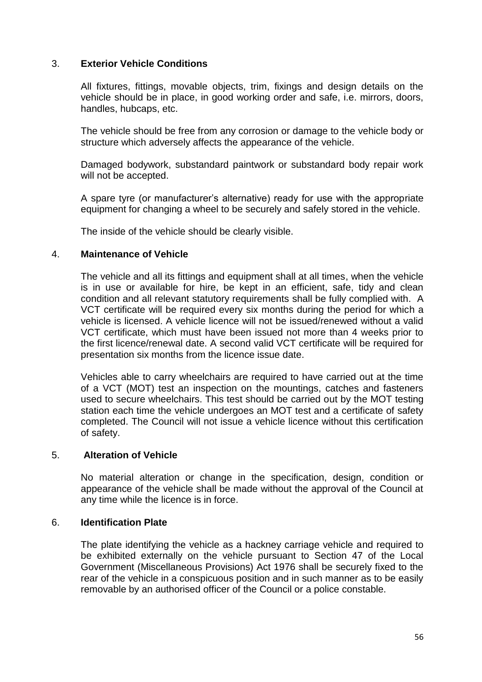### 3. **Exterior Vehicle Conditions**

All fixtures, fittings, movable objects, trim, fixings and design details on the vehicle should be in place, in good working order and safe, i.e. mirrors, doors, handles, hubcaps, etc.

The vehicle should be free from any corrosion or damage to the vehicle body or structure which adversely affects the appearance of the vehicle.

Damaged bodywork, substandard paintwork or substandard body repair work will not be accepted.

A spare tyre (or manufacturer"s alternative) ready for use with the appropriate equipment for changing a wheel to be securely and safely stored in the vehicle.

The inside of the vehicle should be clearly visible.

#### 4. **Maintenance of Vehicle**

The vehicle and all its fittings and equipment shall at all times, when the vehicle is in use or available for hire, be kept in an efficient, safe, tidy and clean condition and all relevant statutory requirements shall be fully complied with. A VCT certificate will be required every six months during the period for which a vehicle is licensed. A vehicle licence will not be issued/renewed without a valid VCT certificate, which must have been issued not more than 4 weeks prior to the first licence/renewal date. A second valid VCT certificate will be required for presentation six months from the licence issue date.

Vehicles able to carry wheelchairs are required to have carried out at the time of a VCT (MOT) test an inspection on the mountings, catches and fasteners used to secure wheelchairs. This test should be carried out by the MOT testing station each time the vehicle undergoes an MOT test and a certificate of safety completed. The Council will not issue a vehicle licence without this certification of safety.

#### 5. **Alteration of Vehicle**

No material alteration or change in the specification, design, condition or appearance of the vehicle shall be made without the approval of the Council at any time while the licence is in force.

#### 6. **Identification Plate**

The plate identifying the vehicle as a hackney carriage vehicle and required to be exhibited externally on the vehicle pursuant to Section 47 of the Local Government (Miscellaneous Provisions) Act 1976 shall be securely fixed to the rear of the vehicle in a conspicuous position and in such manner as to be easily removable by an authorised officer of the Council or a police constable.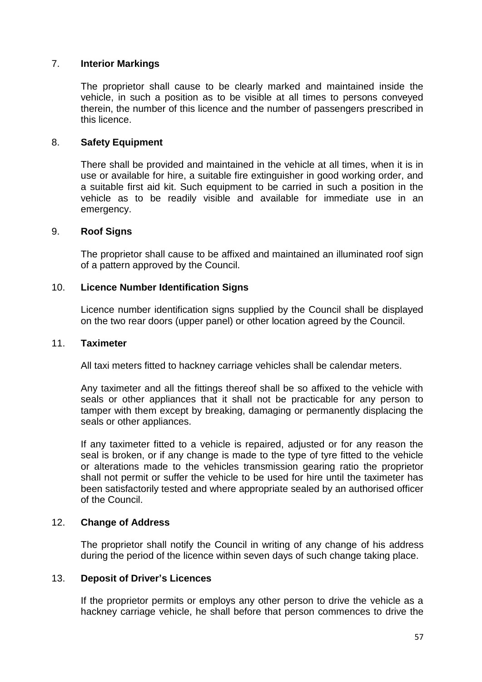## 7. **Interior Markings**

The proprietor shall cause to be clearly marked and maintained inside the vehicle, in such a position as to be visible at all times to persons conveyed therein, the number of this licence and the number of passengers prescribed in this licence.

#### 8. **Safety Equipment**

There shall be provided and maintained in the vehicle at all times, when it is in use or available for hire, a suitable fire extinguisher in good working order, and a suitable first aid kit. Such equipment to be carried in such a position in the vehicle as to be readily visible and available for immediate use in an emergency.

#### 9. **Roof Signs**

The proprietor shall cause to be affixed and maintained an illuminated roof sign of a pattern approved by the Council.

#### 10. **Licence Number Identification Signs**

Licence number identification signs supplied by the Council shall be displayed on the two rear doors (upper panel) or other location agreed by the Council.

#### 11. **Taximeter**

All taxi meters fitted to hackney carriage vehicles shall be calendar meters.

Any taximeter and all the fittings thereof shall be so affixed to the vehicle with seals or other appliances that it shall not be practicable for any person to tamper with them except by breaking, damaging or permanently displacing the seals or other appliances.

If any taximeter fitted to a vehicle is repaired, adjusted or for any reason the seal is broken, or if any change is made to the type of tyre fitted to the vehicle or alterations made to the vehicles transmission gearing ratio the proprietor shall not permit or suffer the vehicle to be used for hire until the taximeter has been satisfactorily tested and where appropriate sealed by an authorised officer of the Council.

#### 12. **Change of Address**

The proprietor shall notify the Council in writing of any change of his address during the period of the licence within seven days of such change taking place.

#### 13. **Deposit of Driver's Licences**

If the proprietor permits or employs any other person to drive the vehicle as a hackney carriage vehicle, he shall before that person commences to drive the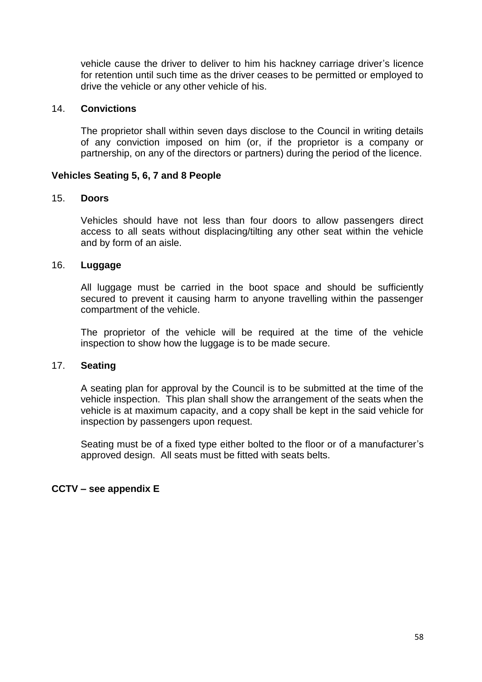vehicle cause the driver to deliver to him his hackney carriage driver"s licence for retention until such time as the driver ceases to be permitted or employed to drive the vehicle or any other vehicle of his.

#### 14. **Convictions**

The proprietor shall within seven days disclose to the Council in writing details of any conviction imposed on him (or, if the proprietor is a company or partnership, on any of the directors or partners) during the period of the licence.

### **Vehicles Seating 5, 6, 7 and 8 People**

#### 15. **Doors**

Vehicles should have not less than four doors to allow passengers direct access to all seats without displacing/tilting any other seat within the vehicle and by form of an aisle.

#### 16. **Luggage**

All luggage must be carried in the boot space and should be sufficiently secured to prevent it causing harm to anyone travelling within the passenger compartment of the vehicle.

The proprietor of the vehicle will be required at the time of the vehicle inspection to show how the luggage is to be made secure.

#### 17. **Seating**

A seating plan for approval by the Council is to be submitted at the time of the vehicle inspection. This plan shall show the arrangement of the seats when the vehicle is at maximum capacity, and a copy shall be kept in the said vehicle for inspection by passengers upon request.

Seating must be of a fixed type either bolted to the floor or of a manufacturer"s approved design. All seats must be fitted with seats belts.

#### **CCTV – see appendix E**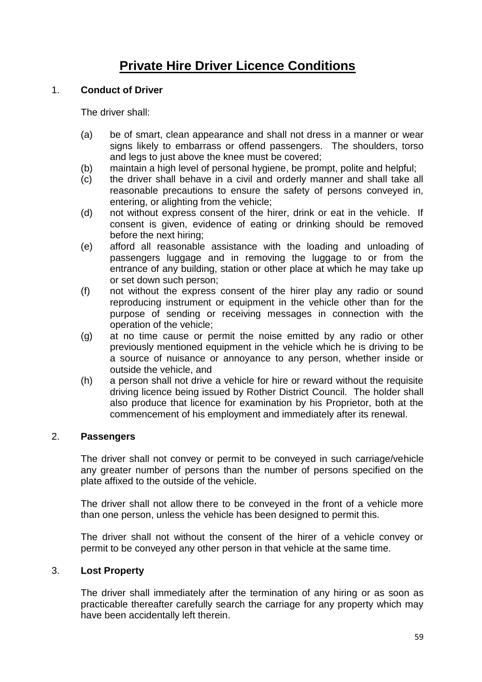# **Private Hire Driver Licence Conditions**

### 1. **Conduct of Driver**

The driver shall:

- (a) be of smart, clean appearance and shall not dress in a manner or wear signs likely to embarrass or offend passengers. The shoulders, torso and legs to just above the knee must be covered;
- (b) maintain a high level of personal hygiene, be prompt, polite and helpful;
- (c) the driver shall behave in a civil and orderly manner and shall take all reasonable precautions to ensure the safety of persons conveyed in, entering, or alighting from the vehicle;
- (d) not without express consent of the hirer, drink or eat in the vehicle. If consent is given, evidence of eating or drinking should be removed before the next hiring;
- (e) afford all reasonable assistance with the loading and unloading of passengers luggage and in removing the luggage to or from the entrance of any building, station or other place at which he may take up or set down such person;
- (f) not without the express consent of the hirer play any radio or sound reproducing instrument or equipment in the vehicle other than for the purpose of sending or receiving messages in connection with the operation of the vehicle;
- (g) at no time cause or permit the noise emitted by any radio or other previously mentioned equipment in the vehicle which he is driving to be a source of nuisance or annoyance to any person, whether inside or outside the vehicle, and
- (h) a person shall not drive a vehicle for hire or reward without the requisite driving licence being issued by Rother District Council. The holder shall also produce that licence for examination by his Proprietor, both at the commencement of his employment and immediately after its renewal.

## 2. **Passengers**

The driver shall not convey or permit to be conveyed in such carriage/vehicle any greater number of persons than the number of persons specified on the plate affixed to the outside of the vehicle.

The driver shall not allow there to be conveyed in the front of a vehicle more than one person, unless the vehicle has been designed to permit this.

The driver shall not without the consent of the hirer of a vehicle convey or permit to be conveyed any other person in that vehicle at the same time.

## 3. **Lost Property**

The driver shall immediately after the termination of any hiring or as soon as practicable thereafter carefully search the carriage for any property which may have been accidentally left therein.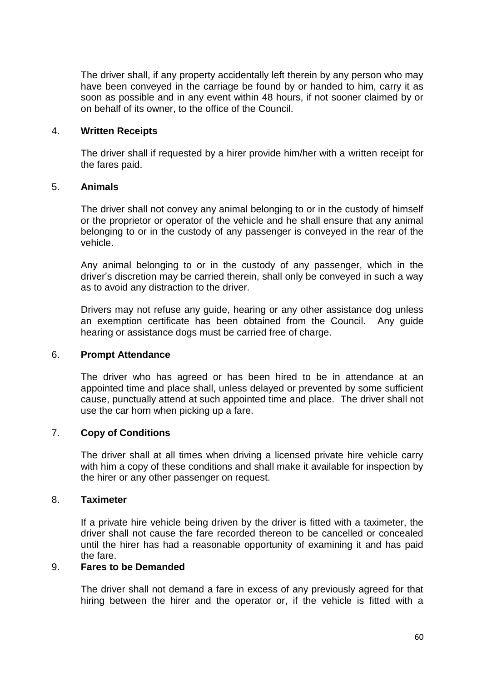The driver shall, if any property accidentally left therein by any person who may have been conveyed in the carriage be found by or handed to him, carry it as soon as possible and in any event within 48 hours, if not sooner claimed by or on behalf of its owner, to the office of the Council.

#### 4. **Written Receipts**

The driver shall if requested by a hirer provide him/her with a written receipt for the fares paid.

#### 5. **Animals**

The driver shall not convey any animal belonging to or in the custody of himself or the proprietor or operator of the vehicle and he shall ensure that any animal belonging to or in the custody of any passenger is conveyed in the rear of the vehicle.

Any animal belonging to or in the custody of any passenger, which in the driver"s discretion may be carried therein, shall only be conveyed in such a way as to avoid any distraction to the driver.

Drivers may not refuse any guide, hearing or any other assistance dog unless an exemption certificate has been obtained from the Council. Any guide hearing or assistance dogs must be carried free of charge.

#### 6. **Prompt Attendance**

The driver who has agreed or has been hired to be in attendance at an appointed time and place shall, unless delayed or prevented by some sufficient cause, punctually attend at such appointed time and place. The driver shall not use the car horn when picking up a fare.

## 7. **Copy of Conditions**

The driver shall at all times when driving a licensed private hire vehicle carry with him a copy of these conditions and shall make it available for inspection by the hirer or any other passenger on request.

#### 8. **Taximeter**

If a private hire vehicle being driven by the driver is fitted with a taximeter, the driver shall not cause the fare recorded thereon to be cancelled or concealed until the hirer has had a reasonable opportunity of examining it and has paid the fare.

#### 9. **Fares to be Demanded**

The driver shall not demand a fare in excess of any previously agreed for that hiring between the hirer and the operator or, if the vehicle is fitted with a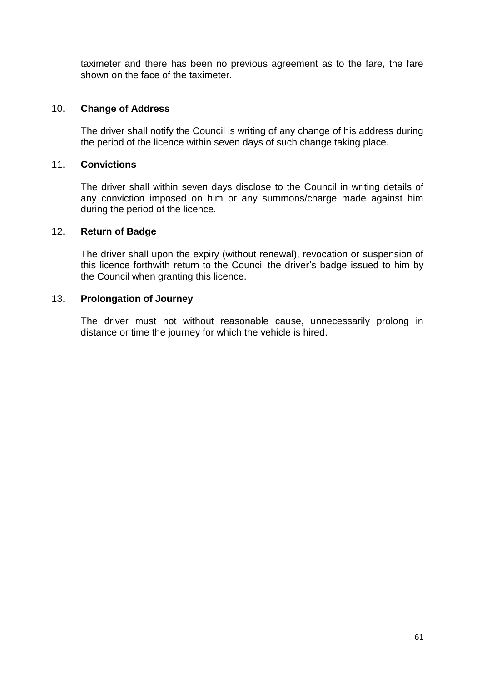taximeter and there has been no previous agreement as to the fare, the fare shown on the face of the taximeter.

### 10. **Change of Address**

The driver shall notify the Council is writing of any change of his address during the period of the licence within seven days of such change taking place.

### 11. **Convictions**

The driver shall within seven days disclose to the Council in writing details of any conviction imposed on him or any summons/charge made against him during the period of the licence.

#### 12. **Return of Badge**

The driver shall upon the expiry (without renewal), revocation or suspension of this licence forthwith return to the Council the driver's badge issued to him by the Council when granting this licence.

### 13. **Prolongation of Journey**

The driver must not without reasonable cause, unnecessarily prolong in distance or time the journey for which the vehicle is hired.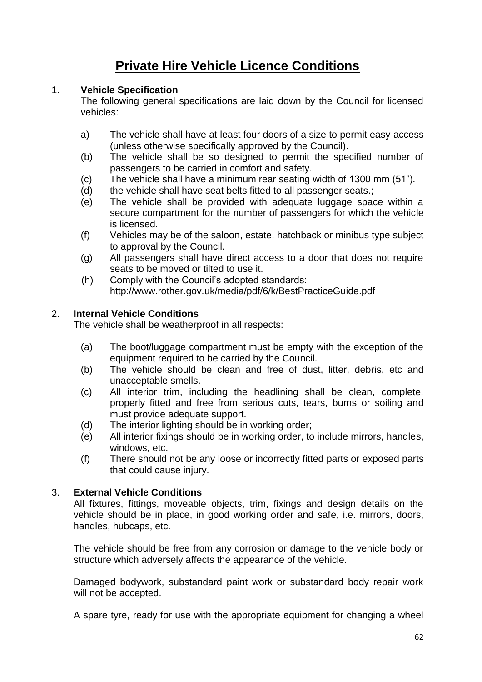# **Private Hire Vehicle Licence Conditions**

# 1. **Vehicle Specification**

The following general specifications are laid down by the Council for licensed vehicles:

- a) The vehicle shall have at least four doors of a size to permit easy access (unless otherwise specifically approved by the Council).
- (b) The vehicle shall be so designed to permit the specified number of passengers to be carried in comfort and safety.
- (c) The vehicle shall have a minimum rear seating width of 1300 mm (51").
- (d) the vehicle shall have seat belts fitted to all passenger seats.:
- (e) The vehicle shall be provided with adequate luggage space within a secure compartment for the number of passengers for which the vehicle is licensed.
- (f) Vehicles may be of the saloon, estate, hatchback or minibus type subject to approval by the Council*.*
- (g) All passengers shall have direct access to a door that does not require seats to be moved or tilted to use it.
- (h) Comply with the Council"s adopted standards: http://www.rother.gov.uk/media/pdf/6/k/BestPracticeGuide.pdf

# 2. **Internal Vehicle Conditions**

The vehicle shall be weatherproof in all respects:

- (a) The boot/luggage compartment must be empty with the exception of the equipment required to be carried by the Council.
- (b) The vehicle should be clean and free of dust, litter, debris, etc and unacceptable smells.
- (c) All interior trim, including the headlining shall be clean, complete, properly fitted and free from serious cuts, tears, burns or soiling and must provide adequate support.
- (d) The interior lighting should be in working order;
- (e) All interior fixings should be in working order, to include mirrors, handles, windows, etc.
- (f) There should not be any loose or incorrectly fitted parts or exposed parts that could cause injury.

# 3. **External Vehicle Conditions**

All fixtures, fittings, moveable objects, trim, fixings and design details on the vehicle should be in place, in good working order and safe, i.e. mirrors, doors, handles, hubcaps, etc.

The vehicle should be free from any corrosion or damage to the vehicle body or structure which adversely affects the appearance of the vehicle.

Damaged bodywork, substandard paint work or substandard body repair work will not be accepted.

A spare tyre, ready for use with the appropriate equipment for changing a wheel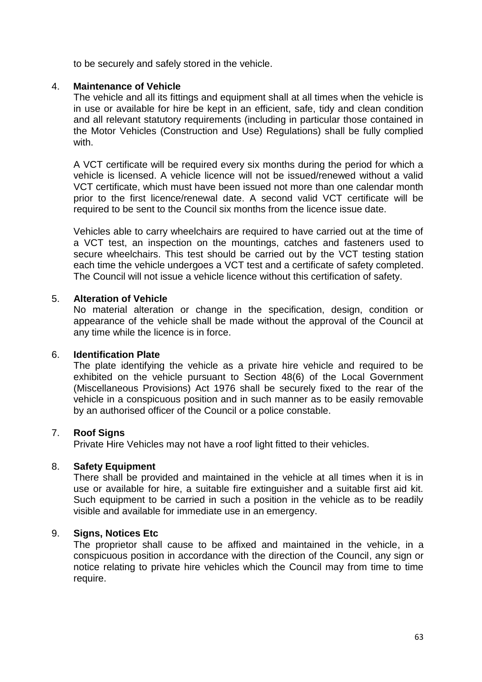to be securely and safely stored in the vehicle.

#### 4. **Maintenance of Vehicle**

The vehicle and all its fittings and equipment shall at all times when the vehicle is in use or available for hire be kept in an efficient, safe, tidy and clean condition and all relevant statutory requirements (including in particular those contained in the Motor Vehicles (Construction and Use) Regulations) shall be fully complied with.

A VCT certificate will be required every six months during the period for which a vehicle is licensed. A vehicle licence will not be issued/renewed without a valid VCT certificate, which must have been issued not more than one calendar month prior to the first licence/renewal date. A second valid VCT certificate will be required to be sent to the Council six months from the licence issue date.

Vehicles able to carry wheelchairs are required to have carried out at the time of a VCT test, an inspection on the mountings, catches and fasteners used to secure wheelchairs. This test should be carried out by the VCT testing station each time the vehicle undergoes a VCT test and a certificate of safety completed. The Council will not issue a vehicle licence without this certification of safety.

#### 5. **Alteration of Vehicle**

No material alteration or change in the specification, design, condition or appearance of the vehicle shall be made without the approval of the Council at any time while the licence is in force.

#### 6. **Identification Plate**

The plate identifying the vehicle as a private hire vehicle and required to be exhibited on the vehicle pursuant to Section 48(6) of the Local Government (Miscellaneous Provisions) Act 1976 shall be securely fixed to the rear of the vehicle in a conspicuous position and in such manner as to be easily removable by an authorised officer of the Council or a police constable.

#### 7. **Roof Signs**

Private Hire Vehicles may not have a roof light fitted to their vehicles.

#### 8. **Safety Equipment**

There shall be provided and maintained in the vehicle at all times when it is in use or available for hire, a suitable fire extinguisher and a suitable first aid kit. Such equipment to be carried in such a position in the vehicle as to be readily visible and available for immediate use in an emergency.

#### 9. **Signs, Notices Etc**

The proprietor shall cause to be affixed and maintained in the vehicle, in a conspicuous position in accordance with the direction of the Council, any sign or notice relating to private hire vehicles which the Council may from time to time require.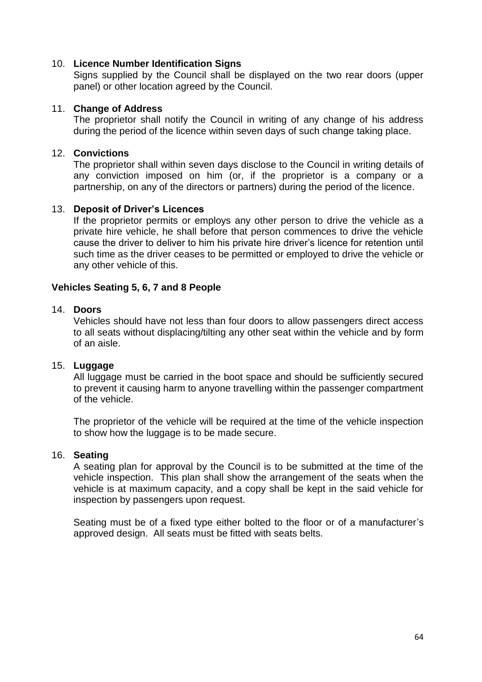### 10. **Licence Number Identification Signs**

Signs supplied by the Council shall be displayed on the two rear doors (upper panel) or other location agreed by the Council.

#### 11. **Change of Address**

The proprietor shall notify the Council in writing of any change of his address during the period of the licence within seven days of such change taking place.

#### 12. **Convictions**

The proprietor shall within seven days disclose to the Council in writing details of any conviction imposed on him (or, if the proprietor is a company or a partnership, on any of the directors or partners) during the period of the licence.

#### 13. **Deposit of Driver's Licences**

If the proprietor permits or employs any other person to drive the vehicle as a private hire vehicle, he shall before that person commences to drive the vehicle cause the driver to deliver to him his private hire driver"s licence for retention until such time as the driver ceases to be permitted or employed to drive the vehicle or any other vehicle of this.

#### **Vehicles Seating 5, 6, 7 and 8 People**

#### 14. **Doors**

Vehicles should have not less than four doors to allow passengers direct access to all seats without displacing/tilting any other seat within the vehicle and by form of an aisle.

#### 15. **Luggage**

All luggage must be carried in the boot space and should be sufficiently secured to prevent it causing harm to anyone travelling within the passenger compartment of the vehicle.

The proprietor of the vehicle will be required at the time of the vehicle inspection to show how the luggage is to be made secure.

#### 16. **Seating**

A seating plan for approval by the Council is to be submitted at the time of the vehicle inspection. This plan shall show the arrangement of the seats when the vehicle is at maximum capacity, and a copy shall be kept in the said vehicle for inspection by passengers upon request.

Seating must be of a fixed type either bolted to the floor or of a manufacturer's approved design. All seats must be fitted with seats belts.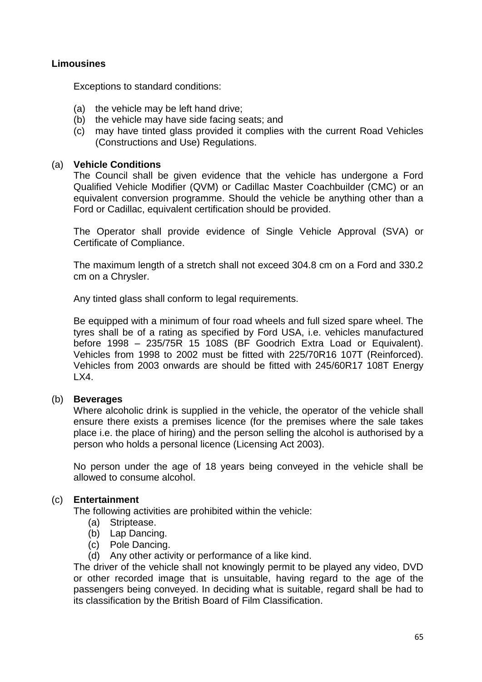## **Limousines**

Exceptions to standard conditions:

- (a) the vehicle may be left hand drive;
- (b) the vehicle may have side facing seats; and
- (c) may have tinted glass provided it complies with the current Road Vehicles (Constructions and Use) Regulations.

#### (a) **Vehicle Conditions**

The Council shall be given evidence that the vehicle has undergone a Ford Qualified Vehicle Modifier (QVM) or Cadillac Master Coachbuilder (CMC) or an equivalent conversion programme. Should the vehicle be anything other than a Ford or Cadillac, equivalent certification should be provided.

The Operator shall provide evidence of Single Vehicle Approval (SVA) or Certificate of Compliance.

The maximum length of a stretch shall not exceed 304.8 cm on a Ford and 330.2 cm on a Chrysler.

Any tinted glass shall conform to legal requirements.

Be equipped with a minimum of four road wheels and full sized spare wheel. The tyres shall be of a rating as specified by Ford USA, i.e. vehicles manufactured before 1998 – 235/75R 15 108S (BF Goodrich Extra Load or Equivalent). Vehicles from 1998 to 2002 must be fitted with 225/70R16 107T (Reinforced). Vehicles from 2003 onwards are should be fitted with 245/60R17 108T Energy LX4.

### (b) **Beverages**

Where alcoholic drink is supplied in the vehicle, the operator of the vehicle shall ensure there exists a premises licence (for the premises where the sale takes place i.e. the place of hiring) and the person selling the alcohol is authorised by a person who holds a personal licence (Licensing Act 2003).

No person under the age of 18 years being conveyed in the vehicle shall be allowed to consume alcohol.

#### (c) **Entertainment**

The following activities are prohibited within the vehicle:

- (a) Striptease.
- (b) Lap Dancing.
- (c) Pole Dancing.
- (d) Any other activity or performance of a like kind.

The driver of the vehicle shall not knowingly permit to be played any video, DVD or other recorded image that is unsuitable, having regard to the age of the passengers being conveyed. In deciding what is suitable, regard shall be had to its classification by the British Board of Film Classification.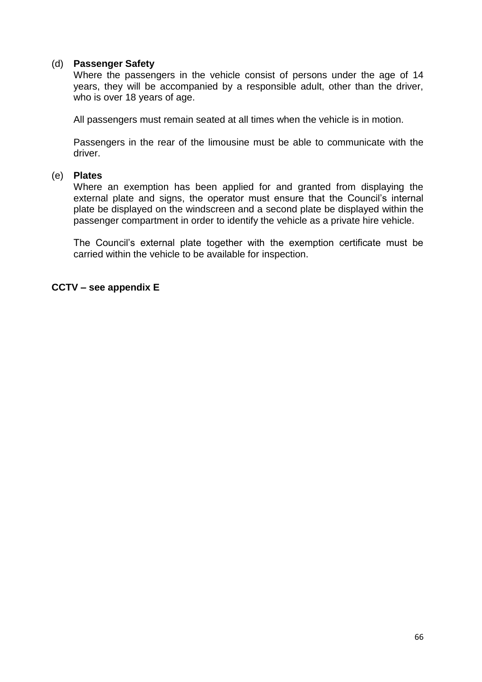#### (d) **Passenger Safety**

Where the passengers in the vehicle consist of persons under the age of 14 years, they will be accompanied by a responsible adult, other than the driver, who is over 18 years of age.

All passengers must remain seated at all times when the vehicle is in motion.

Passengers in the rear of the limousine must be able to communicate with the driver.

#### (e) **Plates**

Where an exemption has been applied for and granted from displaying the external plate and signs, the operator must ensure that the Council's internal plate be displayed on the windscreen and a second plate be displayed within the passenger compartment in order to identify the vehicle as a private hire vehicle.

The Council"s external plate together with the exemption certificate must be carried within the vehicle to be available for inspection.

#### **CCTV – see appendix E**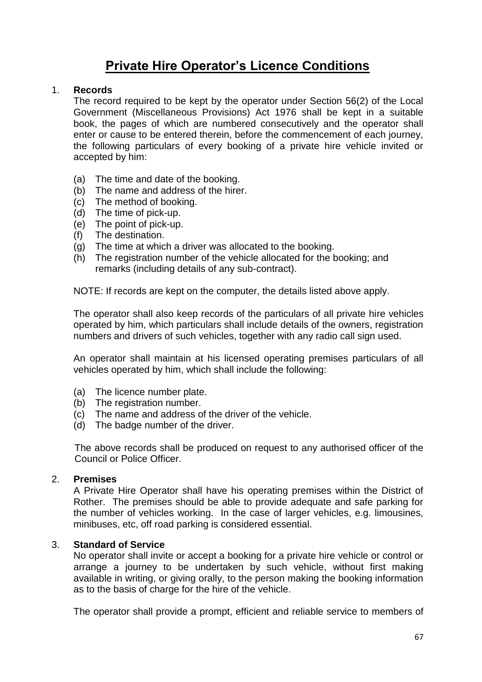# **Private Hire Operator's Licence Conditions**

#### 1. **Records**

The record required to be kept by the operator under Section 56(2) of the Local Government (Miscellaneous Provisions) Act 1976 shall be kept in a suitable book, the pages of which are numbered consecutively and the operator shall enter or cause to be entered therein, before the commencement of each journey, the following particulars of every booking of a private hire vehicle invited or accepted by him:

- (a) The time and date of the booking.
- (b) The name and address of the hirer.
- (c) The method of booking.
- (d) The time of pick-up.
- (e) The point of pick-up.
- (f) The destination.
- (g) The time at which a driver was allocated to the booking.
- (h) The registration number of the vehicle allocated for the booking; and remarks (including details of any sub-contract).

NOTE: If records are kept on the computer, the details listed above apply.

The operator shall also keep records of the particulars of all private hire vehicles operated by him, which particulars shall include details of the owners, registration numbers and drivers of such vehicles, together with any radio call sign used.

An operator shall maintain at his licensed operating premises particulars of all vehicles operated by him, which shall include the following:

- (a) The licence number plate.
- (b) The registration number.
- (c) The name and address of the driver of the vehicle.
- (d) The badge number of the driver.

The above records shall be produced on request to any authorised officer of the Council or Police Officer.

#### 2. **Premises**

A Private Hire Operator shall have his operating premises within the District of Rother. The premises should be able to provide adequate and safe parking for the number of vehicles working. In the case of larger vehicles, e.g. limousines, minibuses, etc, off road parking is considered essential.

#### 3. **Standard of Service**

No operator shall invite or accept a booking for a private hire vehicle or control or arrange a journey to be undertaken by such vehicle, without first making available in writing, or giving orally, to the person making the booking information as to the basis of charge for the hire of the vehicle.

The operator shall provide a prompt, efficient and reliable service to members of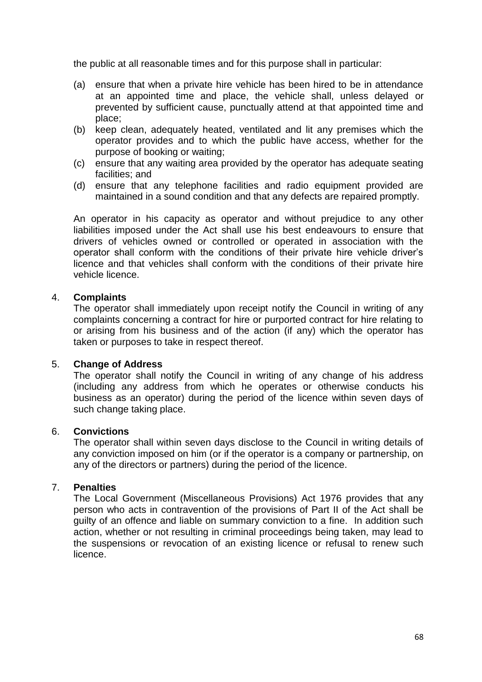the public at all reasonable times and for this purpose shall in particular:

- (a) ensure that when a private hire vehicle has been hired to be in attendance at an appointed time and place, the vehicle shall, unless delayed or prevented by sufficient cause, punctually attend at that appointed time and place;
- (b) keep clean, adequately heated, ventilated and lit any premises which the operator provides and to which the public have access, whether for the purpose of booking or waiting;
- (c) ensure that any waiting area provided by the operator has adequate seating facilities; and
- (d) ensure that any telephone facilities and radio equipment provided are maintained in a sound condition and that any defects are repaired promptly.

An operator in his capacity as operator and without prejudice to any other liabilities imposed under the Act shall use his best endeavours to ensure that drivers of vehicles owned or controlled or operated in association with the operator shall conform with the conditions of their private hire vehicle driver"s licence and that vehicles shall conform with the conditions of their private hire vehicle licence.

#### 4. **Complaints**

The operator shall immediately upon receipt notify the Council in writing of any complaints concerning a contract for hire or purported contract for hire relating to or arising from his business and of the action (if any) which the operator has taken or purposes to take in respect thereof.

#### 5. **Change of Address**

The operator shall notify the Council in writing of any change of his address (including any address from which he operates or otherwise conducts his business as an operator) during the period of the licence within seven days of such change taking place.

#### 6. **Convictions**

The operator shall within seven days disclose to the Council in writing details of any conviction imposed on him (or if the operator is a company or partnership, on any of the directors or partners) during the period of the licence.

#### 7. **Penalties**

The Local Government (Miscellaneous Provisions) Act 1976 provides that any person who acts in contravention of the provisions of Part II of the Act shall be guilty of an offence and liable on summary conviction to a fine. In addition such action, whether or not resulting in criminal proceedings being taken, may lead to the suspensions or revocation of an existing licence or refusal to renew such licence.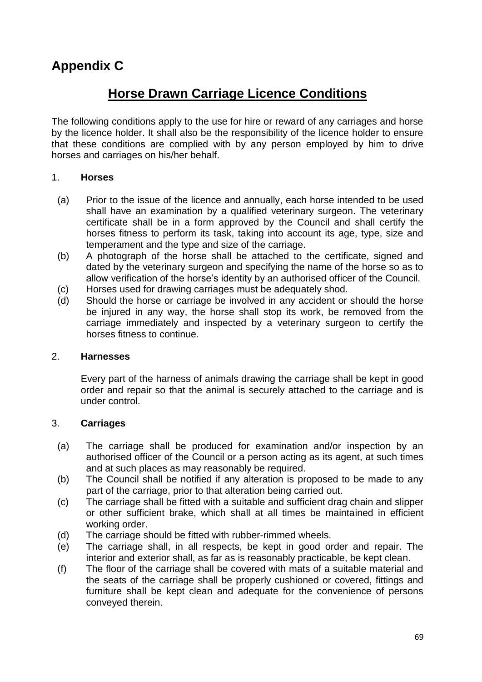# **Appendix C**

# **Horse Drawn Carriage Licence Conditions**

The following conditions apply to the use for hire or reward of any carriages and horse by the licence holder. It shall also be the responsibility of the licence holder to ensure that these conditions are complied with by any person employed by him to drive horses and carriages on his/her behalf.

### 1. **Horses**

- (a) Prior to the issue of the licence and annually, each horse intended to be used shall have an examination by a qualified veterinary surgeon. The veterinary certificate shall be in a form approved by the Council and shall certify the horses fitness to perform its task, taking into account its age, type, size and temperament and the type and size of the carriage.
- (b) A photograph of the horse shall be attached to the certificate, signed and dated by the veterinary surgeon and specifying the name of the horse so as to allow verification of the horse's identity by an authorised officer of the Council.
- (c) Horses used for drawing carriages must be adequately shod.
- (d) Should the horse or carriage be involved in any accident or should the horse be injured in any way, the horse shall stop its work, be removed from the carriage immediately and inspected by a veterinary surgeon to certify the horses fitness to continue.

#### 2. **Harnesses**

Every part of the harness of animals drawing the carriage shall be kept in good order and repair so that the animal is securely attached to the carriage and is under control.

## 3. **Carriages**

- (a) The carriage shall be produced for examination and/or inspection by an authorised officer of the Council or a person acting as its agent, at such times and at such places as may reasonably be required.
- (b) The Council shall be notified if any alteration is proposed to be made to any part of the carriage, prior to that alteration being carried out.
- (c) The carriage shall be fitted with a suitable and sufficient drag chain and slipper or other sufficient brake, which shall at all times be maintained in efficient working order.
- (d) The carriage should be fitted with rubber-rimmed wheels.
- (e) The carriage shall, in all respects, be kept in good order and repair. The interior and exterior shall, as far as is reasonably practicable, be kept clean.
- (f) The floor of the carriage shall be covered with mats of a suitable material and the seats of the carriage shall be properly cushioned or covered, fittings and furniture shall be kept clean and adequate for the convenience of persons conveyed therein.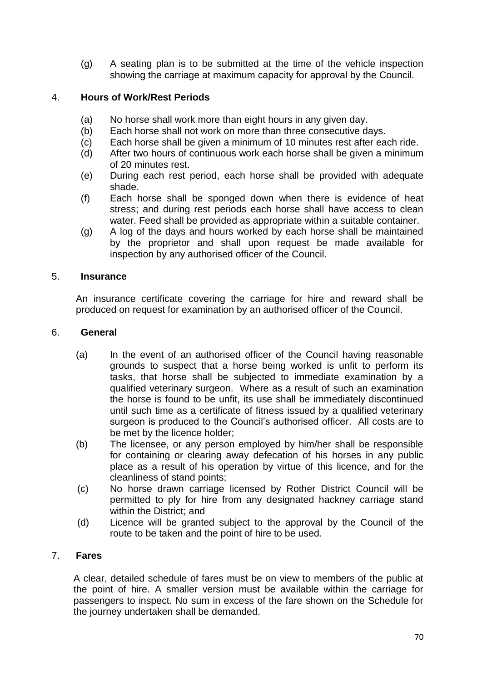(g) A seating plan is to be submitted at the time of the vehicle inspection showing the carriage at maximum capacity for approval by the Council.

# 4. **Hours of Work/Rest Periods**

- (a) No horse shall work more than eight hours in any given day.
- (b) Each horse shall not work on more than three consecutive days.
- (c) Each horse shall be given a minimum of 10 minutes rest after each ride.
- (d) After two hours of continuous work each horse shall be given a minimum of 20 minutes rest.
- (e) During each rest period, each horse shall be provided with adequate shade.
- (f) Each horse shall be sponged down when there is evidence of heat stress; and during rest periods each horse shall have access to clean water. Feed shall be provided as appropriate within a suitable container.
- (g) A log of the days and hours worked by each horse shall be maintained by the proprietor and shall upon request be made available for inspection by any authorised officer of the Council.

### 5. **Insurance**

An insurance certificate covering the carriage for hire and reward shall be produced on request for examination by an authorised officer of the Council.

#### 6. **General**

- (a) In the event of an authorised officer of the Council having reasonable grounds to suspect that a horse being worked is unfit to perform its tasks, that horse shall be subjected to immediate examination by a qualified veterinary surgeon. Where as a result of such an examination the horse is found to be unfit, its use shall be immediately discontinued until such time as a certificate of fitness issued by a qualified veterinary surgeon is produced to the Council's authorised officer. All costs are to be met by the licence holder;
- (b) The licensee, or any person employed by him/her shall be responsible for containing or clearing away defecation of his horses in any public place as a result of his operation by virtue of this licence, and for the cleanliness of stand points;
- (c) No horse drawn carriage licensed by Rother District Council will be permitted to ply for hire from any designated hackney carriage stand within the District; and
- (d) Licence will be granted subject to the approval by the Council of the route to be taken and the point of hire to be used.

## 7. **Fares**

A clear, detailed schedule of fares must be on view to members of the public at the point of hire. A smaller version must be available within the carriage for passengers to inspect. No sum in excess of the fare shown on the Schedule for the journey undertaken shall be demanded.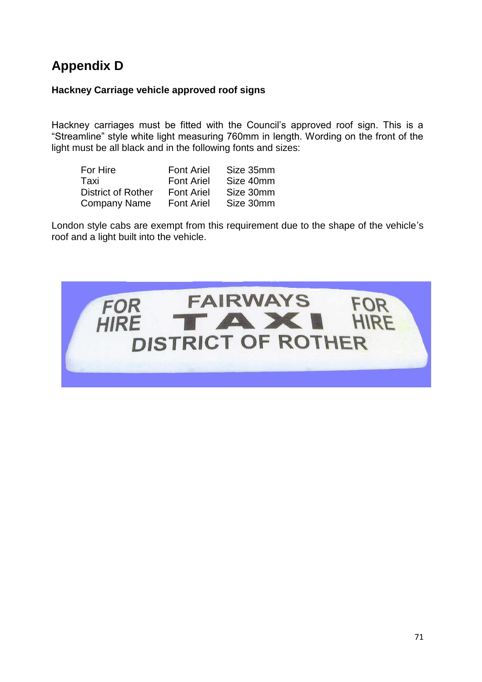# **Appendix D**

### **Hackney Carriage vehicle approved roof signs**

Hackney carriages must be fitted with the Council's approved roof sign. This is a "Streamline" style white light measuring 760mm in length. Wording on the front of the light must be all black and in the following fonts and sizes:

| For Hire                  | <b>Font Ariel</b> | Size 35mm |
|---------------------------|-------------------|-----------|
| Taxi                      | <b>Font Ariel</b> | Size 40mm |
| <b>District of Rother</b> | <b>Font Ariel</b> | Size 30mm |
| <b>Company Name</b>       | <b>Font Ariel</b> | Size 30mm |

London style cabs are exempt from this requirement due to the shape of the vehicle"s roof and a light built into the vehicle.

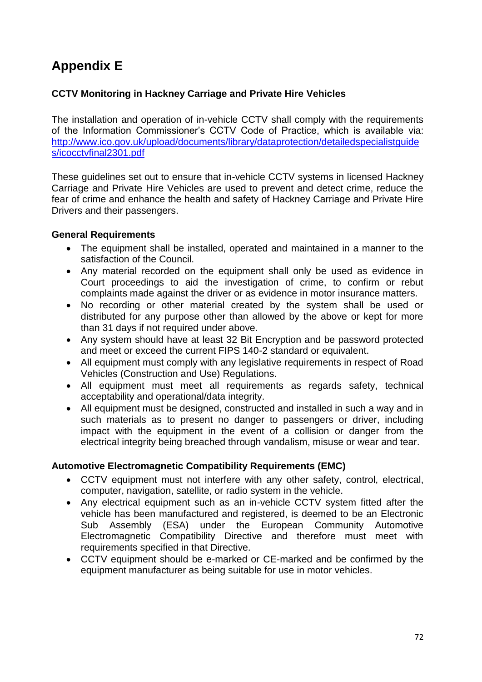# **Appendix E**

# **CCTV Monitoring in Hackney Carriage and Private Hire Vehicles**

The installation and operation of in-vehicle CCTV shall comply with the requirements of the Information Commissioner"s CCTV Code of Practice, which is available via: [http://www.ico.gov.uk/upload/documents/library/dataprotection/detailedspecialistguide](http://www.ico.gov.uk/upload/documents/library/dataprotection/detailedspecialistguides/icocctvfinal2301.pdf) [s/icocctvfinal2301.pdf](http://www.ico.gov.uk/upload/documents/library/dataprotection/detailedspecialistguides/icocctvfinal2301.pdf)

These guidelines set out to ensure that in-vehicle CCTV systems in licensed Hackney Carriage and Private Hire Vehicles are used to prevent and detect crime, reduce the fear of crime and enhance the health and safety of Hackney Carriage and Private Hire Drivers and their passengers.

### **General Requirements**

- The equipment shall be installed, operated and maintained in a manner to the satisfaction of the Council.
- Any material recorded on the equipment shall only be used as evidence in Court proceedings to aid the investigation of crime, to confirm or rebut complaints made against the driver or as evidence in motor insurance matters.
- No recording or other material created by the system shall be used or distributed for any purpose other than allowed by the above or kept for more than 31 days if not required under above.
- Any system should have at least 32 Bit Encryption and be password protected and meet or exceed the current FIPS 140-2 standard or equivalent.
- All equipment must comply with any legislative requirements in respect of Road Vehicles (Construction and Use) Regulations.
- All equipment must meet all requirements as regards safety, technical acceptability and operational/data integrity.
- All equipment must be designed, constructed and installed in such a way and in such materials as to present no danger to passengers or driver, including impact with the equipment in the event of a collision or danger from the electrical integrity being breached through vandalism, misuse or wear and tear.

## **Automotive Electromagnetic Compatibility Requirements (EMC)**

- CCTV equipment must not interfere with any other safety, control, electrical, computer, navigation, satellite, or radio system in the vehicle.
- Any electrical equipment such as an in-vehicle CCTV system fitted after the vehicle has been manufactured and registered, is deemed to be an Electronic Sub Assembly (ESA) under the European Community Automotive Electromagnetic Compatibility Directive and therefore must meet with requirements specified in that Directive.
- CCTV equipment should be e-marked or CE-marked and be confirmed by the equipment manufacturer as being suitable for use in motor vehicles.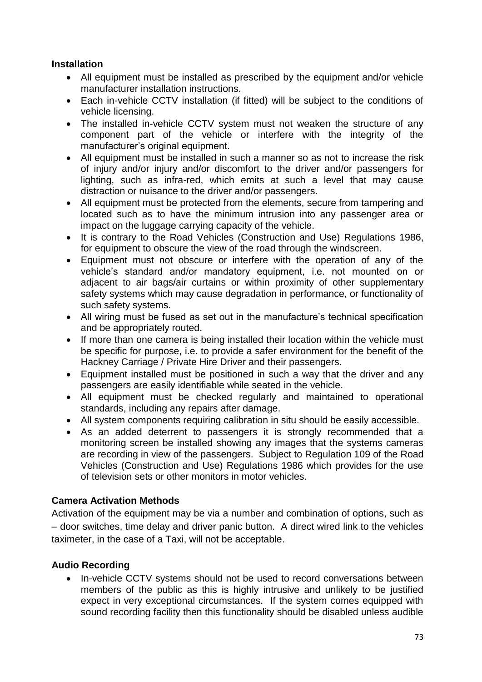## **Installation**

- All equipment must be installed as prescribed by the equipment and/or vehicle manufacturer installation instructions.
- Each in-vehicle CCTV installation (if fitted) will be subject to the conditions of vehicle licensing.
- The installed in-vehicle CCTV system must not weaken the structure of any component part of the vehicle or interfere with the integrity of the manufacturer"s original equipment.
- All equipment must be installed in such a manner so as not to increase the risk of injury and/or injury and/or discomfort to the driver and/or passengers for lighting, such as infra-red, which emits at such a level that may cause distraction or nuisance to the driver and/or passengers.
- All equipment must be protected from the elements, secure from tampering and located such as to have the minimum intrusion into any passenger area or impact on the luggage carrying capacity of the vehicle.
- It is contrary to the Road Vehicles (Construction and Use) Regulations 1986, for equipment to obscure the view of the road through the windscreen.
- Equipment must not obscure or interfere with the operation of any of the vehicle"s standard and/or mandatory equipment, i.e. not mounted on or adjacent to air bags/air curtains or within proximity of other supplementary safety systems which may cause degradation in performance, or functionality of such safety systems.
- All wiring must be fused as set out in the manufacture's technical specification and be appropriately routed.
- If more than one camera is being installed their location within the vehicle must be specific for purpose, i.e. to provide a safer environment for the benefit of the Hackney Carriage / Private Hire Driver and their passengers.
- Equipment installed must be positioned in such a way that the driver and any passengers are easily identifiable while seated in the vehicle.
- All equipment must be checked regularly and maintained to operational standards, including any repairs after damage.
- All system components requiring calibration in situ should be easily accessible.
- As an added deterrent to passengers it is strongly recommended that a monitoring screen be installed showing any images that the systems cameras are recording in view of the passengers. Subject to Regulation 109 of the Road Vehicles (Construction and Use) Regulations 1986 which provides for the use of television sets or other monitors in motor vehicles.

# **Camera Activation Methods**

Activation of the equipment may be via a number and combination of options, such as – door switches, time delay and driver panic button. A direct wired link to the vehicles taximeter, in the case of a Taxi, will not be acceptable.

# **Audio Recording**

• In-vehicle CCTV systems should not be used to record conversations between members of the public as this is highly intrusive and unlikely to be justified expect in very exceptional circumstances. If the system comes equipped with sound recording facility then this functionality should be disabled unless audible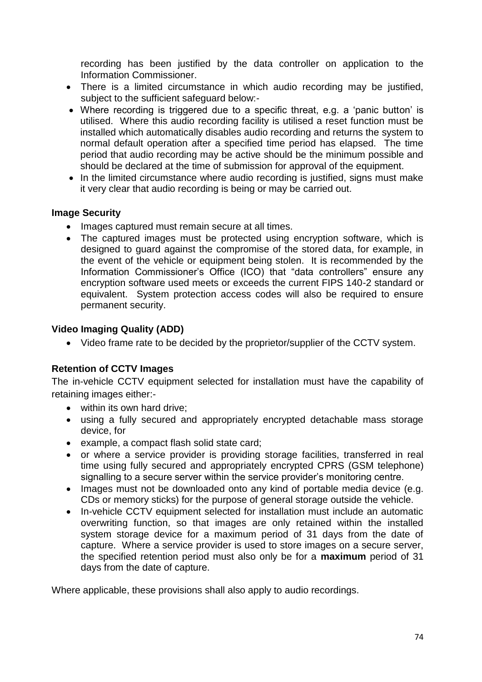recording has been justified by the data controller on application to the Information Commissioner.

- There is a limited circumstance in which audio recording may be justified, subject to the sufficient safeguard below:-
- Where recording is triggered due to a specific threat, e.g. a "panic button" is utilised. Where this audio recording facility is utilised a reset function must be installed which automatically disables audio recording and returns the system to normal default operation after a specified time period has elapsed. The time period that audio recording may be active should be the minimum possible and should be declared at the time of submission for approval of the equipment.
- In the limited circumstance where audio recording is justified, signs must make it very clear that audio recording is being or may be carried out.

#### **Image Security**

- Images captured must remain secure at all times.
- The captured images must be protected using encryption software, which is designed to guard against the compromise of the stored data, for example, in the event of the vehicle or equipment being stolen. It is recommended by the Information Commissioner's Office (ICO) that "data controllers" ensure any encryption software used meets or exceeds the current FIPS 140-2 standard or equivalent. System protection access codes will also be required to ensure permanent security.

#### **Video Imaging Quality (ADD)**

Video frame rate to be decided by the proprietor/supplier of the CCTV system.

### **Retention of CCTV Images**

The in-vehicle CCTV equipment selected for installation must have the capability of retaining images either:-

- within its own hard drive;
- using a fully secured and appropriately encrypted detachable mass storage device, for
- example, a compact flash solid state card;
- or where a service provider is providing storage facilities, transferred in real time using fully secured and appropriately encrypted CPRS (GSM telephone) signalling to a secure server within the service provider's monitoring centre.
- Images must not be downloaded onto any kind of portable media device (e.g. CDs or memory sticks) for the purpose of general storage outside the vehicle.
- In-vehicle CCTV equipment selected for installation must include an automatic overwriting function, so that images are only retained within the installed system storage device for a maximum period of 31 days from the date of capture. Where a service provider is used to store images on a secure server, the specified retention period must also only be for a **maximum** period of 31 days from the date of capture.

Where applicable, these provisions shall also apply to audio recordings.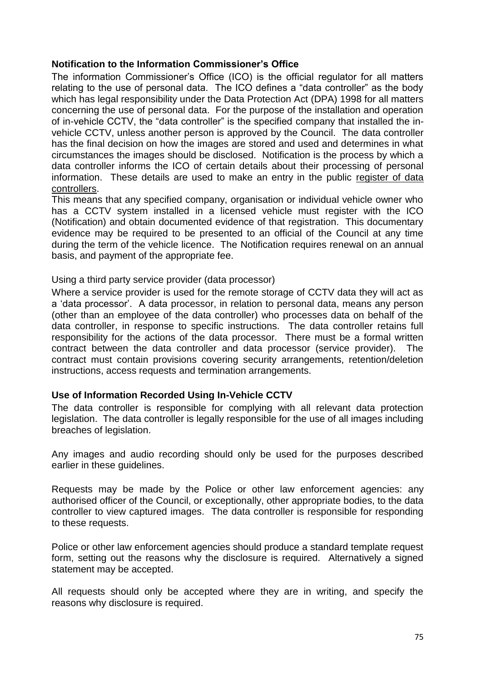#### **Notification to the Information Commissioner's Office**

The information Commissioner's Office (ICO) is the official regulator for all matters relating to the use of personal data. The ICO defines a "data controller" as the body which has legal responsibility under the Data Protection Act (DPA) 1998 for all matters concerning the use of personal data. For the purpose of the installation and operation of in-vehicle CCTV, the "data controller" is the specified company that installed the invehicle CCTV, unless another person is approved by the Council. The data controller has the final decision on how the images are stored and used and determines in what circumstances the images should be disclosed. Notification is the process by which a data controller informs the ICO of certain details about their processing of personal information. These details are used to make an entry in the public register of data controllers.

This means that any specified company, organisation or individual vehicle owner who has a CCTV system installed in a licensed vehicle must register with the ICO (Notification) and obtain documented evidence of that registration. This documentary evidence may be required to be presented to an official of the Council at any time during the term of the vehicle licence. The Notification requires renewal on an annual basis, and payment of the appropriate fee.

#### Using a third party service provider (data processor)

Where a service provider is used for the remote storage of CCTV data they will act as a "data processor". A data processor, in relation to personal data, means any person (other than an employee of the data controller) who processes data on behalf of the data controller, in response to specific instructions. The data controller retains full responsibility for the actions of the data processor. There must be a formal written contract between the data controller and data processor (service provider). The contract must contain provisions covering security arrangements, retention/deletion instructions, access requests and termination arrangements.

#### **Use of Information Recorded Using In-Vehicle CCTV**

The data controller is responsible for complying with all relevant data protection legislation. The data controller is legally responsible for the use of all images including breaches of legislation.

Any images and audio recording should only be used for the purposes described earlier in these guidelines.

Requests may be made by the Police or other law enforcement agencies: any authorised officer of the Council, or exceptionally, other appropriate bodies, to the data controller to view captured images. The data controller is responsible for responding to these requests.

Police or other law enforcement agencies should produce a standard template request form, setting out the reasons why the disclosure is required. Alternatively a signed statement may be accepted.

All requests should only be accepted where they are in writing, and specify the reasons why disclosure is required.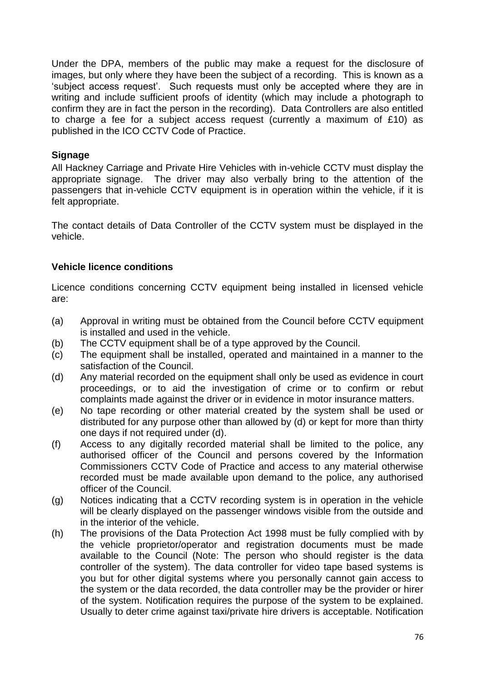Under the DPA, members of the public may make a request for the disclosure of images, but only where they have been the subject of a recording. This is known as a "subject access request". Such requests must only be accepted where they are in writing and include sufficient proofs of identity (which may include a photograph to confirm they are in fact the person in the recording). Data Controllers are also entitled to charge a fee for a subject access request (currently a maximum of £10) as published in the ICO CCTV Code of Practice.

### **Signage**

All Hackney Carriage and Private Hire Vehicles with in-vehicle CCTV must display the appropriate signage. The driver may also verbally bring to the attention of the passengers that in-vehicle CCTV equipment is in operation within the vehicle, if it is felt appropriate.

The contact details of Data Controller of the CCTV system must be displayed in the vehicle.

## **Vehicle licence conditions**

Licence conditions concerning CCTV equipment being installed in licensed vehicle are:

- (a) Approval in writing must be obtained from the Council before CCTV equipment is installed and used in the vehicle.
- (b) The CCTV equipment shall be of a type approved by the Council.
- (c) The equipment shall be installed, operated and maintained in a manner to the satisfaction of the Council.
- (d) Any material recorded on the equipment shall only be used as evidence in court proceedings, or to aid the investigation of crime or to confirm or rebut complaints made against the driver or in evidence in motor insurance matters.
- (e) No tape recording or other material created by the system shall be used or distributed for any purpose other than allowed by (d) or kept for more than thirty one days if not required under (d).
- (f) Access to any digitally recorded material shall be limited to the police, any authorised officer of the Council and persons covered by the Information Commissioners CCTV Code of Practice and access to any material otherwise recorded must be made available upon demand to the police, any authorised officer of the Council.
- (g) Notices indicating that a CCTV recording system is in operation in the vehicle will be clearly displayed on the passenger windows visible from the outside and in the interior of the vehicle.
- (h) The provisions of the Data Protection Act 1998 must be fully complied with by the vehicle proprietor/operator and registration documents must be made available to the Council (Note: The person who should register is the data controller of the system). The data controller for video tape based systems is you but for other digital systems where you personally cannot gain access to the system or the data recorded, the data controller may be the provider or hirer of the system. Notification requires the purpose of the system to be explained. Usually to deter crime against taxi/private hire drivers is acceptable. Notification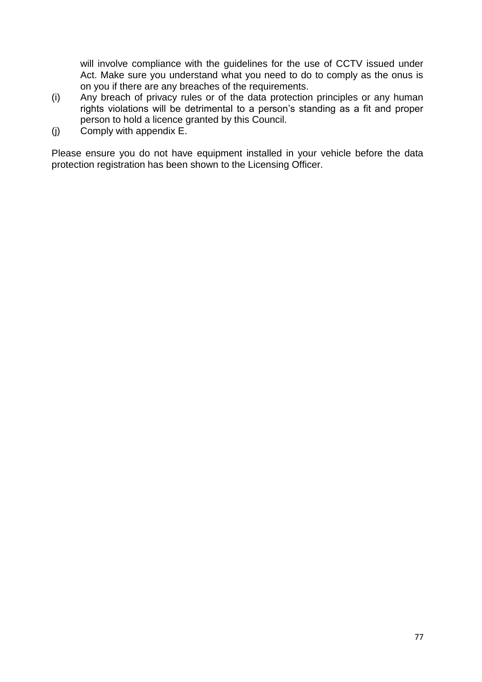will involve compliance with the guidelines for the use of CCTV issued under Act. Make sure you understand what you need to do to comply as the onus is on you if there are any breaches of the requirements.

- (i) Any breach of privacy rules or of the data protection principles or any human rights violations will be detrimental to a person"s standing as a fit and proper person to hold a licence granted by this Council.
- (j) Comply with appendix E.

Please ensure you do not have equipment installed in your vehicle before the data protection registration has been shown to the Licensing Officer.